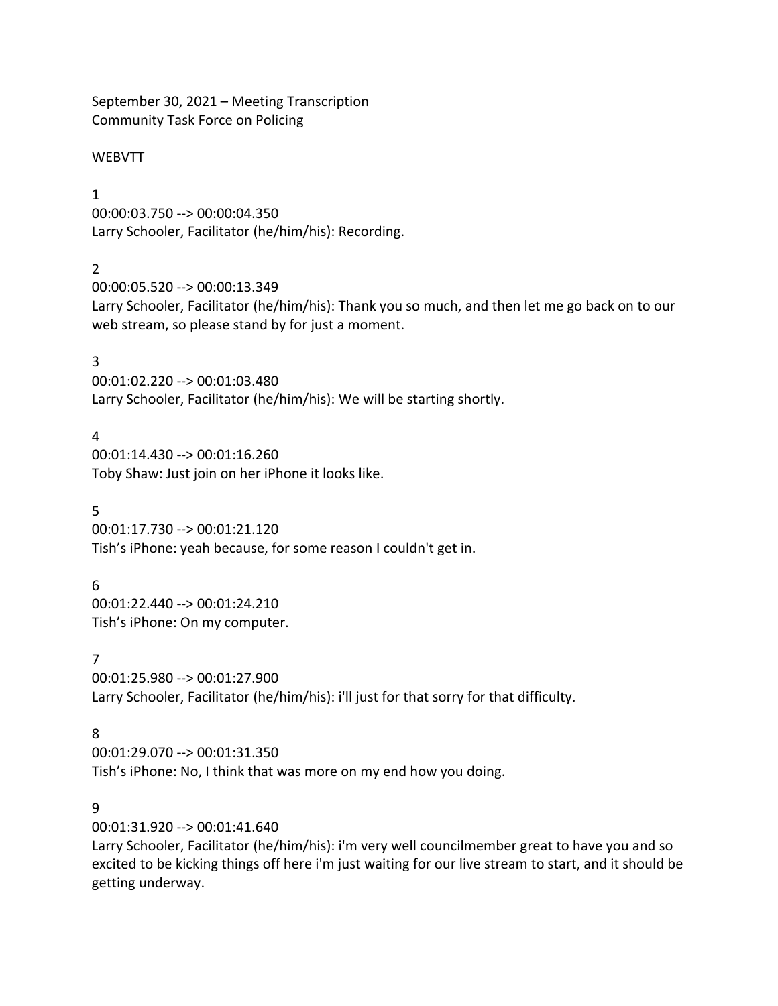September 30, 2021 – Meeting Transcription Community Task Force on Policing

### **WEBVTT**

### 1

00:00:03.750 --> 00:00:04.350 Larry Schooler, Facilitator (he/him/his): Recording.

## $\mathfrak{D}$

00:00:05.520 --> 00:00:13.349 Larry Schooler, Facilitator (he/him/his): Thank you so much, and then let me go back on to our web stream, so please stand by for just a moment.

### 3

00:01:02.220 --> 00:01:03.480 Larry Schooler, Facilitator (he/him/his): We will be starting shortly.

### 4

00:01:14.430 --> 00:01:16.260 Toby Shaw: Just join on her iPhone it looks like.

### 5

00:01:17.730 --> 00:01:21.120 Tish's iPhone: yeah because, for some reason I couldn't get in.

### 6

00:01:22.440 --> 00:01:24.210 Tish's iPhone: On my computer.

### 7

00:01:25.980 --> 00:01:27.900 Larry Schooler, Facilitator (he/him/his): i'll just for that sorry for that difficulty.

## 8

00:01:29.070 --> 00:01:31.350 Tish's iPhone: No, I think that was more on my end how you doing.

# 9

00:01:31.920 --> 00:01:41.640

Larry Schooler, Facilitator (he/him/his): i'm very well councilmember great to have you and so excited to be kicking things off here i'm just waiting for our live stream to start, and it should be getting underway.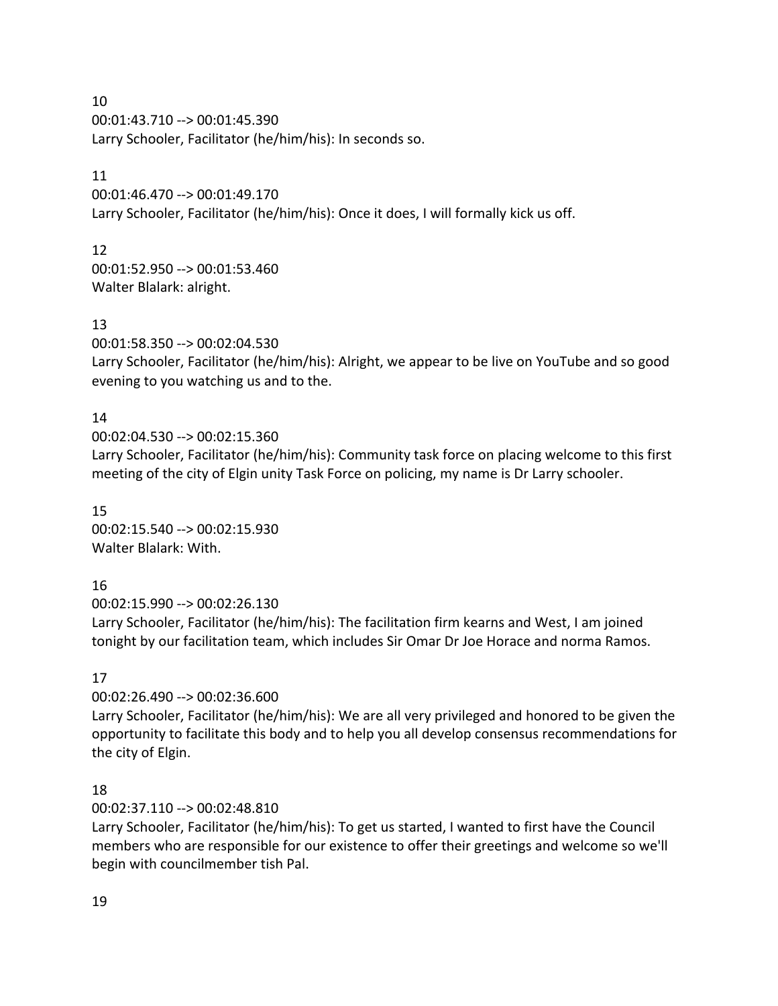10

00:01:43.710 --> 00:01:45.390 Larry Schooler, Facilitator (he/him/his): In seconds so.

### 11

00:01:46.470 --> 00:01:49.170 Larry Schooler, Facilitator (he/him/his): Once it does, I will formally kick us off.

12

00:01:52.950 --> 00:01:53.460 Walter Blalark: alright.

# 13

00:01:58.350 --> 00:02:04.530

Larry Schooler, Facilitator (he/him/his): Alright, we appear to be live on YouTube and so good evening to you watching us and to the.

# 14

00:02:04.530 --> 00:02:15.360 Larry Schooler, Facilitator (he/him/his): Community task force on placing welcome to this first meeting of the city of Elgin unity Task Force on policing, my name is Dr Larry schooler.

15 00:02:15.540 --> 00:02:15.930 Walter Blalark: With.

# 16

00:02:15.990 --> 00:02:26.130

Larry Schooler, Facilitator (he/him/his): The facilitation firm kearns and West, I am joined tonight by our facilitation team, which includes Sir Omar Dr Joe Horace and norma Ramos.

# 17

00:02:26.490 --> 00:02:36.600

Larry Schooler, Facilitator (he/him/his): We are all very privileged and honored to be given the opportunity to facilitate this body and to help you all develop consensus recommendations for the city of Elgin.

# 18

00:02:37.110 --> 00:02:48.810

Larry Schooler, Facilitator (he/him/his): To get us started, I wanted to first have the Council members who are responsible for our existence to offer their greetings and welcome so we'll begin with councilmember tish Pal.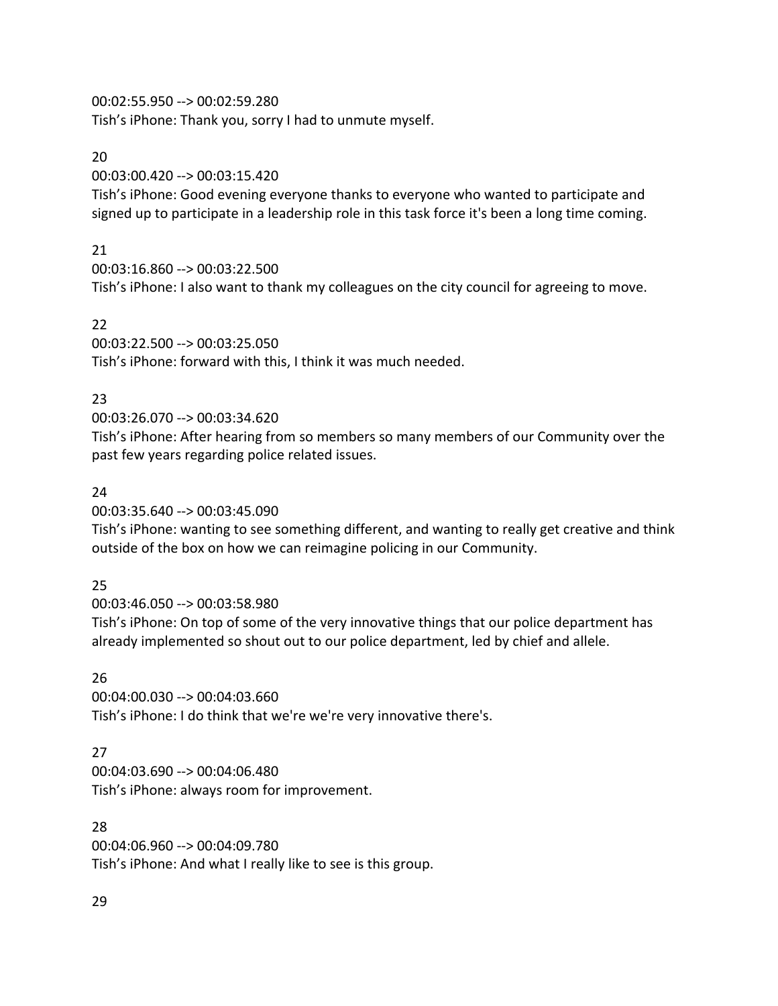00:02:55.950 --> 00:02:59.280 Tish's iPhone: Thank you, sorry I had to unmute myself.

### 20

00:03:00.420 --> 00:03:15.420

Tish's iPhone: Good evening everyone thanks to everyone who wanted to participate and signed up to participate in a leadership role in this task force it's been a long time coming.

# 21

00:03:16.860 --> 00:03:22.500 Tish's iPhone: I also want to thank my colleagues on the city council for agreeing to move.

# 22

00:03:22.500 --> 00:03:25.050 Tish's iPhone: forward with this, I think it was much needed.

# 23

00:03:26.070 --> 00:03:34.620

Tish's iPhone: After hearing from so members so many members of our Community over the past few years regarding police related issues.

## 24

00:03:35.640 --> 00:03:45.090

Tish's iPhone: wanting to see something different, and wanting to really get creative and think outside of the box on how we can reimagine policing in our Community.

## 25

00:03:46.050 --> 00:03:58.980

Tish's iPhone: On top of some of the very innovative things that our police department has already implemented so shout out to our police department, led by chief and allele.

# 26

00:04:00.030 --> 00:04:03.660 Tish's iPhone: I do think that we're we're very innovative there's.

# 27

00:04:03.690 --> 00:04:06.480 Tish's iPhone: always room for improvement.

## 28

00:04:06.960 --> 00:04:09.780 Tish's iPhone: And what I really like to see is this group.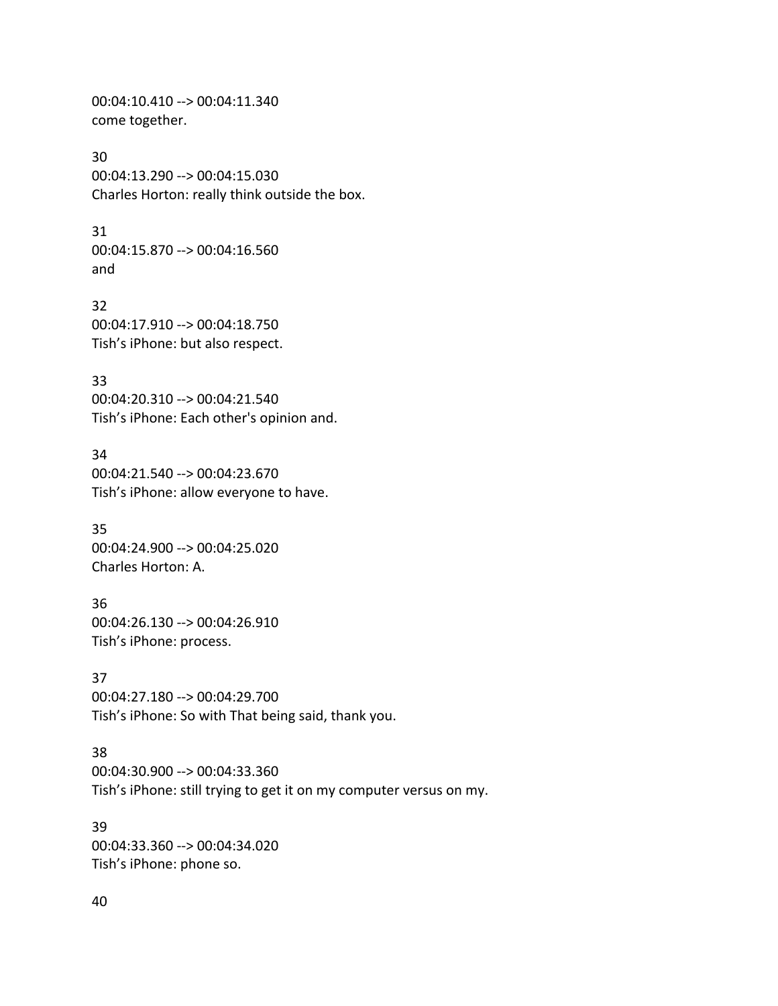00:04:10.410 --> 00:04:11.340 come together.

30

00:04:13.290 --> 00:04:15.030 Charles Horton: really think outside the box.

31

00:04:15.870 --> 00:04:16.560 and

32 00:04:17.910 --> 00:04:18.750 Tish's iPhone: but also respect.

33 00:04:20.310 --> 00:04:21.540 Tish's iPhone: Each other's opinion and.

34 00:04:21.540 --> 00:04:23.670 Tish's iPhone: allow everyone to have.

35 00:04:24.900 --> 00:04:25.020 Charles Horton: A.

36 00:04:26.130 --> 00:04:26.910 Tish's iPhone: process.

37 00:04:27.180 --> 00:04:29.700 Tish's iPhone: So with That being said, thank you.

38 00:04:30.900 --> 00:04:33.360 Tish's iPhone: still trying to get it on my computer versus on my.

39 00:04:33.360 --> 00:04:34.020 Tish's iPhone: phone so.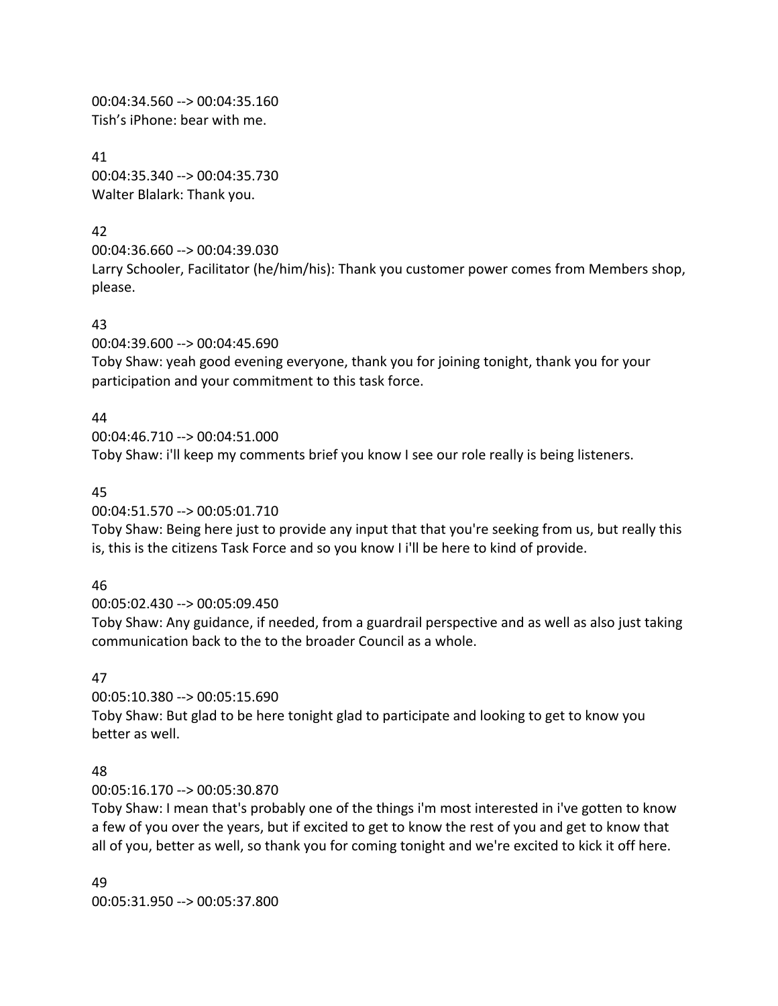00:04:34.560 --> 00:04:35.160 Tish's iPhone: bear with me.

41 00:04:35.340 --> 00:04:35.730 Walter Blalark: Thank you.

# 42

00:04:36.660 --> 00:04:39.030

Larry Schooler, Facilitator (he/him/his): Thank you customer power comes from Members shop, please.

# 43

00:04:39.600 --> 00:04:45.690

Toby Shaw: yeah good evening everyone, thank you for joining tonight, thank you for your participation and your commitment to this task force.

# 44

00:04:46.710 --> 00:04:51.000 Toby Shaw: i'll keep my comments brief you know I see our role really is being listeners.

# 45

00:04:51.570 --> 00:05:01.710

Toby Shaw: Being here just to provide any input that that you're seeking from us, but really this is, this is the citizens Task Force and so you know I i'll be here to kind of provide.

# 46

00:05:02.430 --> 00:05:09.450

Toby Shaw: Any guidance, if needed, from a guardrail perspective and as well as also just taking communication back to the to the broader Council as a whole.

# 47

00:05:10.380 --> 00:05:15.690 Toby Shaw: But glad to be here tonight glad to participate and looking to get to know you better as well.

# 48

00:05:16.170 --> 00:05:30.870

Toby Shaw: I mean that's probably one of the things i'm most interested in i've gotten to know a few of you over the years, but if excited to get to know the rest of you and get to know that all of you, better as well, so thank you for coming tonight and we're excited to kick it off here.

49 00:05:31.950 --> 00:05:37.800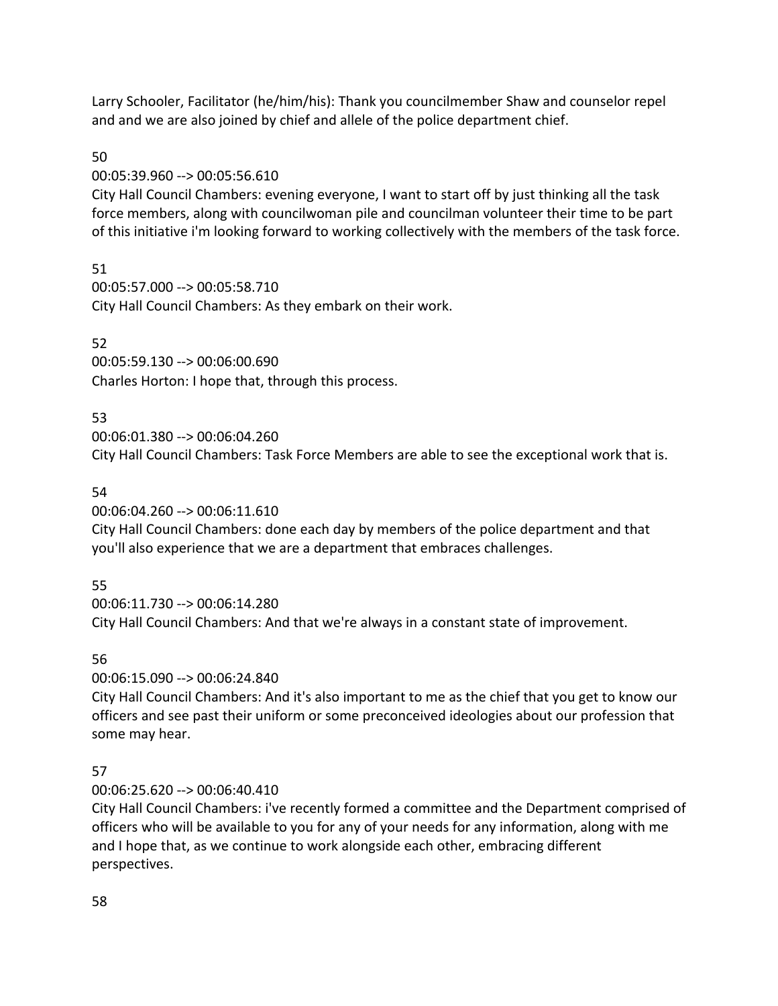Larry Schooler, Facilitator (he/him/his): Thank you councilmember Shaw and counselor repel and and we are also joined by chief and allele of the police department chief.

# 50

# 00:05:39.960 --> 00:05:56.610

City Hall Council Chambers: evening everyone, I want to start off by just thinking all the task force members, along with councilwoman pile and councilman volunteer their time to be part of this initiative i'm looking forward to working collectively with the members of the task force.

# 51

00:05:57.000 --> 00:05:58.710 City Hall Council Chambers: As they embark on their work.

# 52

00:05:59.130 --> 00:06:00.690 Charles Horton: I hope that, through this process.

# 53

00:06:01.380 --> 00:06:04.260 City Hall Council Chambers: Task Force Members are able to see the exceptional work that is.

# 54

00:06:04.260 --> 00:06:11.610

City Hall Council Chambers: done each day by members of the police department and that you'll also experience that we are a department that embraces challenges.

# 55

00:06:11.730 --> 00:06:14.280 City Hall Council Chambers: And that we're always in a constant state of improvement.

# 56

00:06:15.090 --> 00:06:24.840

City Hall Council Chambers: And it's also important to me as the chief that you get to know our officers and see past their uniform or some preconceived ideologies about our profession that some may hear.

# 57

00:06:25.620 --> 00:06:40.410

City Hall Council Chambers: i've recently formed a committee and the Department comprised of officers who will be available to you for any of your needs for any information, along with me and I hope that, as we continue to work alongside each other, embracing different perspectives.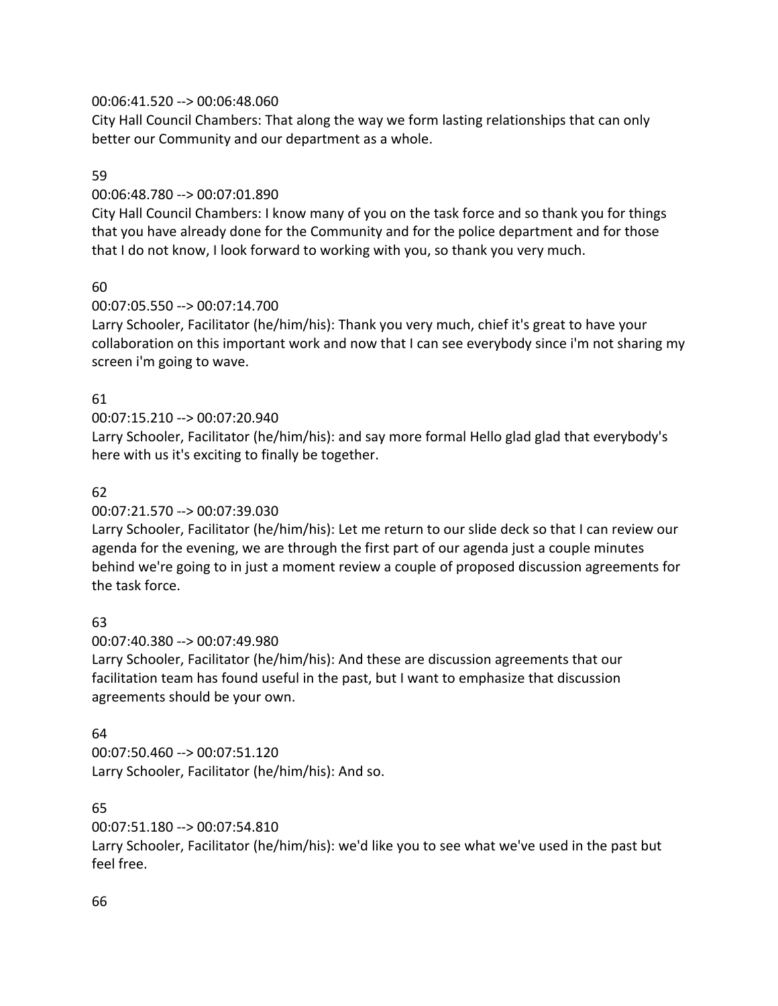## 00:06:41.520 --> 00:06:48.060

City Hall Council Chambers: That along the way we form lasting relationships that can only better our Community and our department as a whole.

### 59

## 00:06:48.780 --> 00:07:01.890

City Hall Council Chambers: I know many of you on the task force and so thank you for things that you have already done for the Community and for the police department and for those that I do not know, I look forward to working with you, so thank you very much.

## 60

## 00:07:05.550 --> 00:07:14.700

Larry Schooler, Facilitator (he/him/his): Thank you very much, chief it's great to have your collaboration on this important work and now that I can see everybody since i'm not sharing my screen i'm going to wave.

## 61

# 00:07:15.210 --> 00:07:20.940

Larry Schooler, Facilitator (he/him/his): and say more formal Hello glad glad that everybody's here with us it's exciting to finally be together.

## 62

### 00:07:21.570 --> 00:07:39.030

Larry Schooler, Facilitator (he/him/his): Let me return to our slide deck so that I can review our agenda for the evening, we are through the first part of our agenda just a couple minutes behind we're going to in just a moment review a couple of proposed discussion agreements for the task force.

## 63

### 00:07:40.380 --> 00:07:49.980

Larry Schooler, Facilitator (he/him/his): And these are discussion agreements that our facilitation team has found useful in the past, but I want to emphasize that discussion agreements should be your own.

## 64

00:07:50.460 --> 00:07:51.120 Larry Schooler, Facilitator (he/him/his): And so.

## 65

## 00:07:51.180 --> 00:07:54.810

Larry Schooler, Facilitator (he/him/his): we'd like you to see what we've used in the past but feel free.

### 66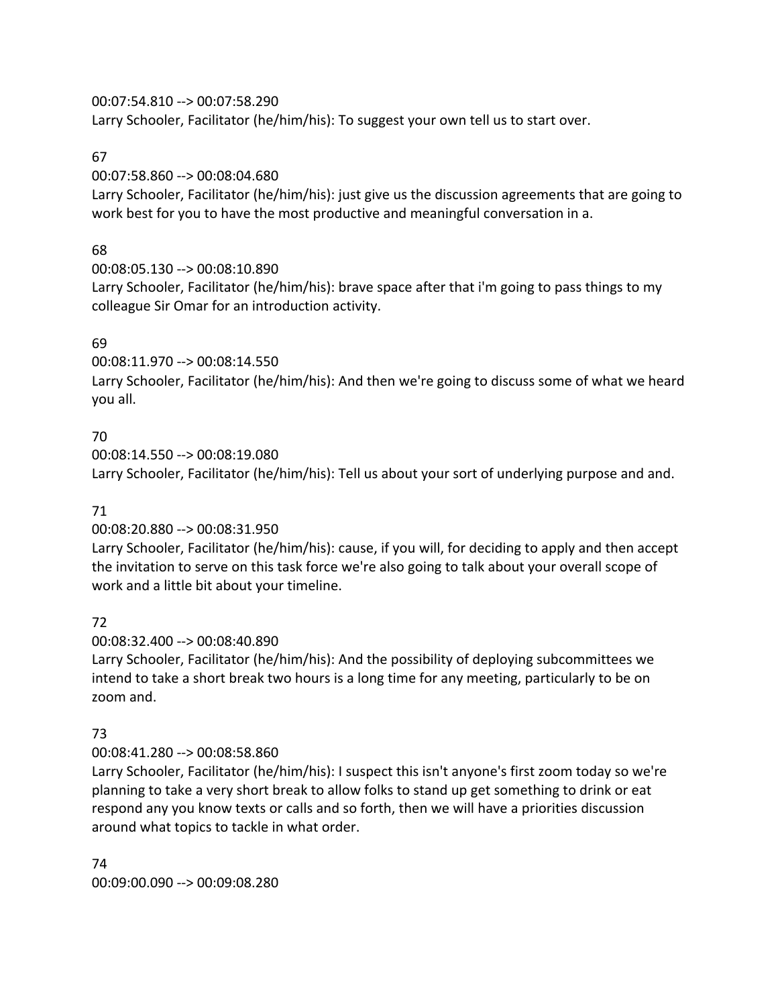00:07:54.810 --> 00:07:58.290

Larry Schooler, Facilitator (he/him/his): To suggest your own tell us to start over.

## 67

00:07:58.860 --> 00:08:04.680

Larry Schooler, Facilitator (he/him/his): just give us the discussion agreements that are going to work best for you to have the most productive and meaningful conversation in a.

# 68

00:08:05.130 --> 00:08:10.890

Larry Schooler, Facilitator (he/him/his): brave space after that i'm going to pass things to my colleague Sir Omar for an introduction activity.

# 69

00:08:11.970 --> 00:08:14.550

Larry Schooler, Facilitator (he/him/his): And then we're going to discuss some of what we heard you all.

# 70

00:08:14.550 --> 00:08:19.080 Larry Schooler, Facilitator (he/him/his): Tell us about your sort of underlying purpose and and.

# 71

00:08:20.880 --> 00:08:31.950

Larry Schooler, Facilitator (he/him/his): cause, if you will, for deciding to apply and then accept the invitation to serve on this task force we're also going to talk about your overall scope of work and a little bit about your timeline.

# 72

00:08:32.400 --> 00:08:40.890

Larry Schooler, Facilitator (he/him/his): And the possibility of deploying subcommittees we intend to take a short break two hours is a long time for any meeting, particularly to be on zoom and.

# 73

## 00:08:41.280 --> 00:08:58.860

Larry Schooler, Facilitator (he/him/his): I suspect this isn't anyone's first zoom today so we're planning to take a very short break to allow folks to stand up get something to drink or eat respond any you know texts or calls and so forth, then we will have a priorities discussion around what topics to tackle in what order.

74 00:09:00.090 --> 00:09:08.280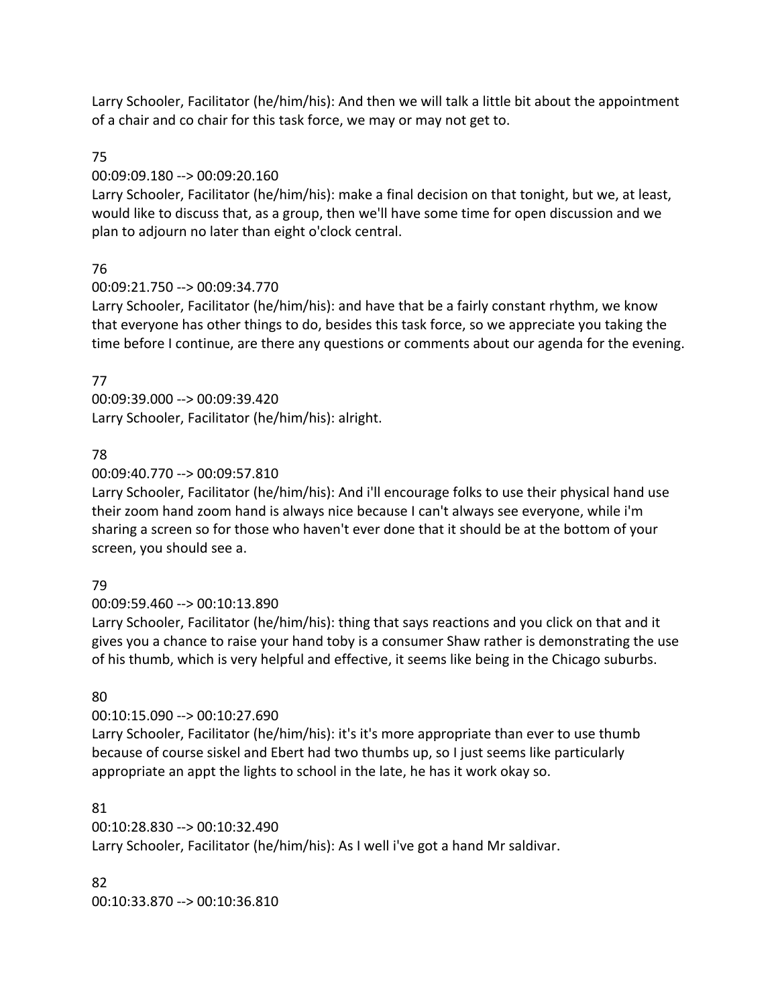Larry Schooler, Facilitator (he/him/his): And then we will talk a little bit about the appointment of a chair and co chair for this task force, we may or may not get to.

# 75

# 00:09:09.180 --> 00:09:20.160

Larry Schooler, Facilitator (he/him/his): make a final decision on that tonight, but we, at least, would like to discuss that, as a group, then we'll have some time for open discussion and we plan to adjourn no later than eight o'clock central.

# 76

# 00:09:21.750 --> 00:09:34.770

Larry Schooler, Facilitator (he/him/his): and have that be a fairly constant rhythm, we know that everyone has other things to do, besides this task force, so we appreciate you taking the time before I continue, are there any questions or comments about our agenda for the evening.

# 77

00:09:39.000 --> 00:09:39.420 Larry Schooler, Facilitator (he/him/his): alright.

# 78

# 00:09:40.770 --> 00:09:57.810

Larry Schooler, Facilitator (he/him/his): And i'll encourage folks to use their physical hand use their zoom hand zoom hand is always nice because I can't always see everyone, while i'm sharing a screen so for those who haven't ever done that it should be at the bottom of your screen, you should see a.

# 79

# 00:09:59.460 --> 00:10:13.890

Larry Schooler, Facilitator (he/him/his): thing that says reactions and you click on that and it gives you a chance to raise your hand toby is a consumer Shaw rather is demonstrating the use of his thumb, which is very helpful and effective, it seems like being in the Chicago suburbs.

# 80

# 00:10:15.090 --> 00:10:27.690

Larry Schooler, Facilitator (he/him/his): it's it's more appropriate than ever to use thumb because of course siskel and Ebert had two thumbs up, so I just seems like particularly appropriate an appt the lights to school in the late, he has it work okay so.

## 81

00:10:28.830 --> 00:10:32.490 Larry Schooler, Facilitator (he/him/his): As I well i've got a hand Mr saldivar.

## 82

00:10:33.870 --> 00:10:36.810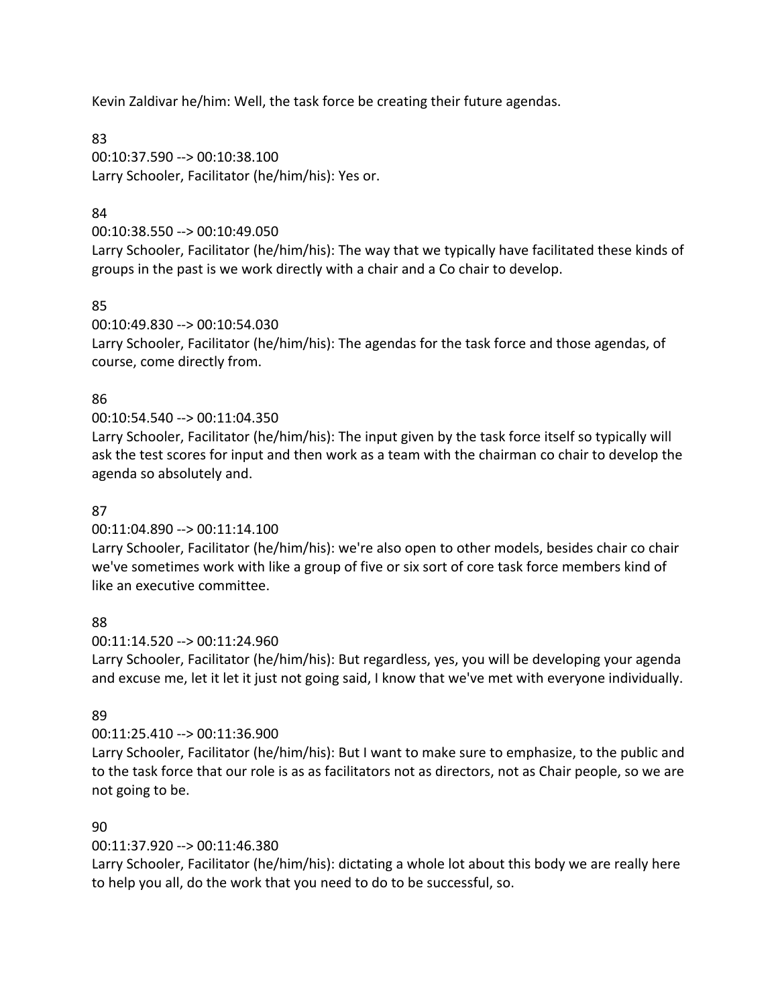Kevin Zaldivar he/him: Well, the task force be creating their future agendas.

83 00:10:37.590 --> 00:10:38.100 Larry Schooler, Facilitator (he/him/his): Yes or.

# 84

00:10:38.550 --> 00:10:49.050

Larry Schooler, Facilitator (he/him/his): The way that we typically have facilitated these kinds of groups in the past is we work directly with a chair and a Co chair to develop.

# 85

00:10:49.830 --> 00:10:54.030 Larry Schooler, Facilitator (he/him/his): The agendas for the task force and those agendas, of course, come directly from.

# 86

# 00:10:54.540 --> 00:11:04.350

Larry Schooler, Facilitator (he/him/his): The input given by the task force itself so typically will ask the test scores for input and then work as a team with the chairman co chair to develop the agenda so absolutely and.

# 87

## 00:11:04.890 --> 00:11:14.100

Larry Schooler, Facilitator (he/him/his): we're also open to other models, besides chair co chair we've sometimes work with like a group of five or six sort of core task force members kind of like an executive committee.

## 88

## 00:11:14.520 --> 00:11:24.960

Larry Schooler, Facilitator (he/him/his): But regardless, yes, you will be developing your agenda and excuse me, let it let it just not going said, I know that we've met with everyone individually.

## 89

## 00:11:25.410 --> 00:11:36.900

Larry Schooler, Facilitator (he/him/his): But I want to make sure to emphasize, to the public and to the task force that our role is as as facilitators not as directors, not as Chair people, so we are not going to be.

## 90

# 00:11:37.920 --> 00:11:46.380

Larry Schooler, Facilitator (he/him/his): dictating a whole lot about this body we are really here to help you all, do the work that you need to do to be successful, so.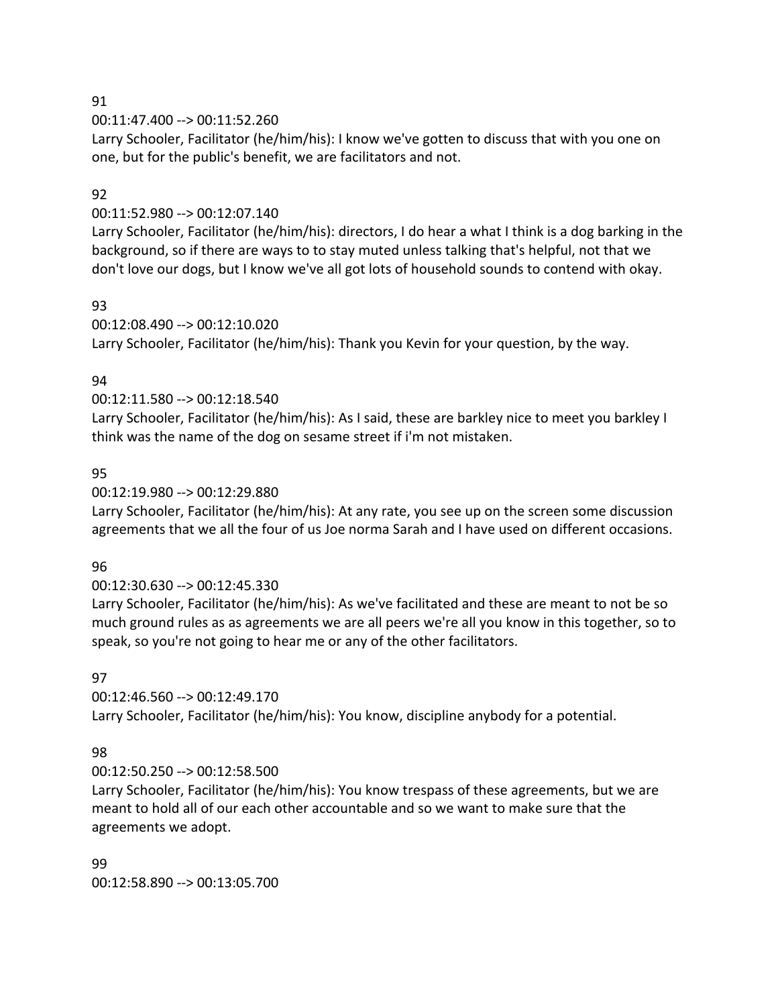91

00:11:47.400 --> 00:11:52.260

Larry Schooler, Facilitator (he/him/his): I know we've gotten to discuss that with you one on one, but for the public's benefit, we are facilitators and not.

# 92

00:11:52.980 --> 00:12:07.140

Larry Schooler, Facilitator (he/him/his): directors, I do hear a what I think is a dog barking in the background, so if there are ways to to stay muted unless talking that's helpful, not that we don't love our dogs, but I know we've all got lots of household sounds to contend with okay.

# 93

00:12:08.490 --> 00:12:10.020 Larry Schooler, Facilitator (he/him/his): Thank you Kevin for your question, by the way.

# 94

00:12:11.580 --> 00:12:18.540

Larry Schooler, Facilitator (he/him/his): As I said, these are barkley nice to meet you barkley I think was the name of the dog on sesame street if i'm not mistaken.

# 95

## 00:12:19.980 --> 00:12:29.880

Larry Schooler, Facilitator (he/him/his): At any rate, you see up on the screen some discussion agreements that we all the four of us Joe norma Sarah and I have used on different occasions.

## 96

# 00:12:30.630 --> 00:12:45.330

Larry Schooler, Facilitator (he/him/his): As we've facilitated and these are meant to not be so much ground rules as as agreements we are all peers we're all you know in this together, so to speak, so you're not going to hear me or any of the other facilitators.

## 97

00:12:46.560 --> 00:12:49.170 Larry Schooler, Facilitator (he/him/his): You know, discipline anybody for a potential.

# 98

00:12:50.250 --> 00:12:58.500

Larry Schooler, Facilitator (he/him/his): You know trespass of these agreements, but we are meant to hold all of our each other accountable and so we want to make sure that the agreements we adopt.

99 00:12:58.890 --> 00:13:05.700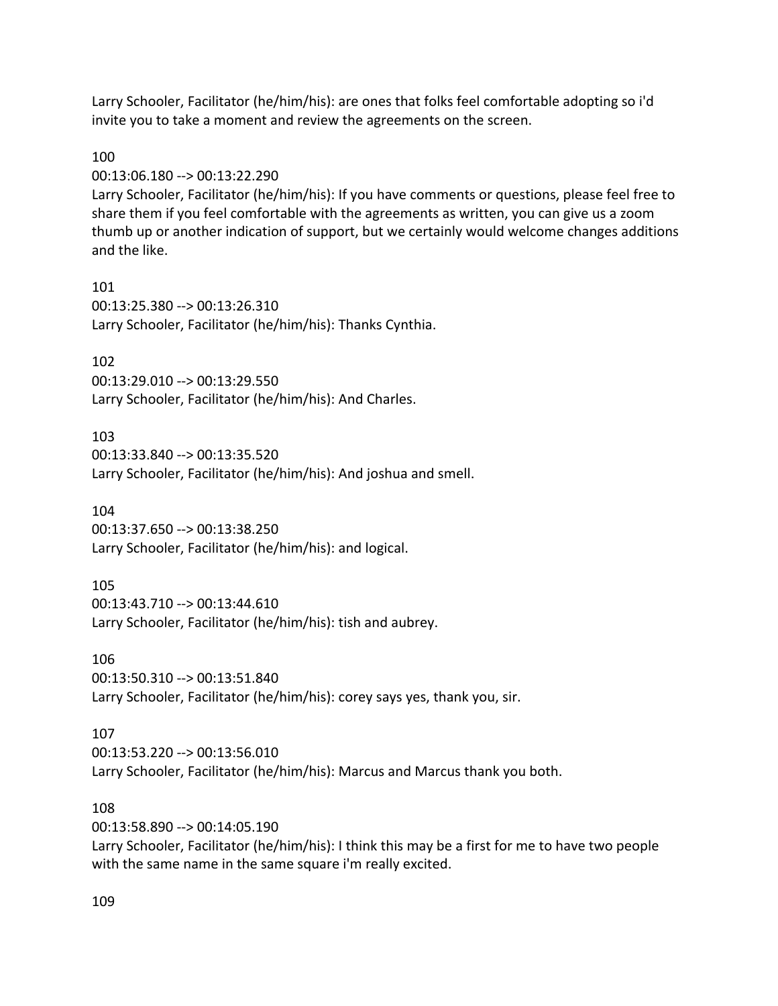Larry Schooler, Facilitator (he/him/his): are ones that folks feel comfortable adopting so i'd invite you to take a moment and review the agreements on the screen.

### 100

00:13:06.180 --> 00:13:22.290

Larry Schooler, Facilitator (he/him/his): If you have comments or questions, please feel free to share them if you feel comfortable with the agreements as written, you can give us a zoom thumb up or another indication of support, but we certainly would welcome changes additions and the like.

101 00:13:25.380 --> 00:13:26.310 Larry Schooler, Facilitator (he/him/his): Thanks Cynthia.

### 102

00:13:29.010 --> 00:13:29.550 Larry Schooler, Facilitator (he/him/his): And Charles.

#### 103

00:13:33.840 --> 00:13:35.520 Larry Schooler, Facilitator (he/him/his): And joshua and smell.

### 104

00:13:37.650 --> 00:13:38.250 Larry Schooler, Facilitator (he/him/his): and logical.

### 105

00:13:43.710 --> 00:13:44.610 Larry Schooler, Facilitator (he/him/his): tish and aubrey.

106

00:13:50.310 --> 00:13:51.840 Larry Schooler, Facilitator (he/him/his): corey says yes, thank you, sir.

### 107

00:13:53.220 --> 00:13:56.010 Larry Schooler, Facilitator (he/him/his): Marcus and Marcus thank you both.

### 108

00:13:58.890 --> 00:14:05.190 Larry Schooler, Facilitator (he/him/his): I think this may be a first for me to have two people with the same name in the same square i'm really excited.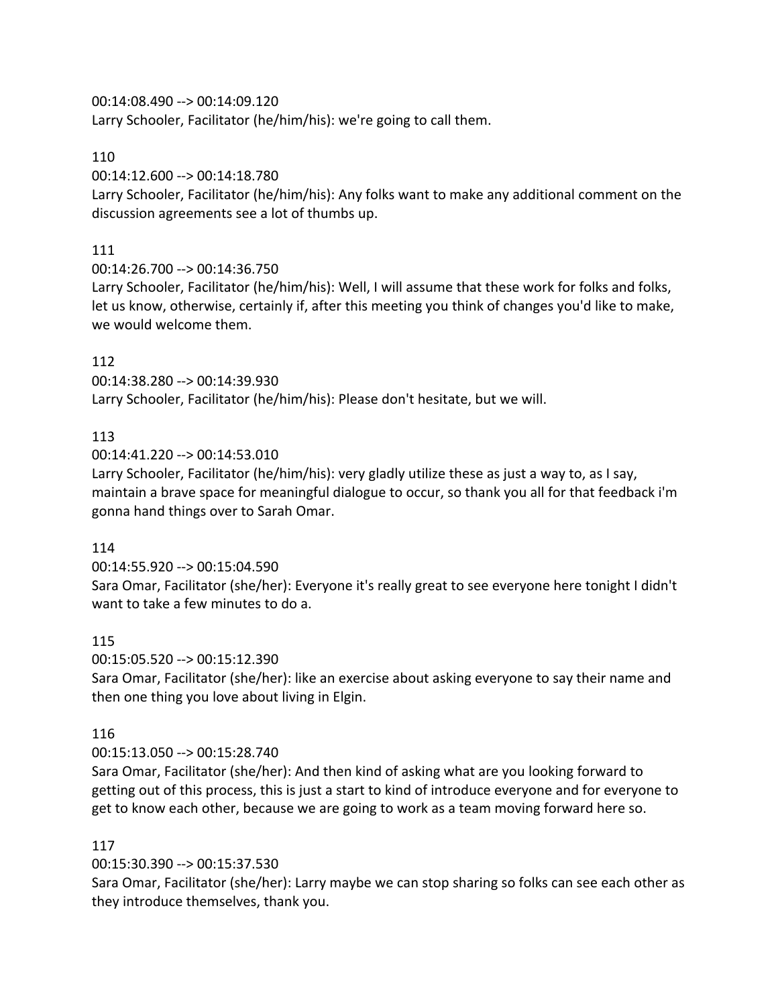# 00:14:08.490 --> 00:14:09.120

Larry Schooler, Facilitator (he/him/his): we're going to call them.

# 110

00:14:12.600 --> 00:14:18.780

Larry Schooler, Facilitator (he/him/his): Any folks want to make any additional comment on the discussion agreements see a lot of thumbs up.

# 111

00:14:26.700 --> 00:14:36.750

Larry Schooler, Facilitator (he/him/his): Well, I will assume that these work for folks and folks, let us know, otherwise, certainly if, after this meeting you think of changes you'd like to make, we would welcome them.

# 112

00:14:38.280 --> 00:14:39.930 Larry Schooler, Facilitator (he/him/his): Please don't hesitate, but we will.

# 113

00:14:41.220 --> 00:14:53.010

Larry Schooler, Facilitator (he/him/his): very gladly utilize these as just a way to, as I say, maintain a brave space for meaningful dialogue to occur, so thank you all for that feedback i'm gonna hand things over to Sarah Omar.

# 114

00:14:55.920 --> 00:15:04.590

Sara Omar, Facilitator (she/her): Everyone it's really great to see everyone here tonight I didn't want to take a few minutes to do a.

# 115

00:15:05.520 --> 00:15:12.390

Sara Omar, Facilitator (she/her): like an exercise about asking everyone to say their name and then one thing you love about living in Elgin.

# 116

# 00:15:13.050 --> 00:15:28.740

Sara Omar, Facilitator (she/her): And then kind of asking what are you looking forward to getting out of this process, this is just a start to kind of introduce everyone and for everyone to get to know each other, because we are going to work as a team moving forward here so.

# 117

00:15:30.390 --> 00:15:37.530

Sara Omar, Facilitator (she/her): Larry maybe we can stop sharing so folks can see each other as they introduce themselves, thank you.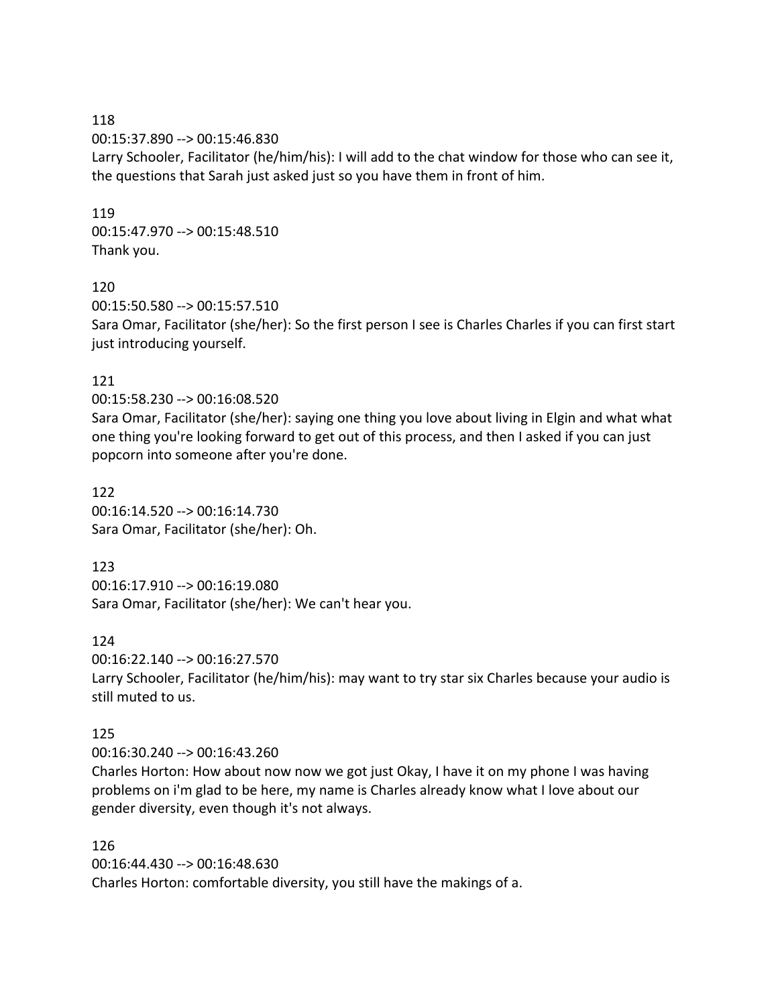118 00:15:37.890 --> 00:15:46.830 Larry Schooler, Facilitator (he/him/his): I will add to the chat window for those who can see it, the questions that Sarah just asked just so you have them in front of him.

119 00:15:47.970 --> 00:15:48.510 Thank you.

### 120

00:15:50.580 --> 00:15:57.510 Sara Omar, Facilitator (she/her): So the first person I see is Charles Charles if you can first start just introducing yourself.

### 121

00:15:58.230 --> 00:16:08.520

Sara Omar, Facilitator (she/her): saying one thing you love about living in Elgin and what what one thing you're looking forward to get out of this process, and then I asked if you can just popcorn into someone after you're done.

122 00:16:14.520 --> 00:16:14.730 Sara Omar, Facilitator (she/her): Oh.

123 00:16:17.910 --> 00:16:19.080 Sara Omar, Facilitator (she/her): We can't hear you.

124

00:16:22.140 --> 00:16:27.570 Larry Schooler, Facilitator (he/him/his): may want to try star six Charles because your audio is still muted to us.

#### 125

00:16:30.240 --> 00:16:43.260

Charles Horton: How about now now we got just Okay, I have it on my phone I was having problems on i'm glad to be here, my name is Charles already know what I love about our gender diversity, even though it's not always.

126 00:16:44.430 --> 00:16:48.630 Charles Horton: comfortable diversity, you still have the makings of a.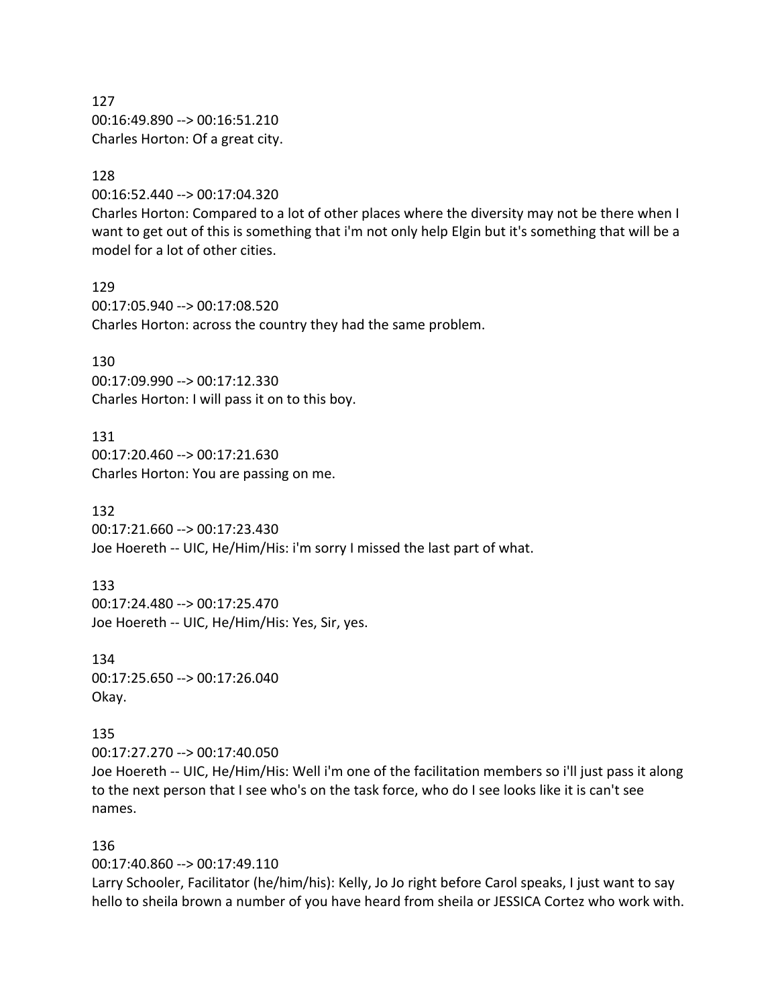127 00:16:49.890 --> 00:16:51.210 Charles Horton: Of a great city.

#### 128

00:16:52.440 --> 00:17:04.320

Charles Horton: Compared to a lot of other places where the diversity may not be there when I want to get out of this is something that i'm not only help Elgin but it's something that will be a model for a lot of other cities.

129 00:17:05.940 --> 00:17:08.520 Charles Horton: across the country they had the same problem.

130 00:17:09.990 --> 00:17:12.330 Charles Horton: I will pass it on to this boy.

131 00:17:20.460 --> 00:17:21.630 Charles Horton: You are passing on me.

132 00:17:21.660 --> 00:17:23.430 Joe Hoereth -- UIC, He/Him/His: i'm sorry I missed the last part of what.

133 00:17:24.480 --> 00:17:25.470 Joe Hoereth -- UIC, He/Him/His: Yes, Sir, yes.

134 00:17:25.650 --> 00:17:26.040 Okay.

135 00:17:27.270 --> 00:17:40.050 Joe Hoereth -- UIC, He/Him/His: Well i'm one of the facilitation members so i'll just pass it along to the next person that I see who's on the task force, who do I see looks like it is can't see names.

#### 136

00:17:40.860 --> 00:17:49.110

Larry Schooler, Facilitator (he/him/his): Kelly, Jo Jo right before Carol speaks, I just want to say hello to sheila brown a number of you have heard from sheila or JESSICA Cortez who work with.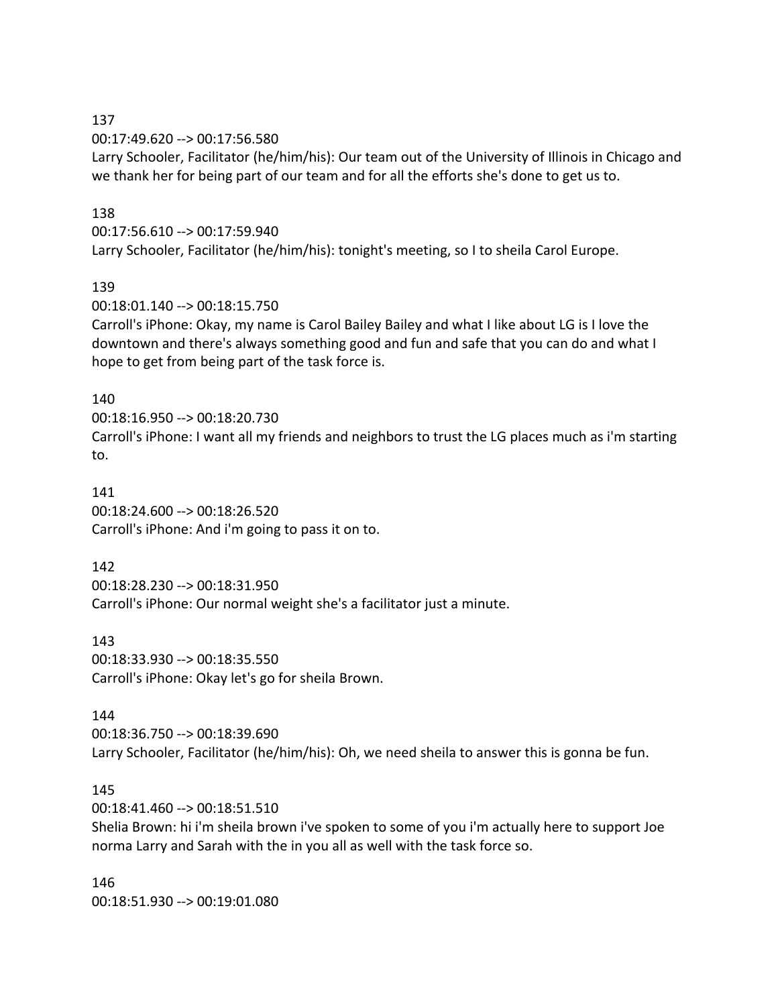### 137

00:17:49.620 --> 00:17:56.580

Larry Schooler, Facilitator (he/him/his): Our team out of the University of Illinois in Chicago and we thank her for being part of our team and for all the efforts she's done to get us to.

### 138

00:17:56.610 --> 00:17:59.940

Larry Schooler, Facilitator (he/him/his): tonight's meeting, so I to sheila Carol Europe.

### 139

00:18:01.140 --> 00:18:15.750

Carroll's iPhone: Okay, my name is Carol Bailey Bailey and what I like about LG is I love the downtown and there's always something good and fun and safe that you can do and what I hope to get from being part of the task force is.

### 140

00:18:16.950 --> 00:18:20.730 Carroll's iPhone: I want all my friends and neighbors to trust the LG places much as i'm starting to.

## 141 00:18:24.600 --> 00:18:26.520 Carroll's iPhone: And i'm going to pass it on to.

142

00:18:28.230 --> 00:18:31.950 Carroll's iPhone: Our normal weight she's a facilitator just a minute.

143

00:18:33.930 --> 00:18:35.550 Carroll's iPhone: Okay let's go for sheila Brown.

### 144

00:18:36.750 --> 00:18:39.690 Larry Schooler, Facilitator (he/him/his): Oh, we need sheila to answer this is gonna be fun.

### 145

00:18:41.460 --> 00:18:51.510

Shelia Brown: hi i'm sheila brown i've spoken to some of you i'm actually here to support Joe norma Larry and Sarah with the in you all as well with the task force so.

146 00:18:51.930 --> 00:19:01.080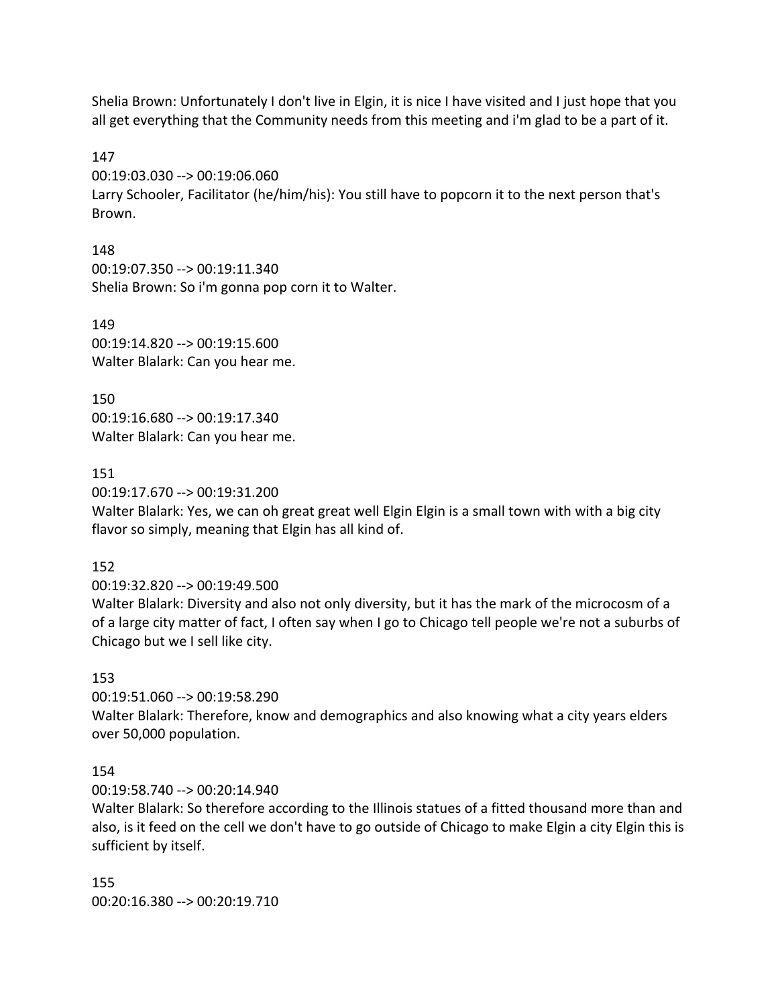Shelia Brown: Unfortunately I don't live in Elgin, it is nice I have visited and I just hope that you all get everything that the Community needs from this meeting and i'm glad to be a part of it.

147

00:19:03.030 --> 00:19:06.060 Larry Schooler, Facilitator (he/him/his): You still have to popcorn it to the next person that's Brown.

148 00:19:07.350 --> 00:19:11.340 Shelia Brown: So i'm gonna pop corn it to Walter.

149 00:19:14.820 --> 00:19:15.600 Walter Blalark: Can you hear me.

150 00:19:16.680 --> 00:19:17.340 Walter Blalark: Can you hear me.

151

00:19:17.670 --> 00:19:31.200

Walter Blalark: Yes, we can oh great great well Elgin Elgin is a small town with with a big city flavor so simply, meaning that Elgin has all kind of.

152

00:19:32.820 --> 00:19:49.500

Walter Blalark: Diversity and also not only diversity, but it has the mark of the microcosm of a of a large city matter of fact, I often say when I go to Chicago tell people we're not a suburbs of Chicago but we I sell like city.

# 153

00:19:51.060 --> 00:19:58.290

Walter Blalark: Therefore, know and demographics and also knowing what a city years elders over 50,000 population.

# 154

00:19:58.740 --> 00:20:14.940

Walter Blalark: So therefore according to the Illinois statues of a fitted thousand more than and also, is it feed on the cell we don't have to go outside of Chicago to make Elgin a city Elgin this is sufficient by itself.

155 00:20:16.380 --> 00:20:19.710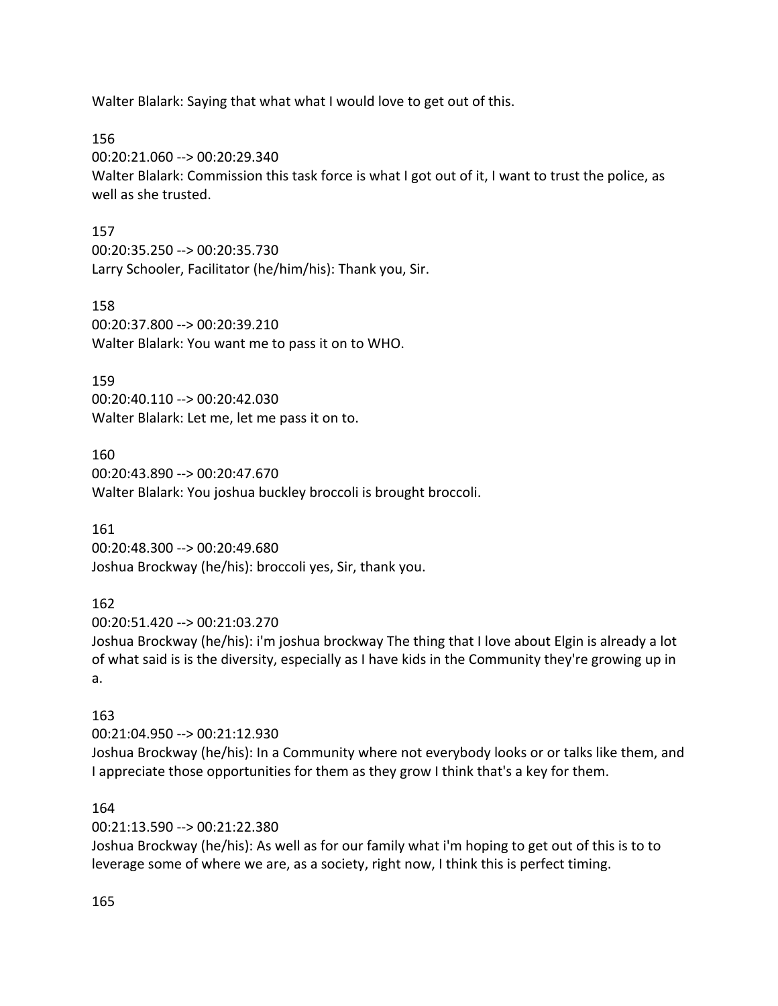Walter Blalark: Saying that what what I would love to get out of this.

156

00:20:21.060 --> 00:20:29.340 Walter Blalark: Commission this task force is what I got out of it, I want to trust the police, as well as she trusted.

### 157

00:20:35.250 --> 00:20:35.730 Larry Schooler, Facilitator (he/him/his): Thank you, Sir.

158

00:20:37.800 --> 00:20:39.210 Walter Blalark: You want me to pass it on to WHO.

159

00:20:40.110 --> 00:20:42.030 Walter Blalark: Let me, let me pass it on to.

160 00:20:43.890 --> 00:20:47.670 Walter Blalark: You joshua buckley broccoli is brought broccoli.

161 00:20:48.300 --> 00:20:49.680 Joshua Brockway (he/his): broccoli yes, Sir, thank you.

### 162

00:20:51.420 --> 00:21:03.270

Joshua Brockway (he/his): i'm joshua brockway The thing that I love about Elgin is already a lot of what said is is the diversity, especially as I have kids in the Community they're growing up in a.

### 163

00:21:04.950 --> 00:21:12.930 Joshua Brockway (he/his): In a Community where not everybody looks or or talks like them, and I appreciate those opportunities for them as they grow I think that's a key for them.

### 164

00:21:13.590 --> 00:21:22.380

Joshua Brockway (he/his): As well as for our family what i'm hoping to get out of this is to to leverage some of where we are, as a society, right now, I think this is perfect timing.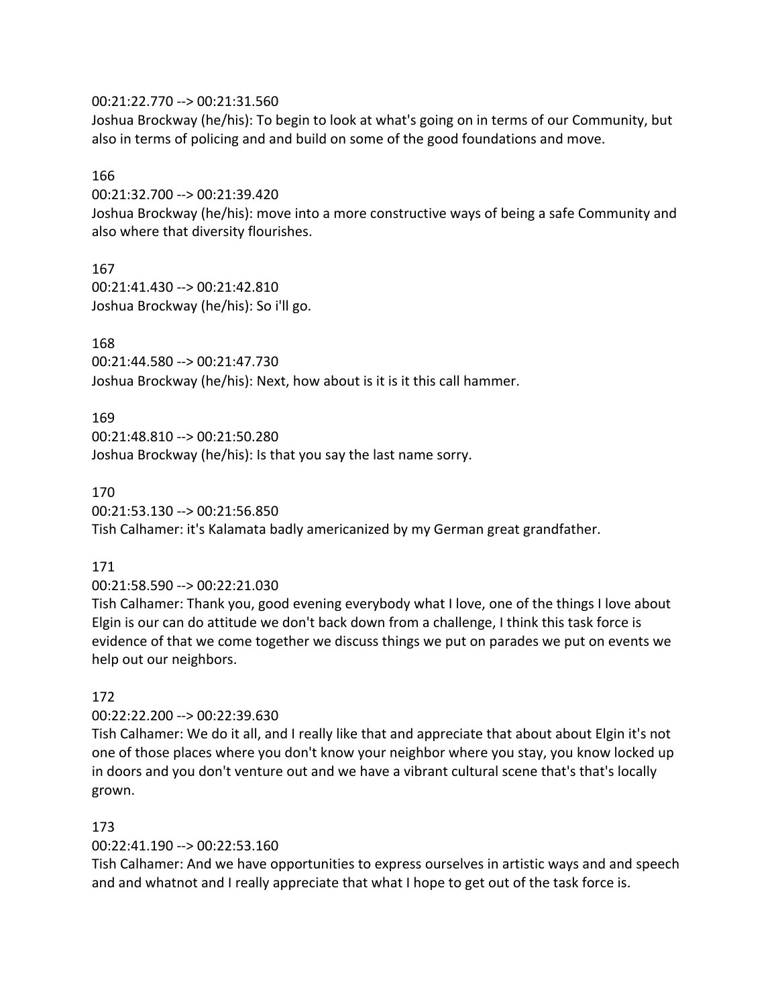### 00:21:22.770 --> 00:21:31.560

Joshua Brockway (he/his): To begin to look at what's going on in terms of our Community, but also in terms of policing and and build on some of the good foundations and move.

### 166

00:21:32.700 --> 00:21:39.420

Joshua Brockway (he/his): move into a more constructive ways of being a safe Community and also where that diversity flourishes.

## 167

00:21:41.430 --> 00:21:42.810 Joshua Brockway (he/his): So i'll go.

# 168

00:21:44.580 --> 00:21:47.730 Joshua Brockway (he/his): Next, how about is it is it this call hammer.

## 169

00:21:48.810 --> 00:21:50.280 Joshua Brockway (he/his): Is that you say the last name sorry.

### 170

00:21:53.130 --> 00:21:56.850

Tish Calhamer: it's Kalamata badly americanized by my German great grandfather.

## 171

00:21:58.590 --> 00:22:21.030

Tish Calhamer: Thank you, good evening everybody what I love, one of the things I love about Elgin is our can do attitude we don't back down from a challenge, I think this task force is evidence of that we come together we discuss things we put on parades we put on events we help out our neighbors.

## 172

00:22:22.200 --> 00:22:39.630

Tish Calhamer: We do it all, and I really like that and appreciate that about about Elgin it's not one of those places where you don't know your neighbor where you stay, you know locked up in doors and you don't venture out and we have a vibrant cultural scene that's that's locally grown.

## 173

00:22:41.190 --> 00:22:53.160

Tish Calhamer: And we have opportunities to express ourselves in artistic ways and and speech and and whatnot and I really appreciate that what I hope to get out of the task force is.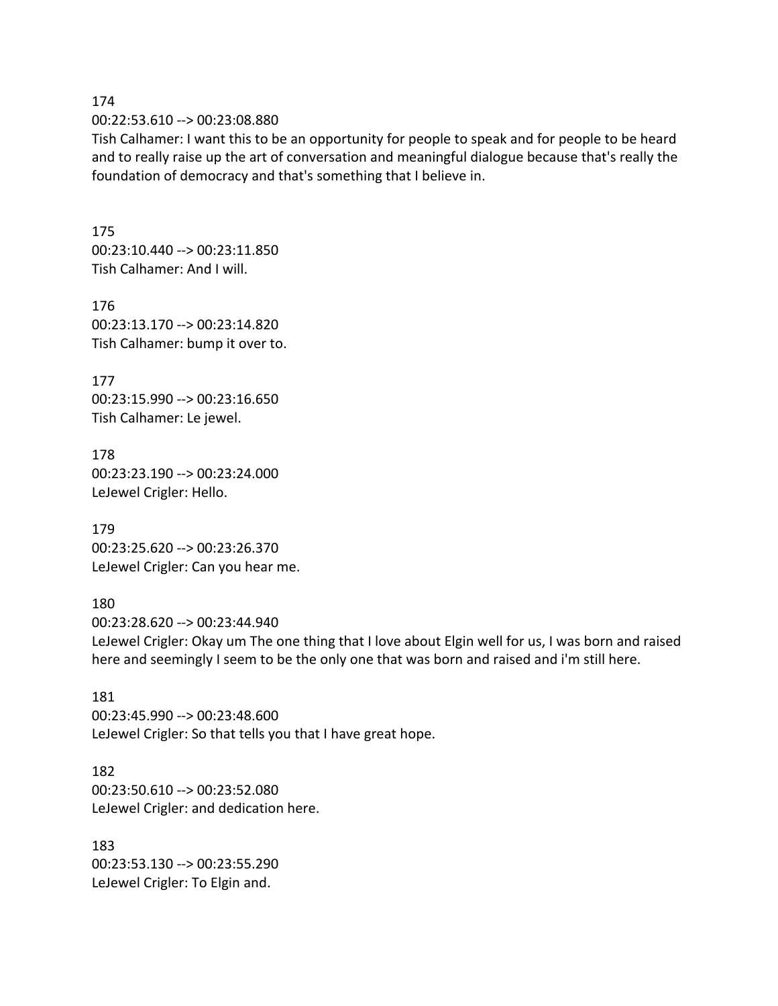174 00:22:53.610 --> 00:23:08.880

Tish Calhamer: I want this to be an opportunity for people to speak and for people to be heard and to really raise up the art of conversation and meaningful dialogue because that's really the foundation of democracy and that's something that I believe in.

175 00:23:10.440 --> 00:23:11.850 Tish Calhamer: And I will.

176 00:23:13.170 --> 00:23:14.820 Tish Calhamer: bump it over to.

177 00:23:15.990 --> 00:23:16.650 Tish Calhamer: Le jewel.

178 00:23:23.190 --> 00:23:24.000 LeJewel Crigler: Hello.

179 00:23:25.620 --> 00:23:26.370 LeJewel Crigler: Can you hear me.

180 00:23:28.620 --> 00:23:44.940 LeJewel Crigler: Okay um The one thing that I love about Elgin well for us, I was born and raised here and seemingly I seem to be the only one that was born and raised and i'm still here.

181 00:23:45.990 --> 00:23:48.600 LeJewel Crigler: So that tells you that I have great hope.

182 00:23:50.610 --> 00:23:52.080 LeJewel Crigler: and dedication here.

183 00:23:53.130 --> 00:23:55.290 LeJewel Crigler: To Elgin and.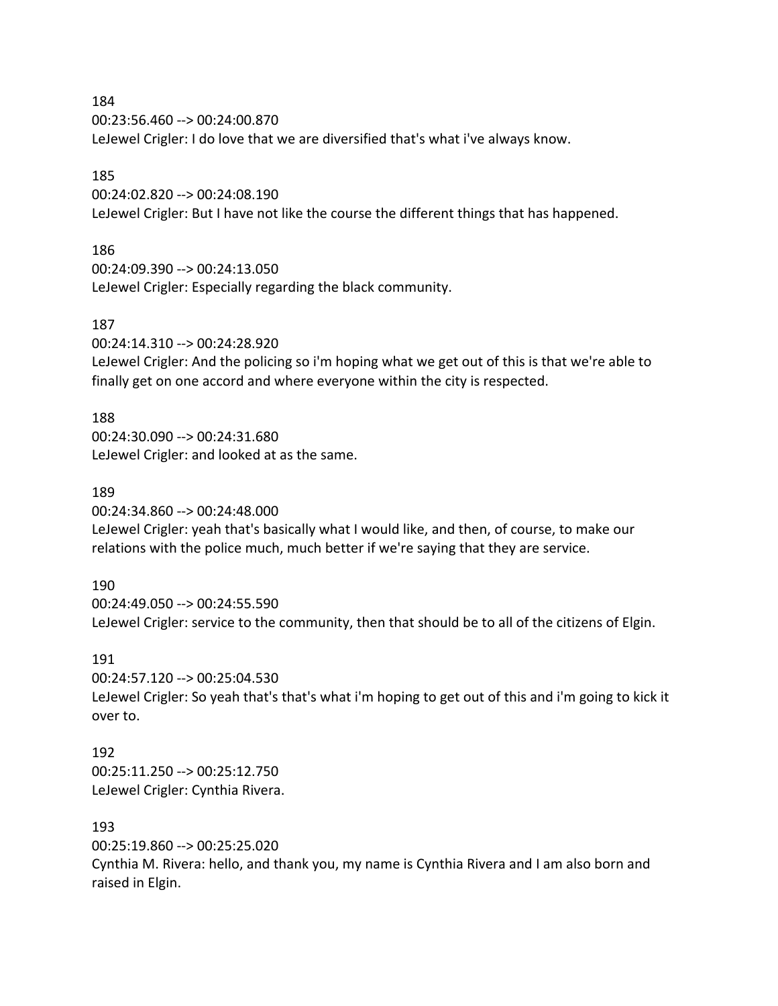184

00:23:56.460 --> 00:24:00.870 LeJewel Crigler: I do love that we are diversified that's what i've always know.

### 185

00:24:02.820 --> 00:24:08.190 LeJewel Crigler: But I have not like the course the different things that has happened.

# 186

00:24:09.390 --> 00:24:13.050 LeJewel Crigler: Especially regarding the black community.

## 187

00:24:14.310 --> 00:24:28.920

LeJewel Crigler: And the policing so i'm hoping what we get out of this is that we're able to finally get on one accord and where everyone within the city is respected.

# 188

00:24:30.090 --> 00:24:31.680 LeJewel Crigler: and looked at as the same.

## 189

00:24:34.860 --> 00:24:48.000

LeJewel Crigler: yeah that's basically what I would like, and then, of course, to make our relations with the police much, much better if we're saying that they are service.

## 190

00:24:49.050 --> 00:24:55.590 LeJewel Crigler: service to the community, then that should be to all of the citizens of Elgin.

## 191

00:24:57.120 --> 00:25:04.530

LeJewel Crigler: So yeah that's that's what i'm hoping to get out of this and i'm going to kick it over to.

## 192

00:25:11.250 --> 00:25:12.750 LeJewel Crigler: Cynthia Rivera.

## 193

00:25:19.860 --> 00:25:25.020

Cynthia M. Rivera: hello, and thank you, my name is Cynthia Rivera and I am also born and raised in Elgin.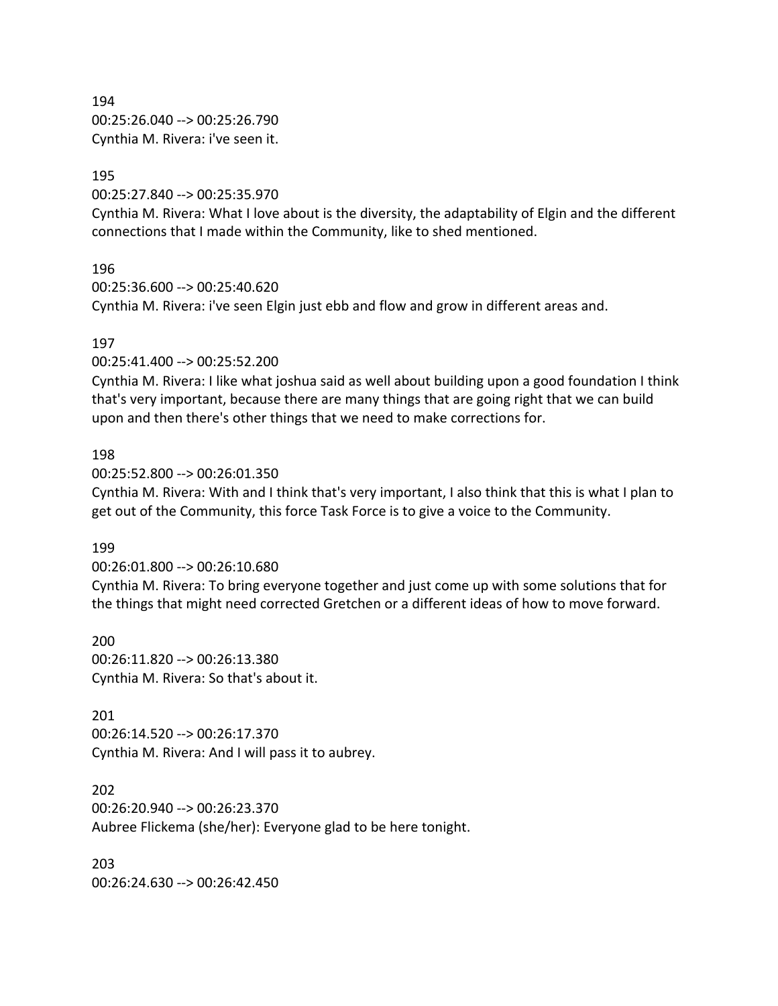194 00:25:26.040 --> 00:25:26.790 Cynthia M. Rivera: i've seen it.

#### 195

00:25:27.840 --> 00:25:35.970

Cynthia M. Rivera: What I love about is the diversity, the adaptability of Elgin and the different connections that I made within the Community, like to shed mentioned.

#### 196

00:25:36.600 --> 00:25:40.620 Cynthia M. Rivera: i've seen Elgin just ebb and flow and grow in different areas and.

#### 197

00:25:41.400 --> 00:25:52.200

Cynthia M. Rivera: I like what joshua said as well about building upon a good foundation I think that's very important, because there are many things that are going right that we can build upon and then there's other things that we need to make corrections for.

#### 198

00:25:52.800 --> 00:26:01.350

Cynthia M. Rivera: With and I think that's very important, I also think that this is what I plan to get out of the Community, this force Task Force is to give a voice to the Community.

#### 199

00:26:01.800 --> 00:26:10.680

Cynthia M. Rivera: To bring everyone together and just come up with some solutions that for the things that might need corrected Gretchen or a different ideas of how to move forward.

200 00:26:11.820 --> 00:26:13.380 Cynthia M. Rivera: So that's about it.

#### 201

00:26:14.520 --> 00:26:17.370 Cynthia M. Rivera: And I will pass it to aubrey.

202

00:26:20.940 --> 00:26:23.370 Aubree Flickema (she/her): Everyone glad to be here tonight.

203 00:26:24.630 --> 00:26:42.450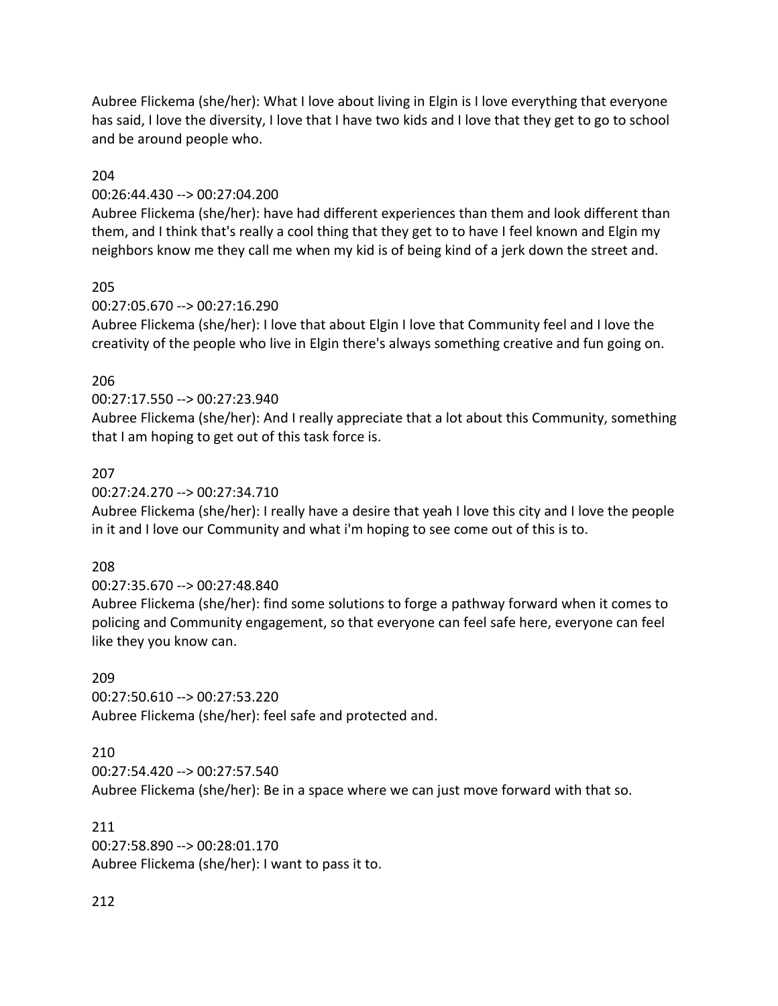Aubree Flickema (she/her): What I love about living in Elgin is I love everything that everyone has said, I love the diversity, I love that I have two kids and I love that they get to go to school and be around people who.

### 204

### 00:26:44.430 --> 00:27:04.200

Aubree Flickema (she/her): have had different experiences than them and look different than them, and I think that's really a cool thing that they get to to have I feel known and Elgin my neighbors know me they call me when my kid is of being kind of a jerk down the street and.

### 205

### 00:27:05.670 --> 00:27:16.290

Aubree Flickema (she/her): I love that about Elgin I love that Community feel and I love the creativity of the people who live in Elgin there's always something creative and fun going on.

### 206

### 00:27:17.550 --> 00:27:23.940

Aubree Flickema (she/her): And I really appreciate that a lot about this Community, something that I am hoping to get out of this task force is.

### 207

### 00:27:24.270 --> 00:27:34.710

Aubree Flickema (she/her): I really have a desire that yeah I love this city and I love the people in it and I love our Community and what i'm hoping to see come out of this is to.

### 208

## 00:27:35.670 --> 00:27:48.840

Aubree Flickema (she/her): find some solutions to forge a pathway forward when it comes to policing and Community engagement, so that everyone can feel safe here, everyone can feel like they you know can.

## 209

00:27:50.610 --> 00:27:53.220 Aubree Flickema (she/her): feel safe and protected and.

### 210

00:27:54.420 --> 00:27:57.540 Aubree Flickema (she/her): Be in a space where we can just move forward with that so.

### 211

00:27:58.890 --> 00:28:01.170 Aubree Flickema (she/her): I want to pass it to.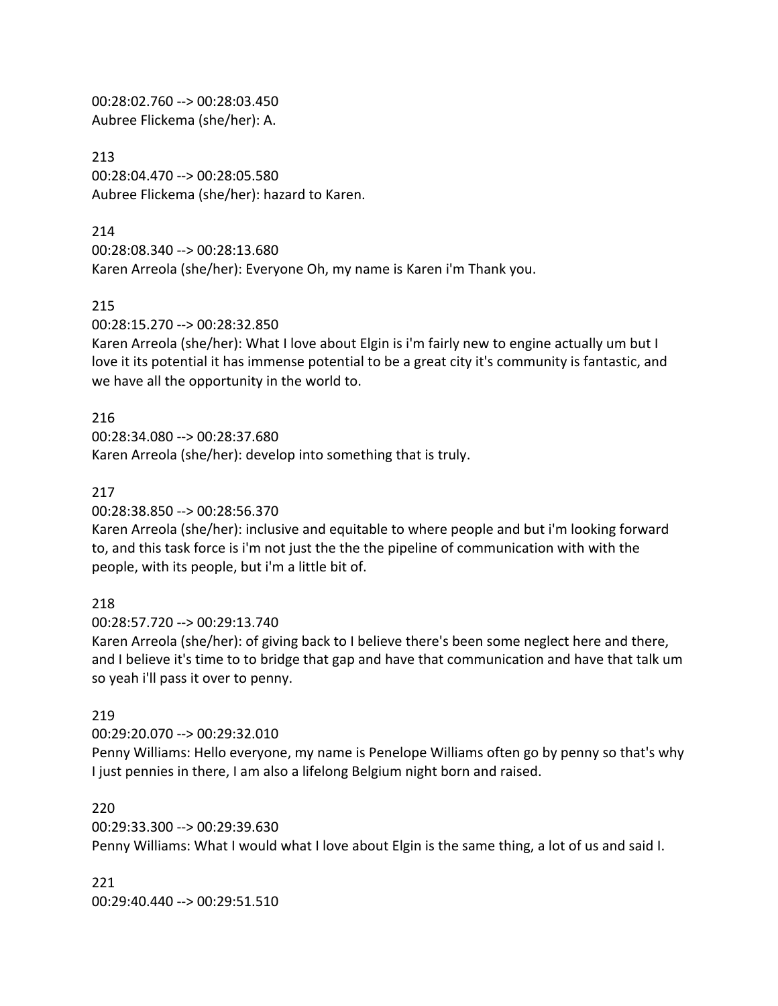00:28:02.760 --> 00:28:03.450 Aubree Flickema (she/her): A.

213 00:28:04.470 --> 00:28:05.580 Aubree Flickema (she/her): hazard to Karen.

### 214

00:28:08.340 --> 00:28:13.680

Karen Arreola (she/her): Everyone Oh, my name is Karen i'm Thank you.

### 215

00:28:15.270 --> 00:28:32.850

Karen Arreola (she/her): What I love about Elgin is i'm fairly new to engine actually um but I love it its potential it has immense potential to be a great city it's community is fantastic, and we have all the opportunity in the world to.

## 216

00:28:34.080 --> 00:28:37.680 Karen Arreola (she/her): develop into something that is truly.

### 217

00:28:38.850 --> 00:28:56.370

Karen Arreola (she/her): inclusive and equitable to where people and but i'm looking forward to, and this task force is i'm not just the the the pipeline of communication with with the people, with its people, but i'm a little bit of.

## 218

00:28:57.720 --> 00:29:13.740

Karen Arreola (she/her): of giving back to I believe there's been some neglect here and there, and I believe it's time to to bridge that gap and have that communication and have that talk um so yeah i'll pass it over to penny.

## 219

00:29:20.070 --> 00:29:32.010

Penny Williams: Hello everyone, my name is Penelope Williams often go by penny so that's why I just pennies in there, I am also a lifelong Belgium night born and raised.

### 220

00:29:33.300 --> 00:29:39.630

Penny Williams: What I would what I love about Elgin is the same thing, a lot of us and said I.

### 221

00:29:40.440 --> 00:29:51.510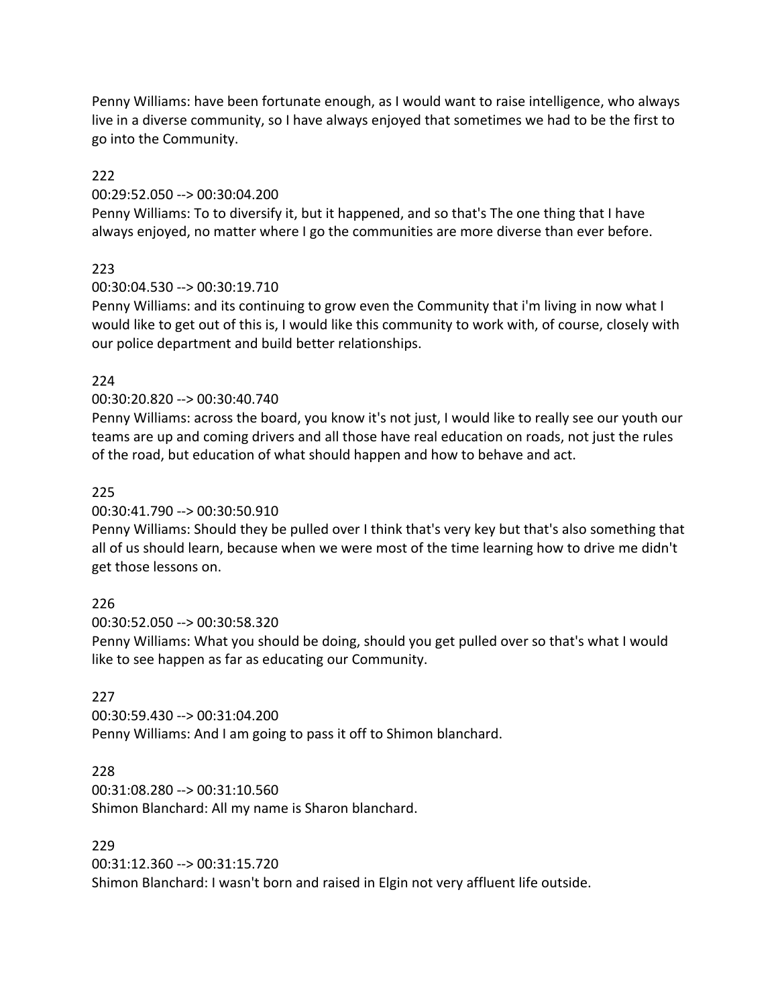Penny Williams: have been fortunate enough, as I would want to raise intelligence, who always live in a diverse community, so I have always enjoyed that sometimes we had to be the first to go into the Community.

### 222

### 00:29:52.050 --> 00:30:04.200

Penny Williams: To to diversify it, but it happened, and so that's The one thing that I have always enjoyed, no matter where I go the communities are more diverse than ever before.

## 223

## 00:30:04.530 --> 00:30:19.710

Penny Williams: and its continuing to grow even the Community that i'm living in now what I would like to get out of this is, I would like this community to work with, of course, closely with our police department and build better relationships.

## 224

## 00:30:20.820 --> 00:30:40.740

Penny Williams: across the board, you know it's not just, I would like to really see our youth our teams are up and coming drivers and all those have real education on roads, not just the rules of the road, but education of what should happen and how to behave and act.

### 225

### 00:30:41.790 --> 00:30:50.910

Penny Williams: Should they be pulled over I think that's very key but that's also something that all of us should learn, because when we were most of the time learning how to drive me didn't get those lessons on.

## 226

00:30:52.050 --> 00:30:58.320

Penny Williams: What you should be doing, should you get pulled over so that's what I would like to see happen as far as educating our Community.

## 227

00:30:59.430 --> 00:31:04.200 Penny Williams: And I am going to pass it off to Shimon blanchard.

### 228

00:31:08.280 --> 00:31:10.560 Shimon Blanchard: All my name is Sharon blanchard.

### 229

00:31:12.360 --> 00:31:15.720 Shimon Blanchard: I wasn't born and raised in Elgin not very affluent life outside.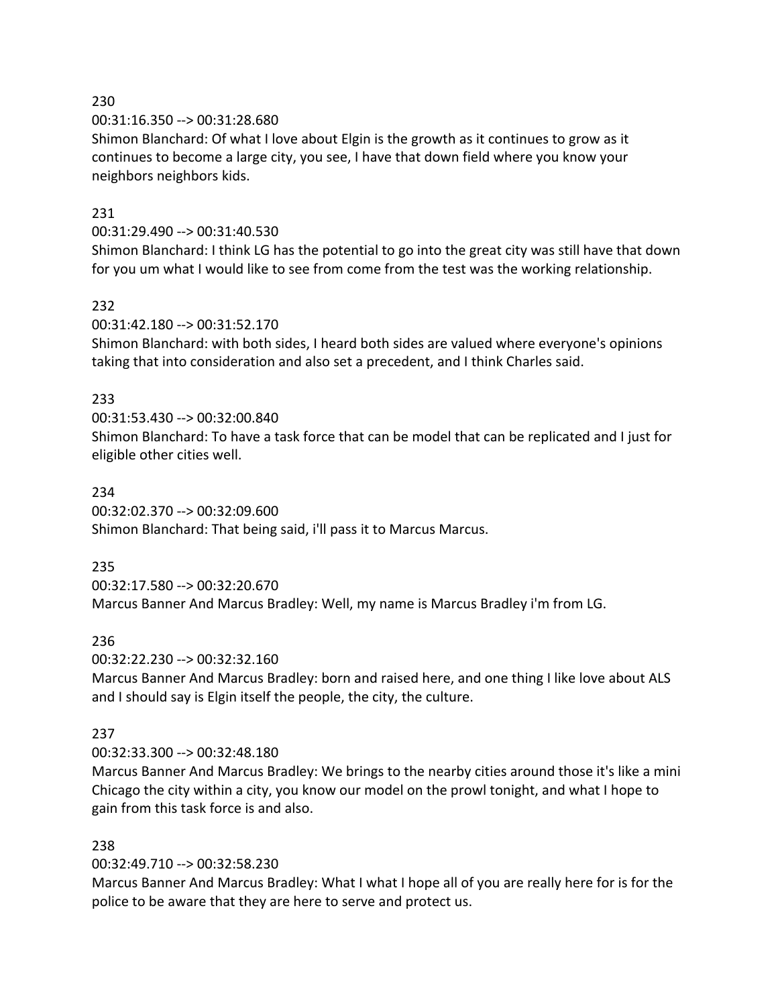230

00:31:16.350 --> 00:31:28.680

Shimon Blanchard: Of what I love about Elgin is the growth as it continues to grow as it continues to become a large city, you see, I have that down field where you know your neighbors neighbors kids.

## 231

### 00:31:29.490 --> 00:31:40.530

Shimon Blanchard: I think LG has the potential to go into the great city was still have that down for you um what I would like to see from come from the test was the working relationship.

## 232

00:31:42.180 --> 00:31:52.170

Shimon Blanchard: with both sides, I heard both sides are valued where everyone's opinions taking that into consideration and also set a precedent, and I think Charles said.

## 233

00:31:53.430 --> 00:32:00.840 Shimon Blanchard: To have a task force that can be model that can be replicated and I just for eligible other cities well.

### 234

00:32:02.370 --> 00:32:09.600

Shimon Blanchard: That being said, i'll pass it to Marcus Marcus.

## 235

00:32:17.580 --> 00:32:20.670

Marcus Banner And Marcus Bradley: Well, my name is Marcus Bradley i'm from LG.

## 236

00:32:22.230 --> 00:32:32.160

Marcus Banner And Marcus Bradley: born and raised here, and one thing I like love about ALS and I should say is Elgin itself the people, the city, the culture.

### 237

## 00:32:33.300 --> 00:32:48.180

Marcus Banner And Marcus Bradley: We brings to the nearby cities around those it's like a mini Chicago the city within a city, you know our model on the prowl tonight, and what I hope to gain from this task force is and also.

## 238

00:32:49.710 --> 00:32:58.230

Marcus Banner And Marcus Bradley: What I what I hope all of you are really here for is for the police to be aware that they are here to serve and protect us.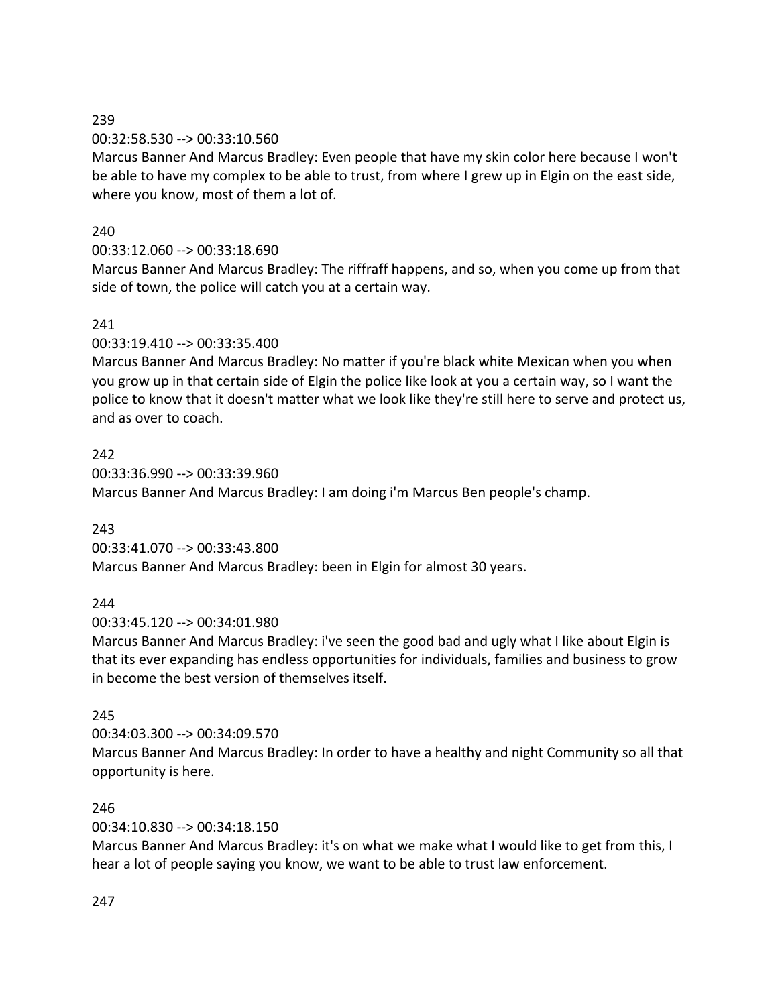# 239

## 00:32:58.530 --> 00:33:10.560

Marcus Banner And Marcus Bradley: Even people that have my skin color here because I won't be able to have my complex to be able to trust, from where I grew up in Elgin on the east side, where you know, most of them a lot of.

# 240

# 00:33:12.060 --> 00:33:18.690

Marcus Banner And Marcus Bradley: The riffraff happens, and so, when you come up from that side of town, the police will catch you at a certain way.

# 241

00:33:19.410 --> 00:33:35.400

Marcus Banner And Marcus Bradley: No matter if you're black white Mexican when you when you grow up in that certain side of Elgin the police like look at you a certain way, so I want the police to know that it doesn't matter what we look like they're still here to serve and protect us, and as over to coach.

242 00:33:36.990 --> 00:33:39.960 Marcus Banner And Marcus Bradley: I am doing i'm Marcus Ben people's champ.

## 243

00:33:41.070 --> 00:33:43.800

Marcus Banner And Marcus Bradley: been in Elgin for almost 30 years.

## 244

00:33:45.120 --> 00:34:01.980

Marcus Banner And Marcus Bradley: i've seen the good bad and ugly what I like about Elgin is that its ever expanding has endless opportunities for individuals, families and business to grow in become the best version of themselves itself.

# 245

00:34:03.300 --> 00:34:09.570 Marcus Banner And Marcus Bradley: In order to have a healthy and night Community so all that opportunity is here.

## 246

00:34:10.830 --> 00:34:18.150

Marcus Banner And Marcus Bradley: it's on what we make what I would like to get from this, I hear a lot of people saying you know, we want to be able to trust law enforcement.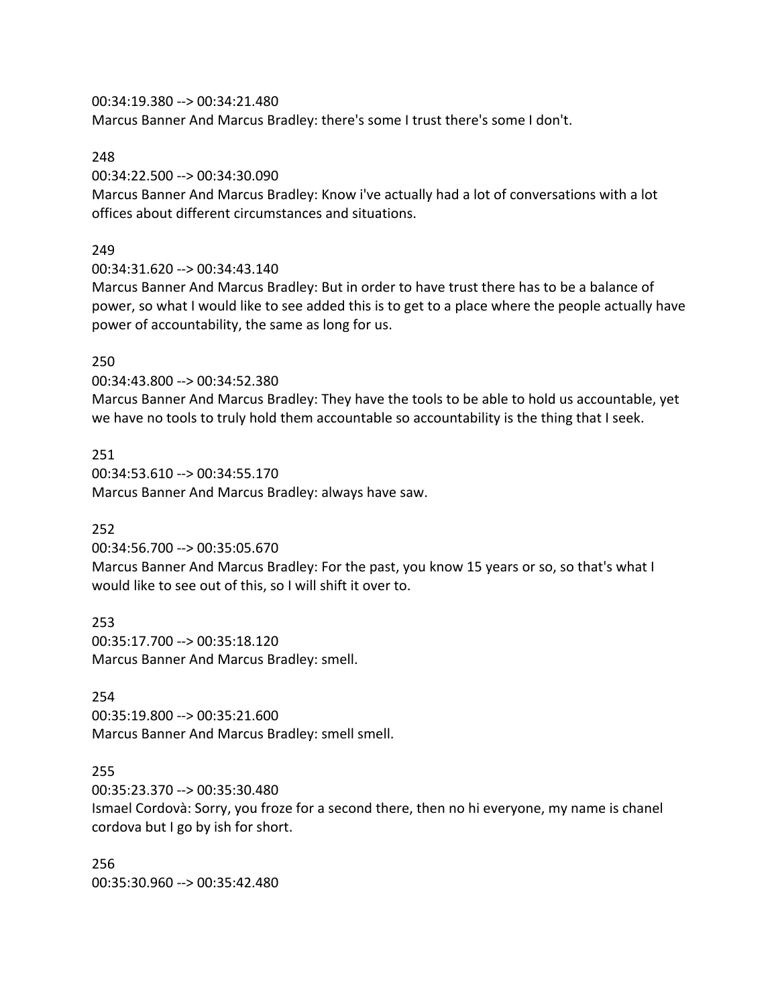00:34:19.380 --> 00:34:21.480

Marcus Banner And Marcus Bradley: there's some I trust there's some I don't.

### 248

00:34:22.500 --> 00:34:30.090

Marcus Banner And Marcus Bradley: Know i've actually had a lot of conversations with a lot offices about different circumstances and situations.

# 249

00:34:31.620 --> 00:34:43.140

Marcus Banner And Marcus Bradley: But in order to have trust there has to be a balance of power, so what I would like to see added this is to get to a place where the people actually have power of accountability, the same as long for us.

## 250

00:34:43.800 --> 00:34:52.380

Marcus Banner And Marcus Bradley: They have the tools to be able to hold us accountable, yet we have no tools to truly hold them accountable so accountability is the thing that I seek.

251 00:34:53.610 --> 00:34:55.170 Marcus Banner And Marcus Bradley: always have saw.

# 252

00:34:56.700 --> 00:35:05.670

Marcus Banner And Marcus Bradley: For the past, you know 15 years or so, so that's what I would like to see out of this, so I will shift it over to.

253 00:35:17.700 --> 00:35:18.120 Marcus Banner And Marcus Bradley: smell.

## 254

00:35:19.800 --> 00:35:21.600 Marcus Banner And Marcus Bradley: smell smell.

## 255

00:35:23.370 --> 00:35:30.480 Ismael Cordovà: Sorry, you froze for a second there, then no hi everyone, my name is chanel cordova but I go by ish for short.

256 00:35:30.960 --> 00:35:42.480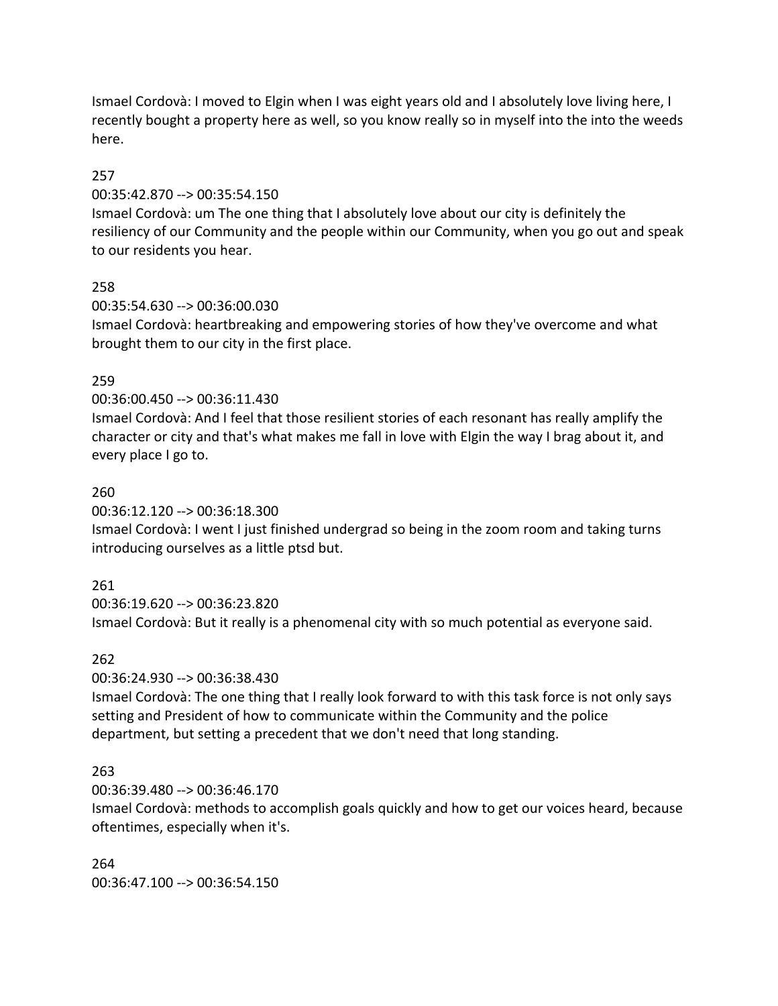Ismael Cordovà: I moved to Elgin when I was eight years old and I absolutely love living here, I recently bought a property here as well, so you know really so in myself into the into the weeds here.

### 257

00:35:42.870 --> 00:35:54.150

Ismael Cordovà: um The one thing that I absolutely love about our city is definitely the resiliency of our Community and the people within our Community, when you go out and speak to our residents you hear.

### 258

00:35:54.630 --> 00:36:00.030 Ismael Cordovà: heartbreaking and empowering stories of how they've overcome and what brought them to our city in the first place.

### 259

00:36:00.450 --> 00:36:11.430

Ismael Cordovà: And I feel that those resilient stories of each resonant has really amplify the character or city and that's what makes me fall in love with Elgin the way I brag about it, and every place I go to.

### 260

00:36:12.120 --> 00:36:18.300

Ismael Cordovà: I went I just finished undergrad so being in the zoom room and taking turns introducing ourselves as a little ptsd but.

### 261

00:36:19.620 --> 00:36:23.820 Ismael Cordovà: But it really is a phenomenal city with so much potential as everyone said.

### 262

00:36:24.930 --> 00:36:38.430

Ismael Cordovà: The one thing that I really look forward to with this task force is not only says setting and President of how to communicate within the Community and the police department, but setting a precedent that we don't need that long standing.

### 263

00:36:39.480 --> 00:36:46.170

Ismael Cordovà: methods to accomplish goals quickly and how to get our voices heard, because oftentimes, especially when it's.

264 00:36:47.100 --> 00:36:54.150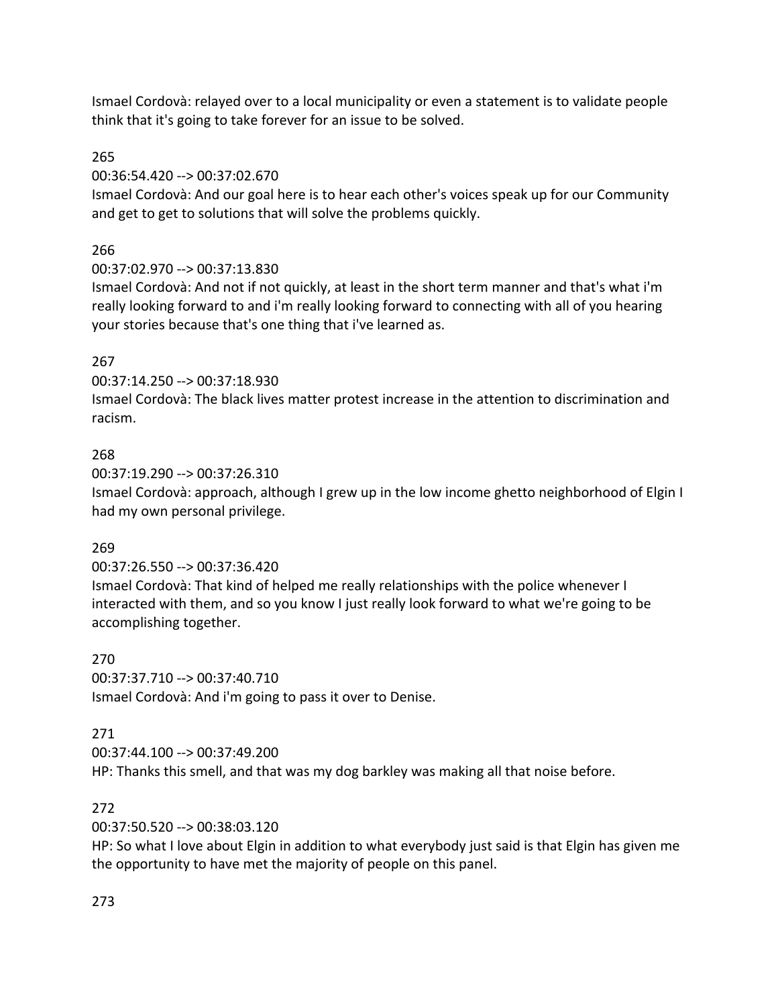Ismael Cordovà: relayed over to a local municipality or even a statement is to validate people think that it's going to take forever for an issue to be solved.

# 265

00:36:54.420 --> 00:37:02.670

Ismael Cordovà: And our goal here is to hear each other's voices speak up for our Community and get to get to solutions that will solve the problems quickly.

# 266

00:37:02.970 --> 00:37:13.830

Ismael Cordovà: And not if not quickly, at least in the short term manner and that's what i'm really looking forward to and i'm really looking forward to connecting with all of you hearing your stories because that's one thing that i've learned as.

# 267

00:37:14.250 --> 00:37:18.930

Ismael Cordovà: The black lives matter protest increase in the attention to discrimination and racism.

# 268

00:37:19.290 --> 00:37:26.310 Ismael Cordovà: approach, although I grew up in the low income ghetto neighborhood of Elgin I had my own personal privilege.

# 269

00:37:26.550 --> 00:37:36.420

Ismael Cordovà: That kind of helped me really relationships with the police whenever I interacted with them, and so you know I just really look forward to what we're going to be accomplishing together.

270 00:37:37.710 --> 00:37:40.710 Ismael Cordovà: And i'm going to pass it over to Denise.

# 271

00:37:44.100 --> 00:37:49.200

HP: Thanks this smell, and that was my dog barkley was making all that noise before.

# 272

00:37:50.520 --> 00:38:03.120

HP: So what I love about Elgin in addition to what everybody just said is that Elgin has given me the opportunity to have met the majority of people on this panel.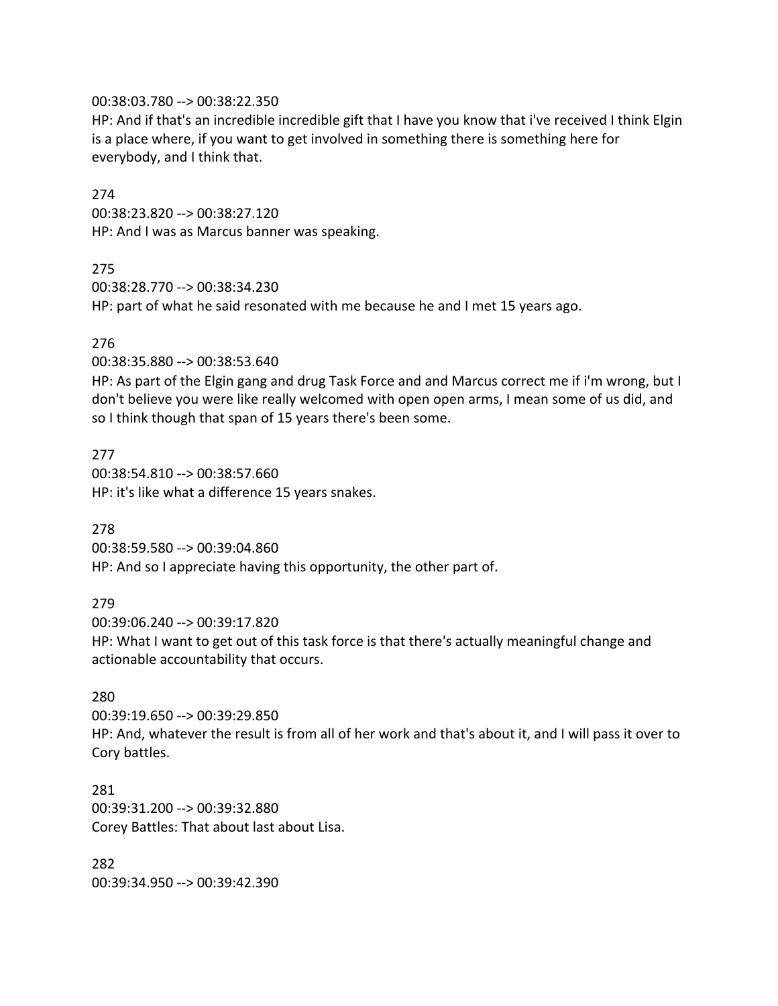#### 00:38:03.780 --> 00:38:22.350

HP: And if that's an incredible incredible gift that I have you know that i've received I think Elgin is a place where, if you want to get involved in something there is something here for everybody, and I think that.

#### 274

00:38:23.820 --> 00:38:27.120 HP: And I was as Marcus banner was speaking.

#### 275

00:38:28.770 --> 00:38:34.230 HP: part of what he said resonated with me because he and I met 15 years ago.

### 276

00:38:35.880 --> 00:38:53.640

HP: As part of the Elgin gang and drug Task Force and and Marcus correct me if i'm wrong, but I don't believe you were like really welcomed with open open arms, I mean some of us did, and so I think though that span of 15 years there's been some.

#### 277

00:38:54.810 --> 00:38:57.660 HP: it's like what a difference 15 years snakes.

### 278

00:38:59.580 --> 00:39:04.860 HP: And so I appreciate having this opportunity, the other part of.

### 279

00:39:06.240 --> 00:39:17.820 HP: What I want to get out of this task force is that there's actually meaningful change and actionable accountability that occurs.

### 280

00:39:19.650 --> 00:39:29.850

HP: And, whatever the result is from all of her work and that's about it, and I will pass it over to Cory battles.

## 281 00:39:31.200 --> 00:39:32.880 Corey Battles: That about last about Lisa.

282 00:39:34.950 --> 00:39:42.390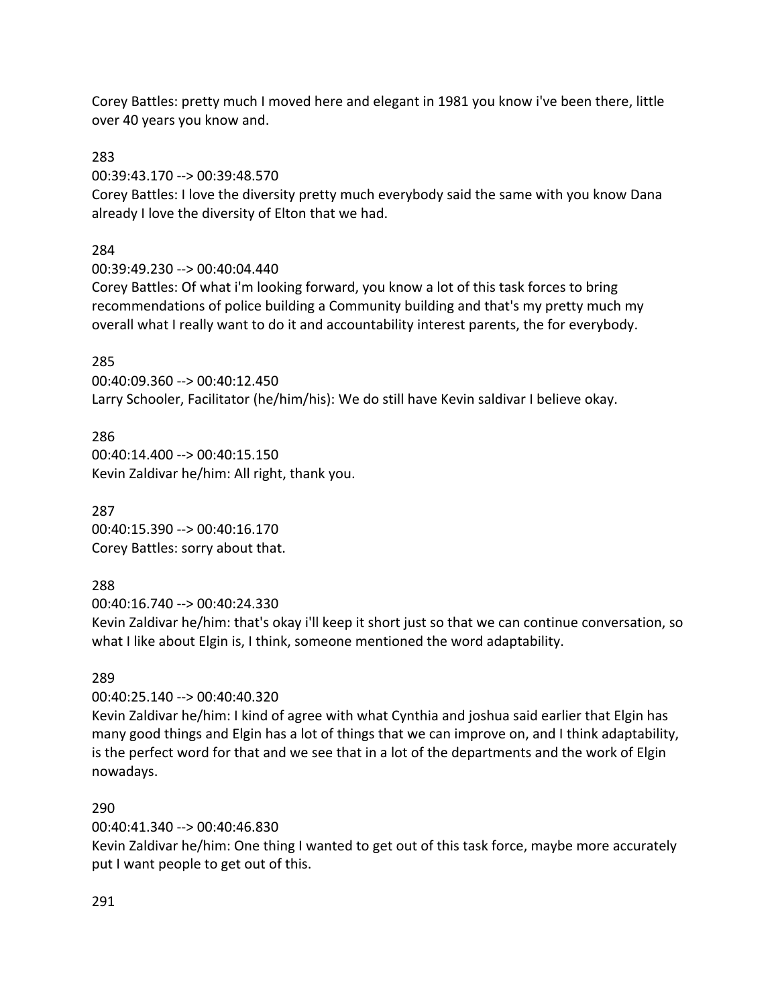Corey Battles: pretty much I moved here and elegant in 1981 you know i've been there, little over 40 years you know and.

283

00:39:43.170 --> 00:39:48.570

Corey Battles: I love the diversity pretty much everybody said the same with you know Dana already I love the diversity of Elton that we had.

### 284

00:39:49.230 --> 00:40:04.440

Corey Battles: Of what i'm looking forward, you know a lot of this task forces to bring recommendations of police building a Community building and that's my pretty much my overall what I really want to do it and accountability interest parents, the for everybody.

### 285

00:40:09.360 --> 00:40:12.450 Larry Schooler, Facilitator (he/him/his): We do still have Kevin saldivar I believe okay.

286 00:40:14.400 --> 00:40:15.150 Kevin Zaldivar he/him: All right, thank you.

287 00:40:15.390 --> 00:40:16.170 Corey Battles: sorry about that.

## 288

00:40:16.740 --> 00:40:24.330

Kevin Zaldivar he/him: that's okay i'll keep it short just so that we can continue conversation, so what I like about Elgin is, I think, someone mentioned the word adaptability.

## 289

00:40:25.140 --> 00:40:40.320

Kevin Zaldivar he/him: I kind of agree with what Cynthia and joshua said earlier that Elgin has many good things and Elgin has a lot of things that we can improve on, and I think adaptability, is the perfect word for that and we see that in a lot of the departments and the work of Elgin nowadays.

### 290

00:40:41.340 --> 00:40:46.830

Kevin Zaldivar he/him: One thing I wanted to get out of this task force, maybe more accurately put I want people to get out of this.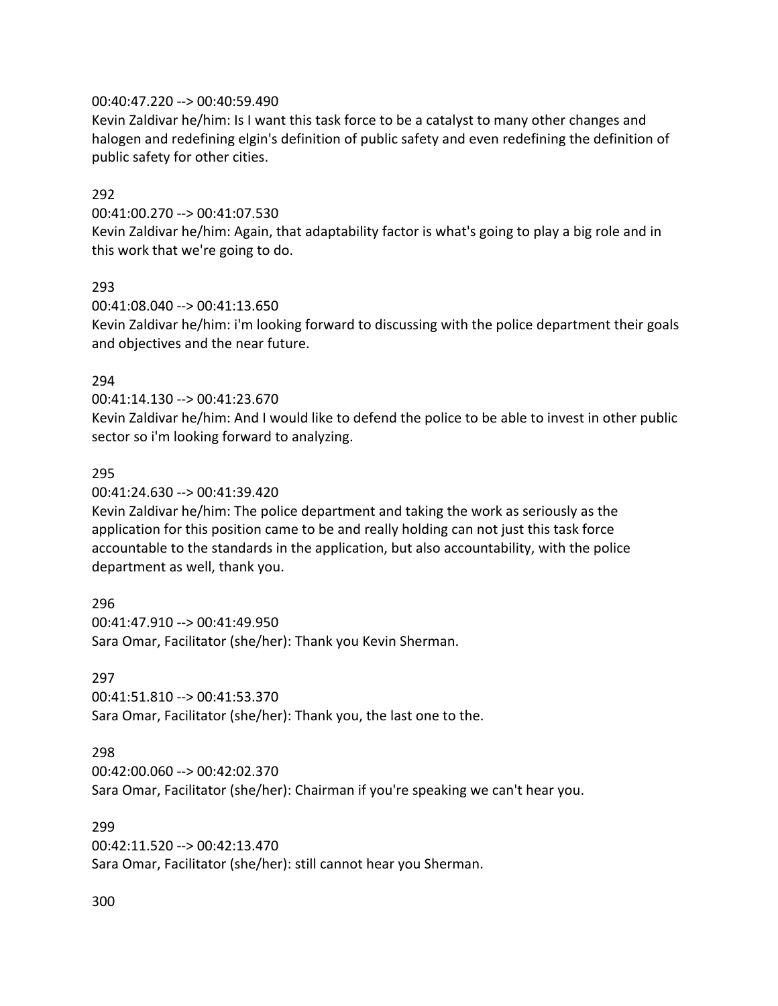### 00:40:47.220 --> 00:40:59.490

Kevin Zaldivar he/him: Is I want this task force to be a catalyst to many other changes and halogen and redefining elgin's definition of public safety and even redefining the definition of public safety for other cities.

### 292

00:41:00.270 --> 00:41:07.530

Kevin Zaldivar he/him: Again, that adaptability factor is what's going to play a big role and in this work that we're going to do.

# 293

00:41:08.040 --> 00:41:13.650 Kevin Zaldivar he/him: i'm looking forward to discussing with the police department their goals and objectives and the near future.

### 294

00:41:14.130 --> 00:41:23.670

Kevin Zaldivar he/him: And I would like to defend the police to be able to invest in other public sector so i'm looking forward to analyzing.

### 295

00:41:24.630 --> 00:41:39.420

Kevin Zaldivar he/him: The police department and taking the work as seriously as the application for this position came to be and really holding can not just this task force accountable to the standards in the application, but also accountability, with the police department as well, thank you.

### 296

00:41:47.910 --> 00:41:49.950 Sara Omar, Facilitator (she/her): Thank you Kevin Sherman.

### 297

00:41:51.810 --> 00:41:53.370 Sara Omar, Facilitator (she/her): Thank you, the last one to the.

### 298

00:42:00.060 --> 00:42:02.370 Sara Omar, Facilitator (she/her): Chairman if you're speaking we can't hear you.

### 299

00:42:11.520 --> 00:42:13.470 Sara Omar, Facilitator (she/her): still cannot hear you Sherman.

#### 300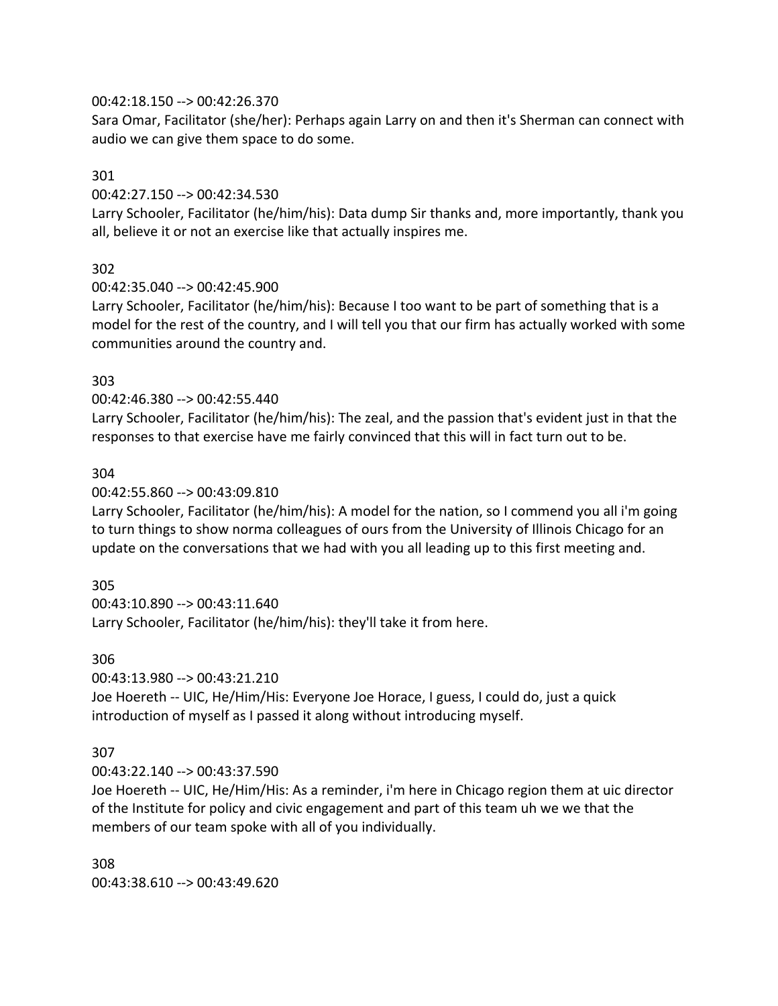### 00:42:18.150 --> 00:42:26.370

Sara Omar, Facilitator (she/her): Perhaps again Larry on and then it's Sherman can connect with audio we can give them space to do some.

### 301

00:42:27.150 --> 00:42:34.530

Larry Schooler, Facilitator (he/him/his): Data dump Sir thanks and, more importantly, thank you all, believe it or not an exercise like that actually inspires me.

# 302

00:42:35.040 --> 00:42:45.900

Larry Schooler, Facilitator (he/him/his): Because I too want to be part of something that is a model for the rest of the country, and I will tell you that our firm has actually worked with some communities around the country and.

## 303

00:42:46.380 --> 00:42:55.440

Larry Schooler, Facilitator (he/him/his): The zeal, and the passion that's evident just in that the responses to that exercise have me fairly convinced that this will in fact turn out to be.

## 304

### 00:42:55.860 --> 00:43:09.810

Larry Schooler, Facilitator (he/him/his): A model for the nation, so I commend you all i'm going to turn things to show norma colleagues of ours from the University of Illinois Chicago for an update on the conversations that we had with you all leading up to this first meeting and.

## 305

00:43:10.890 --> 00:43:11.640 Larry Schooler, Facilitator (he/him/his): they'll take it from here.

### 306

00:43:13.980 --> 00:43:21.210

Joe Hoereth -- UIC, He/Him/His: Everyone Joe Horace, I guess, I could do, just a quick introduction of myself as I passed it along without introducing myself.

## 307

00:43:22.140 --> 00:43:37.590

Joe Hoereth -- UIC, He/Him/His: As a reminder, i'm here in Chicago region them at uic director of the Institute for policy and civic engagement and part of this team uh we we that the members of our team spoke with all of you individually.

308 00:43:38.610 --> 00:43:49.620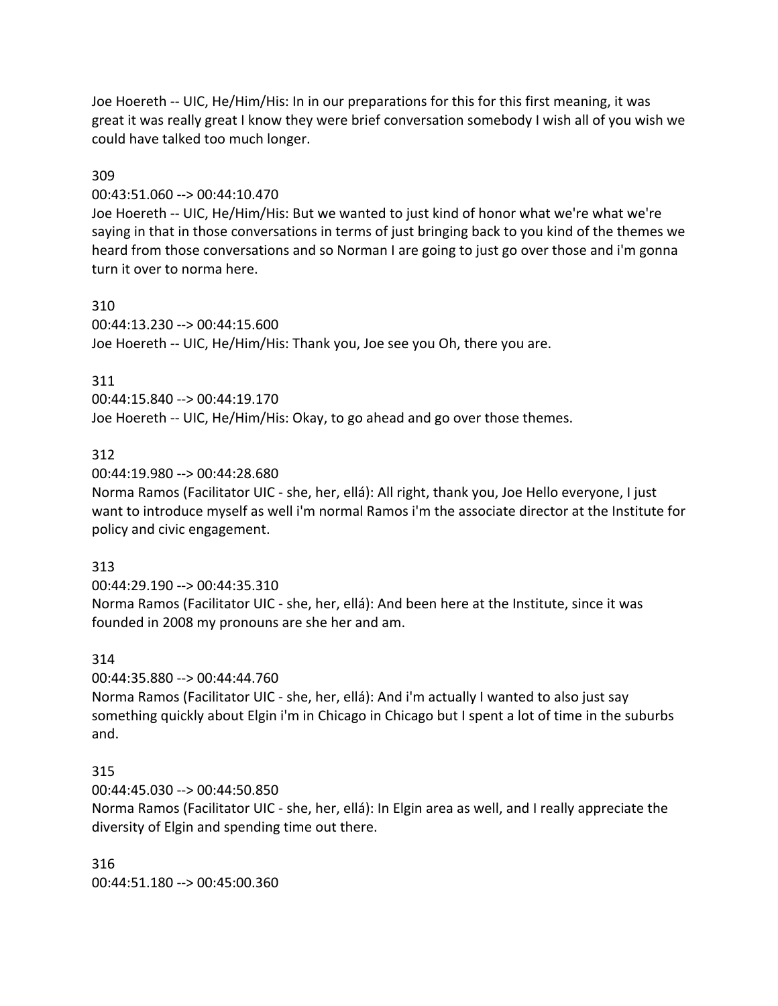Joe Hoereth -- UIC, He/Him/His: In in our preparations for this for this first meaning, it was great it was really great I know they were brief conversation somebody I wish all of you wish we could have talked too much longer.

### 309

### 00:43:51.060 --> 00:44:10.470

Joe Hoereth -- UIC, He/Him/His: But we wanted to just kind of honor what we're what we're saying in that in those conversations in terms of just bringing back to you kind of the themes we heard from those conversations and so Norman I are going to just go over those and i'm gonna turn it over to norma here.

#### 310

00:44:13.230 --> 00:44:15.600 Joe Hoereth -- UIC, He/Him/His: Thank you, Joe see you Oh, there you are.

### 311

00:44:15.840 --> 00:44:19.170 Joe Hoereth -- UIC, He/Him/His: Okay, to go ahead and go over those themes.

### 312

### 00:44:19.980 --> 00:44:28.680

Norma Ramos (Facilitator UIC - she, her, ellá): All right, thank you, Joe Hello everyone, I just want to introduce myself as well i'm normal Ramos i'm the associate director at the Institute for policy and civic engagement.

### 313

00:44:29.190 --> 00:44:35.310

Norma Ramos (Facilitator UIC - she, her, ellá): And been here at the Institute, since it was founded in 2008 my pronouns are she her and am.

### 314

00:44:35.880 --> 00:44:44.760

Norma Ramos (Facilitator UIC - she, her, ellá): And i'm actually I wanted to also just say something quickly about Elgin i'm in Chicago in Chicago but I spent a lot of time in the suburbs and.

### 315

00:44:45.030 --> 00:44:50.850

Norma Ramos (Facilitator UIC - she, her, ellá): In Elgin area as well, and I really appreciate the diversity of Elgin and spending time out there.

316 00:44:51.180 --> 00:45:00.360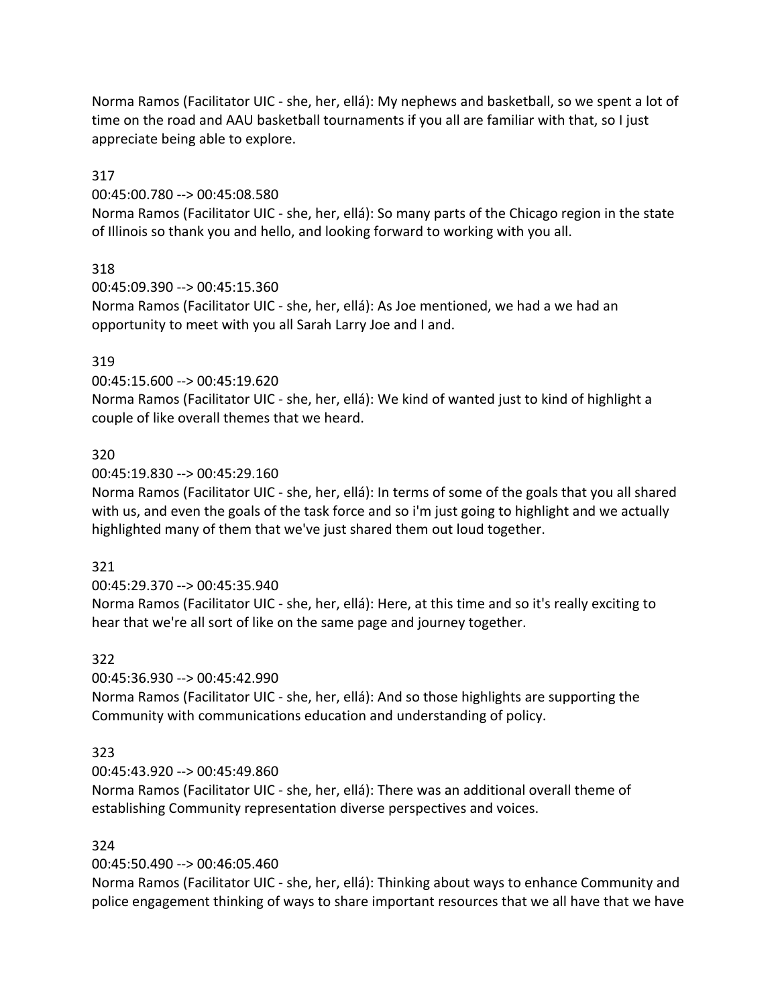Norma Ramos (Facilitator UIC - she, her, ellá): My nephews and basketball, so we spent a lot of time on the road and AAU basketball tournaments if you all are familiar with that, so I just appreciate being able to explore.

## 317

00:45:00.780 --> 00:45:08.580

Norma Ramos (Facilitator UIC - she, her, ellá): So many parts of the Chicago region in the state of Illinois so thank you and hello, and looking forward to working with you all.

## 318

00:45:09.390 --> 00:45:15.360 Norma Ramos (Facilitator UIC - she, her, ellá): As Joe mentioned, we had a we had an opportunity to meet with you all Sarah Larry Joe and I and.

## 319

00:45:15.600 --> 00:45:19.620

Norma Ramos (Facilitator UIC - she, her, ellá): We kind of wanted just to kind of highlight a couple of like overall themes that we heard.

## 320

00:45:19.830 --> 00:45:29.160

Norma Ramos (Facilitator UIC - she, her, ellá): In terms of some of the goals that you all shared with us, and even the goals of the task force and so i'm just going to highlight and we actually highlighted many of them that we've just shared them out loud together.

## 321

00:45:29.370 --> 00:45:35.940

Norma Ramos (Facilitator UIC - she, her, ellá): Here, at this time and so it's really exciting to hear that we're all sort of like on the same page and journey together.

## 322

00:45:36.930 --> 00:45:42.990

Norma Ramos (Facilitator UIC - she, her, ellá): And so those highlights are supporting the Community with communications education and understanding of policy.

## 323

00:45:43.920 --> 00:45:49.860

Norma Ramos (Facilitator UIC - she, her, ellá): There was an additional overall theme of establishing Community representation diverse perspectives and voices.

# 324

00:45:50.490 --> 00:46:05.460

Norma Ramos (Facilitator UIC - she, her, ellá): Thinking about ways to enhance Community and police engagement thinking of ways to share important resources that we all have that we have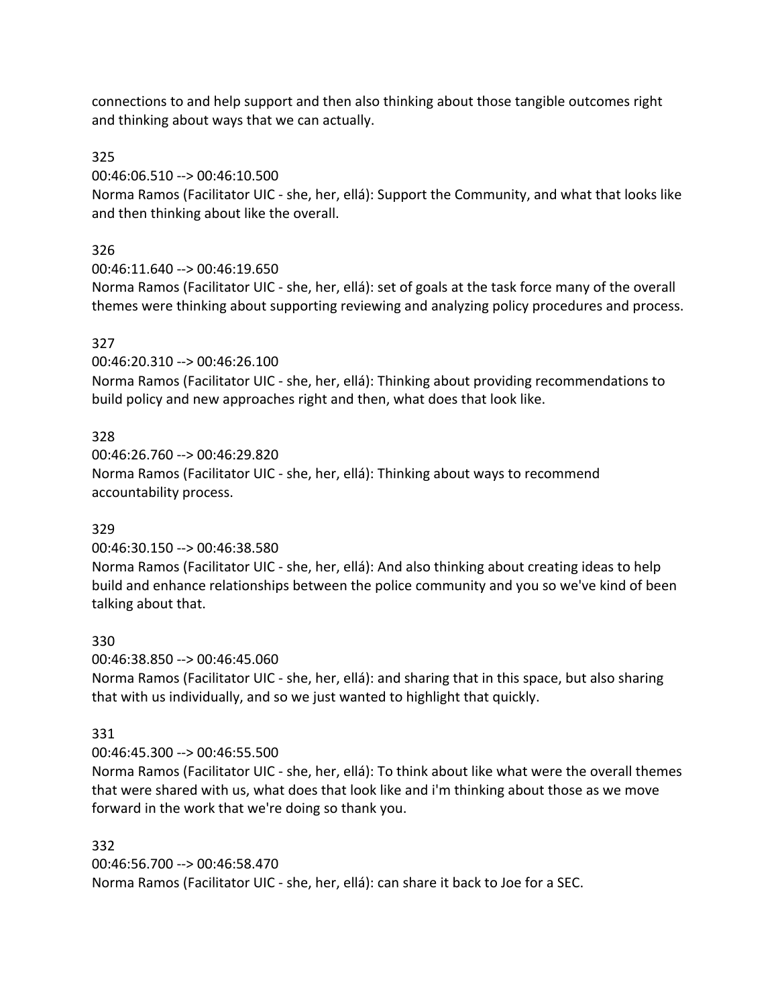connections to and help support and then also thinking about those tangible outcomes right and thinking about ways that we can actually.

## 325

00:46:06.510 --> 00:46:10.500

Norma Ramos (Facilitator UIC - she, her, ellá): Support the Community, and what that looks like and then thinking about like the overall.

# 326

00:46:11.640 --> 00:46:19.650

Norma Ramos (Facilitator UIC - she, her, ellá): set of goals at the task force many of the overall themes were thinking about supporting reviewing and analyzing policy procedures and process.

# 327

00:46:20.310 --> 00:46:26.100

Norma Ramos (Facilitator UIC - she, her, ellá): Thinking about providing recommendations to build policy and new approaches right and then, what does that look like.

## 328

00:46:26.760 --> 00:46:29.820 Norma Ramos (Facilitator UIC - she, her, ellá): Thinking about ways to recommend accountability process.

## 329

00:46:30.150 --> 00:46:38.580

Norma Ramos (Facilitator UIC - she, her, ellá): And also thinking about creating ideas to help build and enhance relationships between the police community and you so we've kind of been talking about that.

## 330

00:46:38.850 --> 00:46:45.060

Norma Ramos (Facilitator UIC - she, her, ellá): and sharing that in this space, but also sharing that with us individually, and so we just wanted to highlight that quickly.

## 331

00:46:45.300 --> 00:46:55.500

Norma Ramos (Facilitator UIC - she, her, ellá): To think about like what were the overall themes that were shared with us, what does that look like and i'm thinking about those as we move forward in the work that we're doing so thank you.

332 00:46:56.700 --> 00:46:58.470 Norma Ramos (Facilitator UIC - she, her, ellá): can share it back to Joe for a SEC.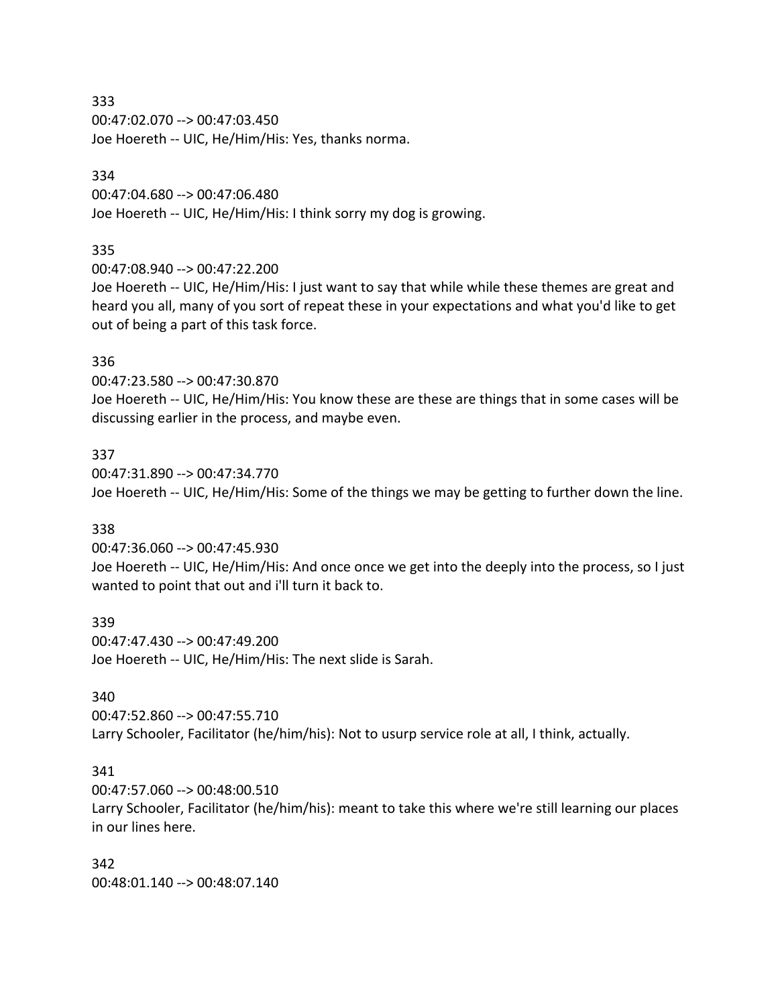00:47:02.070 --> 00:47:03.450 Joe Hoereth -- UIC, He/Him/His: Yes, thanks norma.

#### 334

00:47:04.680 --> 00:47:06.480 Joe Hoereth -- UIC, He/Him/His: I think sorry my dog is growing.

### 335

00:47:08.940 --> 00:47:22.200

Joe Hoereth -- UIC, He/Him/His: I just want to say that while while these themes are great and heard you all, many of you sort of repeat these in your expectations and what you'd like to get out of being a part of this task force.

### 336

00:47:23.580 --> 00:47:30.870

Joe Hoereth -- UIC, He/Him/His: You know these are these are things that in some cases will be discussing earlier in the process, and maybe even.

#### 337

00:47:31.890 --> 00:47:34.770 Joe Hoereth -- UIC, He/Him/His: Some of the things we may be getting to further down the line.

#### 338

00:47:36.060 --> 00:47:45.930

Joe Hoereth -- UIC, He/Him/His: And once once we get into the deeply into the process, so I just wanted to point that out and i'll turn it back to.

#### 339

00:47:47.430 --> 00:47:49.200 Joe Hoereth -- UIC, He/Him/His: The next slide is Sarah.

#### 340

00:47:52.860 --> 00:47:55.710 Larry Schooler, Facilitator (he/him/his): Not to usurp service role at all, I think, actually.

#### 341

00:47:57.060 --> 00:48:00.510 Larry Schooler, Facilitator (he/him/his): meant to take this where we're still learning our places in our lines here.

342 00:48:01.140 --> 00:48:07.140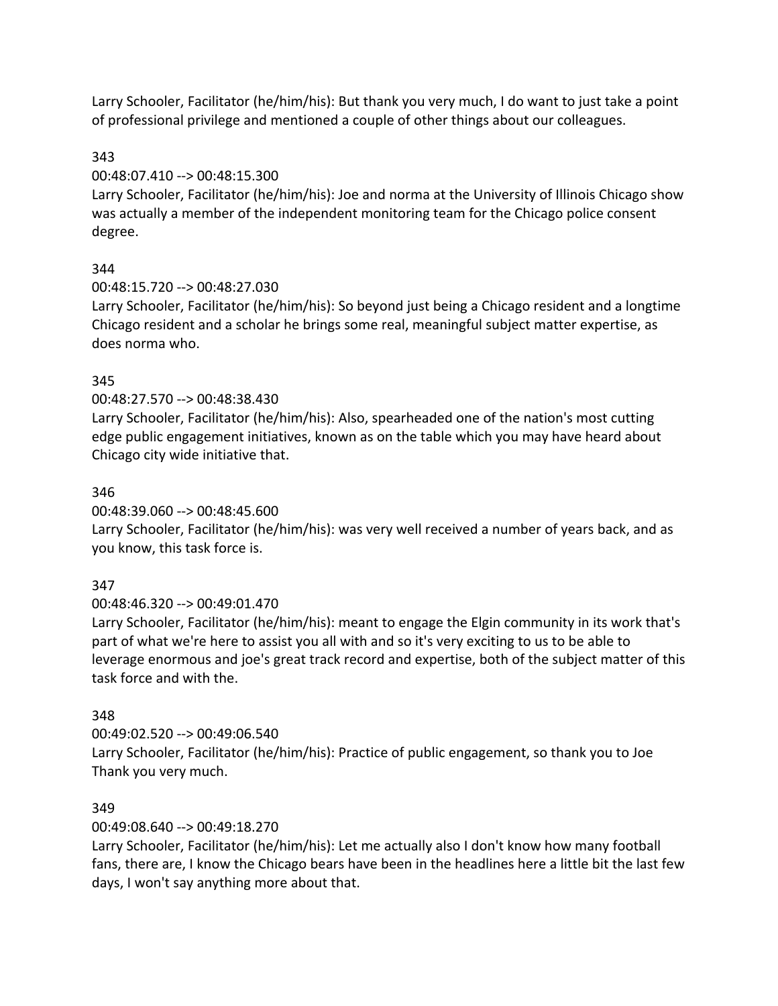Larry Schooler, Facilitator (he/him/his): But thank you very much, I do want to just take a point of professional privilege and mentioned a couple of other things about our colleagues.

## 343

00:48:07.410 --> 00:48:15.300

Larry Schooler, Facilitator (he/him/his): Joe and norma at the University of Illinois Chicago show was actually a member of the independent monitoring team for the Chicago police consent degree.

# 344

00:48:15.720 --> 00:48:27.030

Larry Schooler, Facilitator (he/him/his): So beyond just being a Chicago resident and a longtime Chicago resident and a scholar he brings some real, meaningful subject matter expertise, as does norma who.

## 345

## 00:48:27.570 --> 00:48:38.430

Larry Schooler, Facilitator (he/him/his): Also, spearheaded one of the nation's most cutting edge public engagement initiatives, known as on the table which you may have heard about Chicago city wide initiative that.

## 346

00:48:39.060 --> 00:48:45.600

Larry Schooler, Facilitator (he/him/his): was very well received a number of years back, and as you know, this task force is.

# 347

00:48:46.320 --> 00:49:01.470

Larry Schooler, Facilitator (he/him/his): meant to engage the Elgin community in its work that's part of what we're here to assist you all with and so it's very exciting to us to be able to leverage enormous and joe's great track record and expertise, both of the subject matter of this task force and with the.

## 348

00:49:02.520 --> 00:49:06.540 Larry Schooler, Facilitator (he/him/his): Practice of public engagement, so thank you to Joe Thank you very much.

## 349

00:49:08.640 --> 00:49:18.270

Larry Schooler, Facilitator (he/him/his): Let me actually also I don't know how many football fans, there are, I know the Chicago bears have been in the headlines here a little bit the last few days, I won't say anything more about that.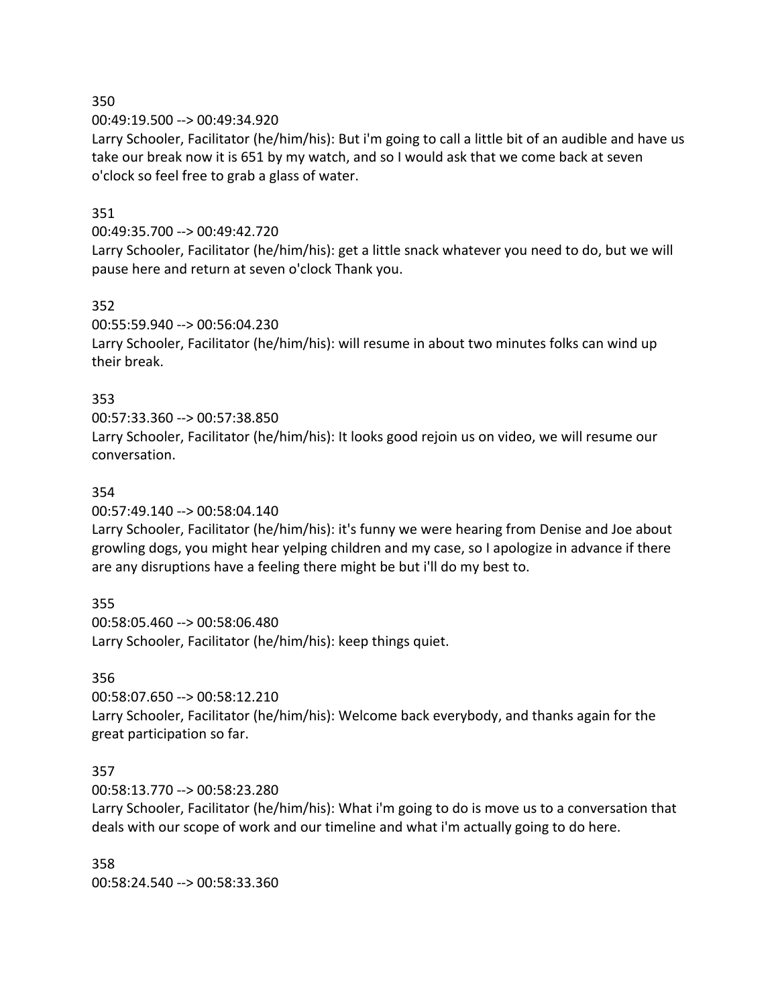00:49:19.500 --> 00:49:34.920

Larry Schooler, Facilitator (he/him/his): But i'm going to call a little bit of an audible and have us take our break now it is 651 by my watch, and so I would ask that we come back at seven o'clock so feel free to grab a glass of water.

### 351

#### 00:49:35.700 --> 00:49:42.720

Larry Schooler, Facilitator (he/him/his): get a little snack whatever you need to do, but we will pause here and return at seven o'clock Thank you.

#### 352

00:55:59.940 --> 00:56:04.230

Larry Schooler, Facilitator (he/him/his): will resume in about two minutes folks can wind up their break.

### 353

00:57:33.360 --> 00:57:38.850 Larry Schooler, Facilitator (he/him/his): It looks good rejoin us on video, we will resume our conversation.

### 354

00:57:49.140 --> 00:58:04.140

Larry Schooler, Facilitator (he/him/his): it's funny we were hearing from Denise and Joe about growling dogs, you might hear yelping children and my case, so I apologize in advance if there are any disruptions have a feeling there might be but i'll do my best to.

## 355

00:58:05.460 --> 00:58:06.480 Larry Schooler, Facilitator (he/him/his): keep things quiet.

## 356

00:58:07.650 --> 00:58:12.210 Larry Schooler, Facilitator (he/him/his): Welcome back everybody, and thanks again for the great participation so far.

## 357

00:58:13.770 --> 00:58:23.280

Larry Schooler, Facilitator (he/him/his): What i'm going to do is move us to a conversation that deals with our scope of work and our timeline and what i'm actually going to do here.

358 00:58:24.540 --> 00:58:33.360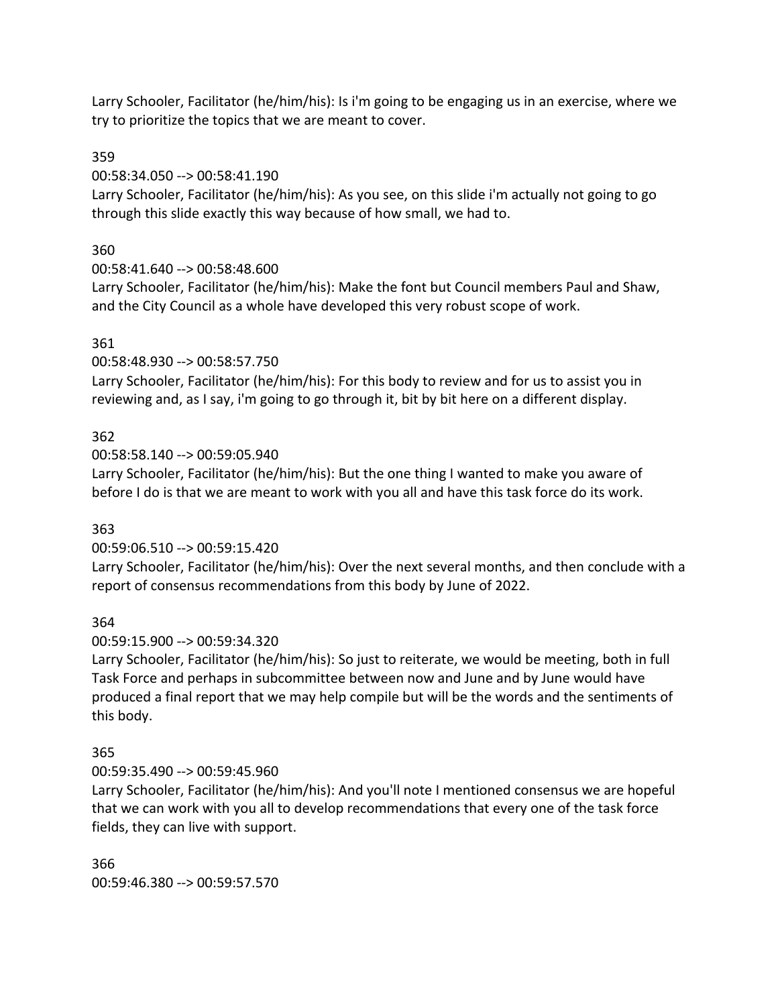Larry Schooler, Facilitator (he/him/his): Is i'm going to be engaging us in an exercise, where we try to prioritize the topics that we are meant to cover.

## 359

00:58:34.050 --> 00:58:41.190

Larry Schooler, Facilitator (he/him/his): As you see, on this slide i'm actually not going to go through this slide exactly this way because of how small, we had to.

# 360

00:58:41.640 --> 00:58:48.600

Larry Schooler, Facilitator (he/him/his): Make the font but Council members Paul and Shaw, and the City Council as a whole have developed this very robust scope of work.

# 361

00:58:48.930 --> 00:58:57.750

Larry Schooler, Facilitator (he/him/his): For this body to review and for us to assist you in reviewing and, as I say, i'm going to go through it, bit by bit here on a different display.

# 362

00:58:58.140 --> 00:59:05.940

Larry Schooler, Facilitator (he/him/his): But the one thing I wanted to make you aware of before I do is that we are meant to work with you all and have this task force do its work.

# 363

00:59:06.510 --> 00:59:15.420

Larry Schooler, Facilitator (he/him/his): Over the next several months, and then conclude with a report of consensus recommendations from this body by June of 2022.

## 364

00:59:15.900 --> 00:59:34.320

Larry Schooler, Facilitator (he/him/his): So just to reiterate, we would be meeting, both in full Task Force and perhaps in subcommittee between now and June and by June would have produced a final report that we may help compile but will be the words and the sentiments of this body.

# 365

00:59:35.490 --> 00:59:45.960

Larry Schooler, Facilitator (he/him/his): And you'll note I mentioned consensus we are hopeful that we can work with you all to develop recommendations that every one of the task force fields, they can live with support.

366 00:59:46.380 --> 00:59:57.570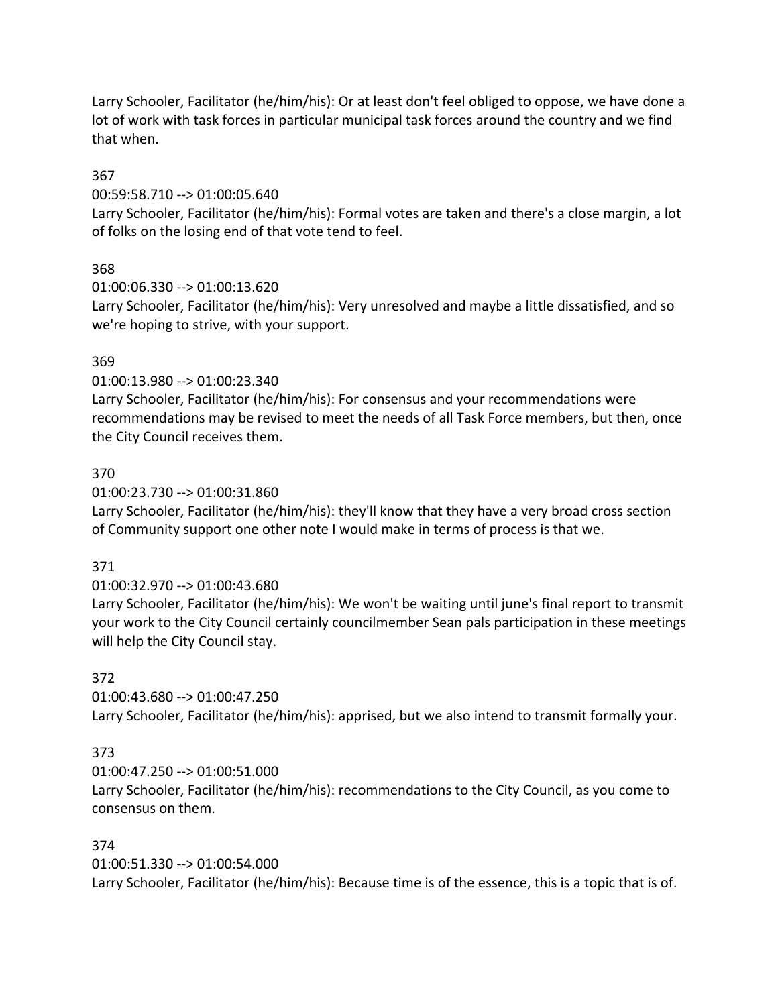Larry Schooler, Facilitator (he/him/his): Or at least don't feel obliged to oppose, we have done a lot of work with task forces in particular municipal task forces around the country and we find that when.

## 367

00:59:58.710 --> 01:00:05.640

Larry Schooler, Facilitator (he/him/his): Formal votes are taken and there's a close margin, a lot of folks on the losing end of that vote tend to feel.

# 368

01:00:06.330 --> 01:00:13.620

Larry Schooler, Facilitator (he/him/his): Very unresolved and maybe a little dissatisfied, and so we're hoping to strive, with your support.

# 369

01:00:13.980 --> 01:00:23.340

Larry Schooler, Facilitator (he/him/his): For consensus and your recommendations were recommendations may be revised to meet the needs of all Task Force members, but then, once the City Council receives them.

# 370

01:00:23.730 --> 01:00:31.860

Larry Schooler, Facilitator (he/him/his): they'll know that they have a very broad cross section of Community support one other note I would make in terms of process is that we.

# 371

# 01:00:32.970 --> 01:00:43.680

Larry Schooler, Facilitator (he/him/his): We won't be waiting until june's final report to transmit your work to the City Council certainly councilmember Sean pals participation in these meetings will help the City Council stay.

# 372

01:00:43.680 --> 01:00:47.250 Larry Schooler, Facilitator (he/him/his): apprised, but we also intend to transmit formally your.

# 373

01:00:47.250 --> 01:00:51.000 Larry Schooler, Facilitator (he/him/his): recommendations to the City Council, as you come to consensus on them.

## 374

01:00:51.330 --> 01:00:54.000 Larry Schooler, Facilitator (he/him/his): Because time is of the essence, this is a topic that is of.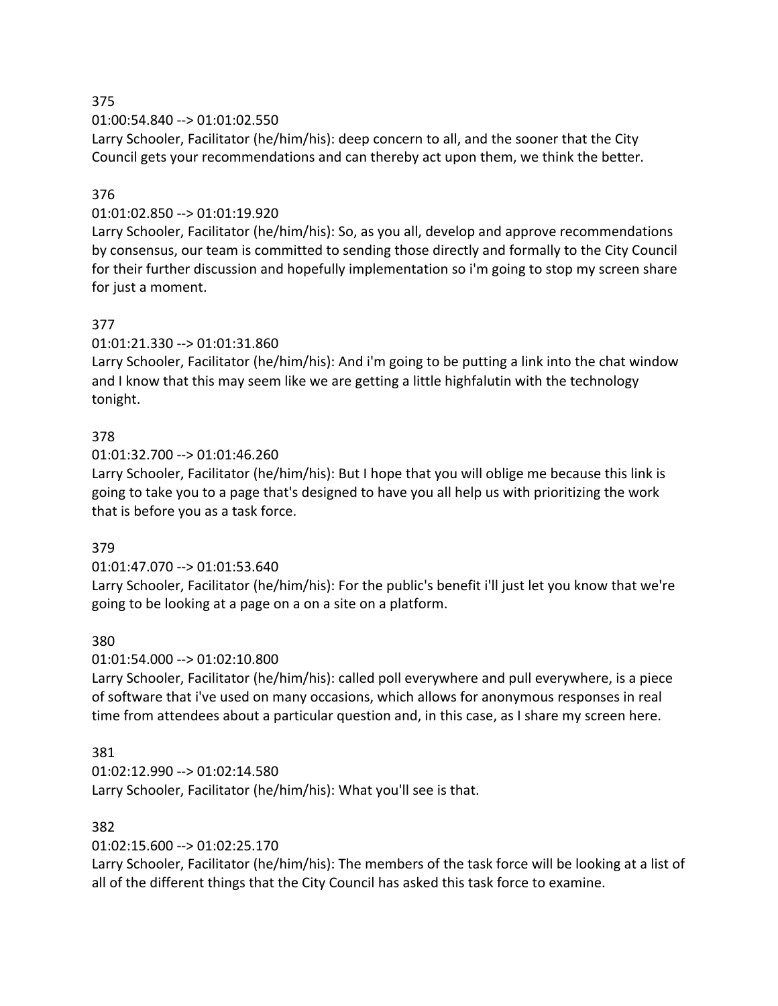01:00:54.840 --> 01:01:02.550

Larry Schooler, Facilitator (he/him/his): deep concern to all, and the sooner that the City Council gets your recommendations and can thereby act upon them, we think the better.

## 376

## 01:01:02.850 --> 01:01:19.920

Larry Schooler, Facilitator (he/him/his): So, as you all, develop and approve recommendations by consensus, our team is committed to sending those directly and formally to the City Council for their further discussion and hopefully implementation so i'm going to stop my screen share for just a moment.

## 377

01:01:21.330 --> 01:01:31.860

Larry Schooler, Facilitator (he/him/his): And i'm going to be putting a link into the chat window and I know that this may seem like we are getting a little highfalutin with the technology tonight.

## 378

01:01:32.700 --> 01:01:46.260

Larry Schooler, Facilitator (he/him/his): But I hope that you will oblige me because this link is going to take you to a page that's designed to have you all help us with prioritizing the work that is before you as a task force.

## 379

## 01:01:47.070 --> 01:01:53.640

Larry Schooler, Facilitator (he/him/his): For the public's benefit i'll just let you know that we're going to be looking at a page on a on a site on a platform.

## 380

## 01:01:54.000 --> 01:02:10.800

Larry Schooler, Facilitator (he/him/his): called poll everywhere and pull everywhere, is a piece of software that i've used on many occasions, which allows for anonymous responses in real time from attendees about a particular question and, in this case, as I share my screen here.

## 381

01:02:12.990 --> 01:02:14.580 Larry Schooler, Facilitator (he/him/his): What you'll see is that.

## 382

01:02:15.600 --> 01:02:25.170

Larry Schooler, Facilitator (he/him/his): The members of the task force will be looking at a list of all of the different things that the City Council has asked this task force to examine.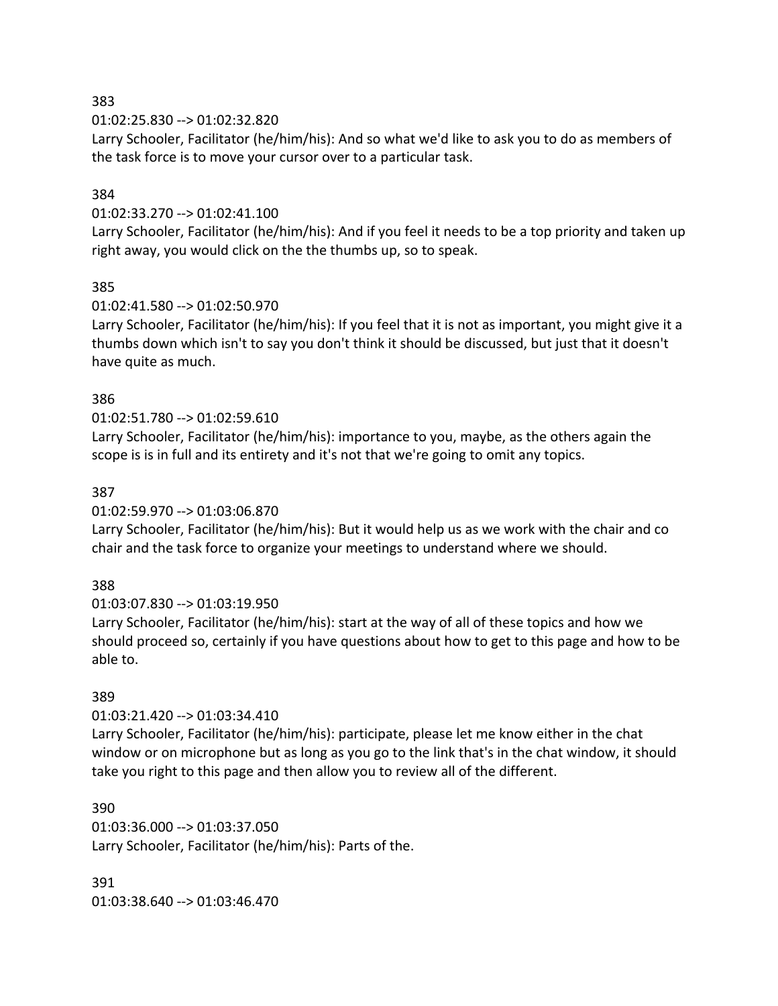01:02:25.830 --> 01:02:32.820

Larry Schooler, Facilitator (he/him/his): And so what we'd like to ask you to do as members of the task force is to move your cursor over to a particular task.

### 384

#### 01:02:33.270 --> 01:02:41.100

Larry Schooler, Facilitator (he/him/his): And if you feel it needs to be a top priority and taken up right away, you would click on the the thumbs up, so to speak.

### 385

#### 01:02:41.580 --> 01:02:50.970

Larry Schooler, Facilitator (he/him/his): If you feel that it is not as important, you might give it a thumbs down which isn't to say you don't think it should be discussed, but just that it doesn't have quite as much.

### 386

### 01:02:51.780 --> 01:02:59.610

Larry Schooler, Facilitator (he/him/his): importance to you, maybe, as the others again the scope is is in full and its entirety and it's not that we're going to omit any topics.

#### 387

01:02:59.970 --> 01:03:06.870

Larry Schooler, Facilitator (he/him/his): But it would help us as we work with the chair and co chair and the task force to organize your meetings to understand where we should.

## 388

01:03:07.830 --> 01:03:19.950

Larry Schooler, Facilitator (he/him/his): start at the way of all of these topics and how we should proceed so, certainly if you have questions about how to get to this page and how to be able to.

## 389

01:03:21.420 --> 01:03:34.410

Larry Schooler, Facilitator (he/him/his): participate, please let me know either in the chat window or on microphone but as long as you go to the link that's in the chat window, it should take you right to this page and then allow you to review all of the different.

390 01:03:36.000 --> 01:03:37.050 Larry Schooler, Facilitator (he/him/his): Parts of the.

391 01:03:38.640 --> 01:03:46.470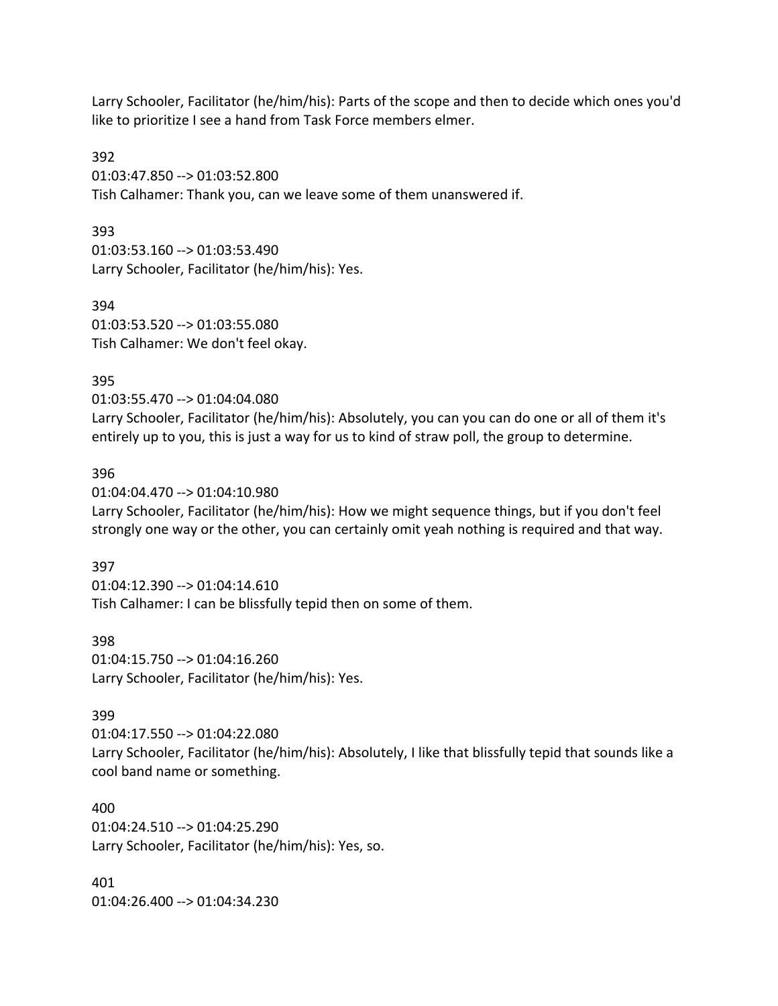Larry Schooler, Facilitator (he/him/his): Parts of the scope and then to decide which ones you'd like to prioritize I see a hand from Task Force members elmer.

392 01:03:47.850 --> 01:03:52.800 Tish Calhamer: Thank you, can we leave some of them unanswered if.

393 01:03:53.160 --> 01:03:53.490 Larry Schooler, Facilitator (he/him/his): Yes.

394 01:03:53.520 --> 01:03:55.080 Tish Calhamer: We don't feel okay.

#### 395

01:03:55.470 --> 01:04:04.080

Larry Schooler, Facilitator (he/him/his): Absolutely, you can you can do one or all of them it's entirely up to you, this is just a way for us to kind of straw poll, the group to determine.

#### 396

01:04:04.470 --> 01:04:10.980 Larry Schooler, Facilitator (he/him/his): How we might sequence things, but if you don't feel strongly one way or the other, you can certainly omit yeah nothing is required and that way.

#### 397

01:04:12.390 --> 01:04:14.610 Tish Calhamer: I can be blissfully tepid then on some of them.

398

01:04:15.750 --> 01:04:16.260 Larry Schooler, Facilitator (he/him/his): Yes.

#### 399

01:04:17.550 --> 01:04:22.080 Larry Schooler, Facilitator (he/him/his): Absolutely, I like that blissfully tepid that sounds like a cool band name or something.

400 01:04:24.510 --> 01:04:25.290 Larry Schooler, Facilitator (he/him/his): Yes, so.

401 01:04:26.400 --> 01:04:34.230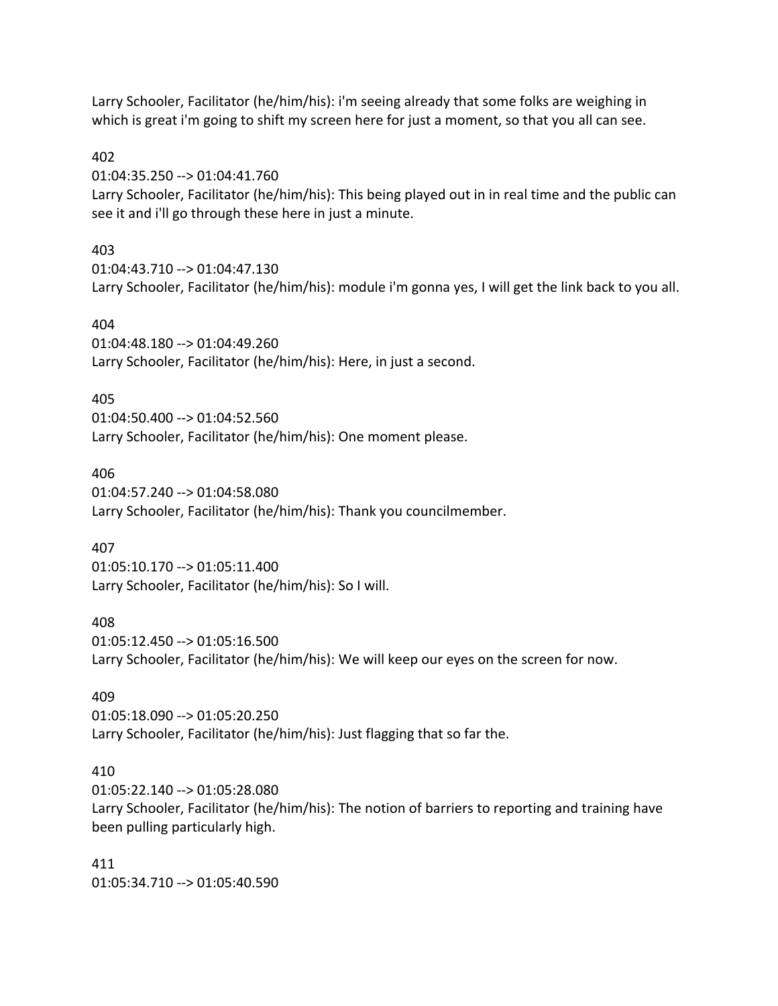Larry Schooler, Facilitator (he/him/his): i'm seeing already that some folks are weighing in which is great i'm going to shift my screen here for just a moment, so that you all can see.

### 402

01:04:35.250 --> 01:04:41.760

Larry Schooler, Facilitator (he/him/his): This being played out in in real time and the public can see it and i'll go through these here in just a minute.

## 403

01:04:43.710 --> 01:04:47.130 Larry Schooler, Facilitator (he/him/his): module i'm gonna yes, I will get the link back to you all.

## 404

01:04:48.180 --> 01:04:49.260 Larry Schooler, Facilitator (he/him/his): Here, in just a second.

## 405

01:04:50.400 --> 01:04:52.560 Larry Schooler, Facilitator (he/him/his): One moment please.

## 406

01:04:57.240 --> 01:04:58.080 Larry Schooler, Facilitator (he/him/his): Thank you councilmember.

## 407

01:05:10.170 --> 01:05:11.400 Larry Schooler, Facilitator (he/him/his): So I will.

#### 408

01:05:12.450 --> 01:05:16.500 Larry Schooler, Facilitator (he/him/his): We will keep our eyes on the screen for now.

## 409

01:05:18.090 --> 01:05:20.250 Larry Schooler, Facilitator (he/him/his): Just flagging that so far the.

## 410

01:05:22.140 --> 01:05:28.080 Larry Schooler, Facilitator (he/him/his): The notion of barriers to reporting and training have been pulling particularly high.

411 01:05:34.710 --> 01:05:40.590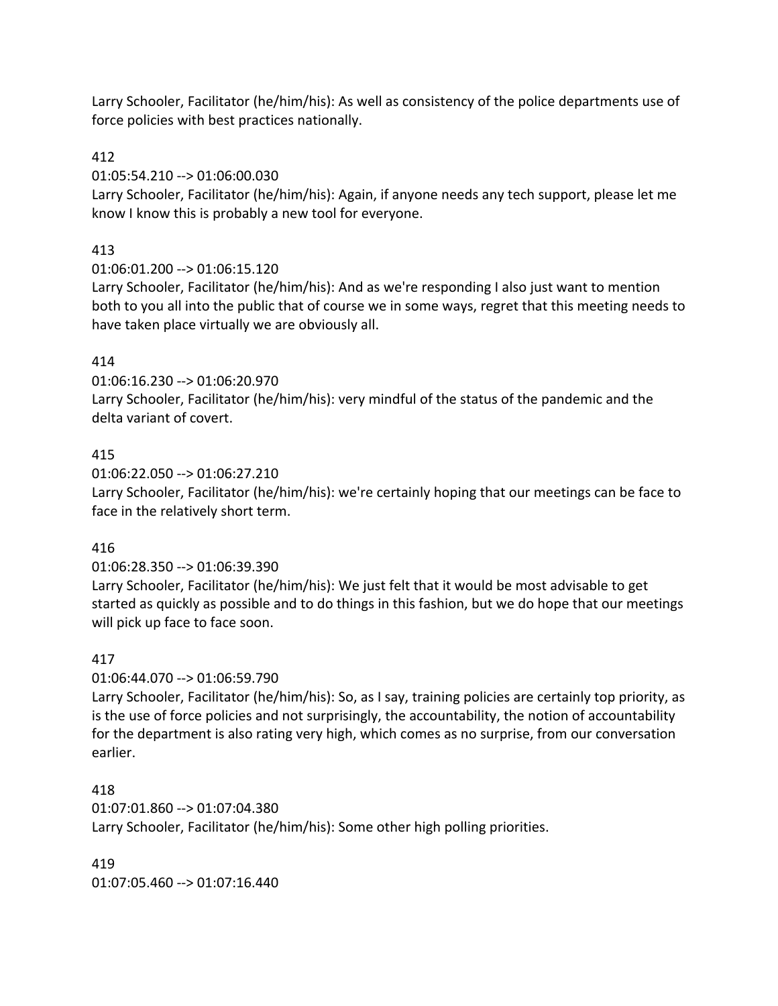Larry Schooler, Facilitator (he/him/his): As well as consistency of the police departments use of force policies with best practices nationally.

## 412

01:05:54.210 --> 01:06:00.030

Larry Schooler, Facilitator (he/him/his): Again, if anyone needs any tech support, please let me know I know this is probably a new tool for everyone.

# 413

01:06:01.200 --> 01:06:15.120

Larry Schooler, Facilitator (he/him/his): And as we're responding I also just want to mention both to you all into the public that of course we in some ways, regret that this meeting needs to have taken place virtually we are obviously all.

# 414

01:06:16.230 --> 01:06:20.970 Larry Schooler, Facilitator (he/him/his): very mindful of the status of the pandemic and the delta variant of covert.

## 415

01:06:22.050 --> 01:06:27.210 Larry Schooler, Facilitator (he/him/his): we're certainly hoping that our meetings can be face to face in the relatively short term.

# 416

01:06:28.350 --> 01:06:39.390

Larry Schooler, Facilitator (he/him/his): We just felt that it would be most advisable to get started as quickly as possible and to do things in this fashion, but we do hope that our meetings will pick up face to face soon.

# 417

01:06:44.070 --> 01:06:59.790

Larry Schooler, Facilitator (he/him/his): So, as I say, training policies are certainly top priority, as is the use of force policies and not surprisingly, the accountability, the notion of accountability for the department is also rating very high, which comes as no surprise, from our conversation earlier.

# 418

01:07:01.860 --> 01:07:04.380 Larry Schooler, Facilitator (he/him/his): Some other high polling priorities.

419 01:07:05.460 --> 01:07:16.440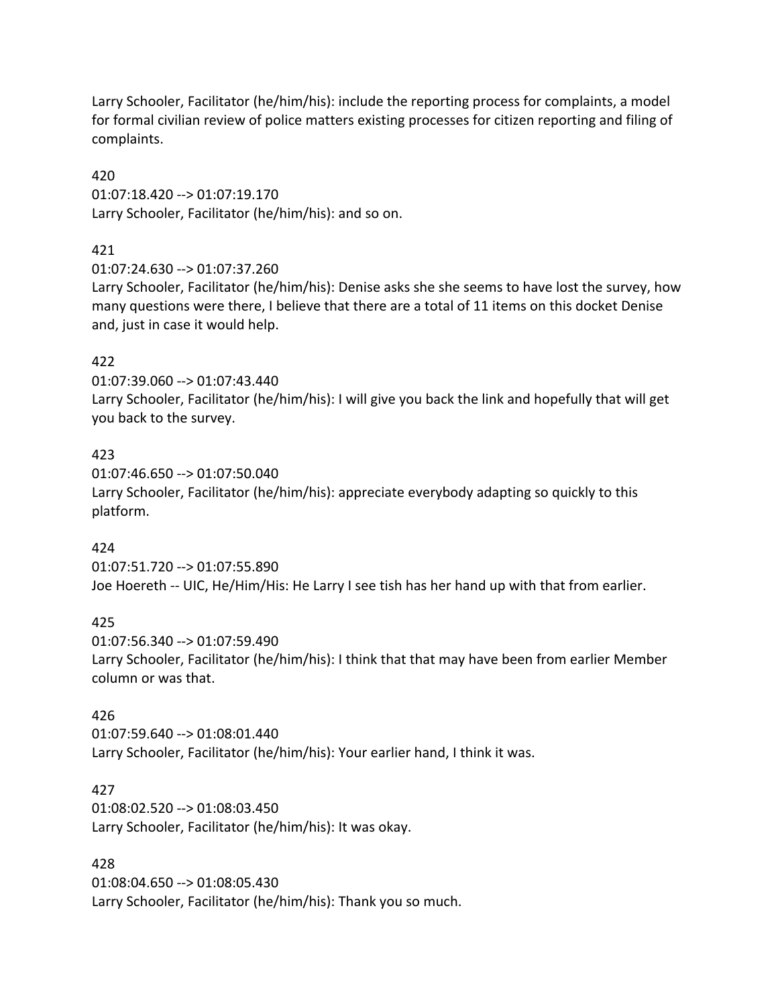Larry Schooler, Facilitator (he/him/his): include the reporting process for complaints, a model for formal civilian review of police matters existing processes for citizen reporting and filing of complaints.

420

01:07:18.420 --> 01:07:19.170 Larry Schooler, Facilitator (he/him/his): and so on.

## 421

01:07:24.630 --> 01:07:37.260

Larry Schooler, Facilitator (he/him/his): Denise asks she she seems to have lost the survey, how many questions were there, I believe that there are a total of 11 items on this docket Denise and, just in case it would help.

## 422

01:07:39.060 --> 01:07:43.440 Larry Schooler, Facilitator (he/him/his): I will give you back the link and hopefully that will get you back to the survey.

## 423

01:07:46.650 --> 01:07:50.040 Larry Schooler, Facilitator (he/him/his): appreciate everybody adapting so quickly to this platform.

## 424

01:07:51.720 --> 01:07:55.890 Joe Hoereth -- UIC, He/Him/His: He Larry I see tish has her hand up with that from earlier.

## 425

01:07:56.340 --> 01:07:59.490 Larry Schooler, Facilitator (he/him/his): I think that that may have been from earlier Member column or was that.

## 426

01:07:59.640 --> 01:08:01.440 Larry Schooler, Facilitator (he/him/his): Your earlier hand, I think it was.

## 427

01:08:02.520 --> 01:08:03.450 Larry Schooler, Facilitator (he/him/his): It was okay.

## 428

01:08:04.650 --> 01:08:05.430 Larry Schooler, Facilitator (he/him/his): Thank you so much.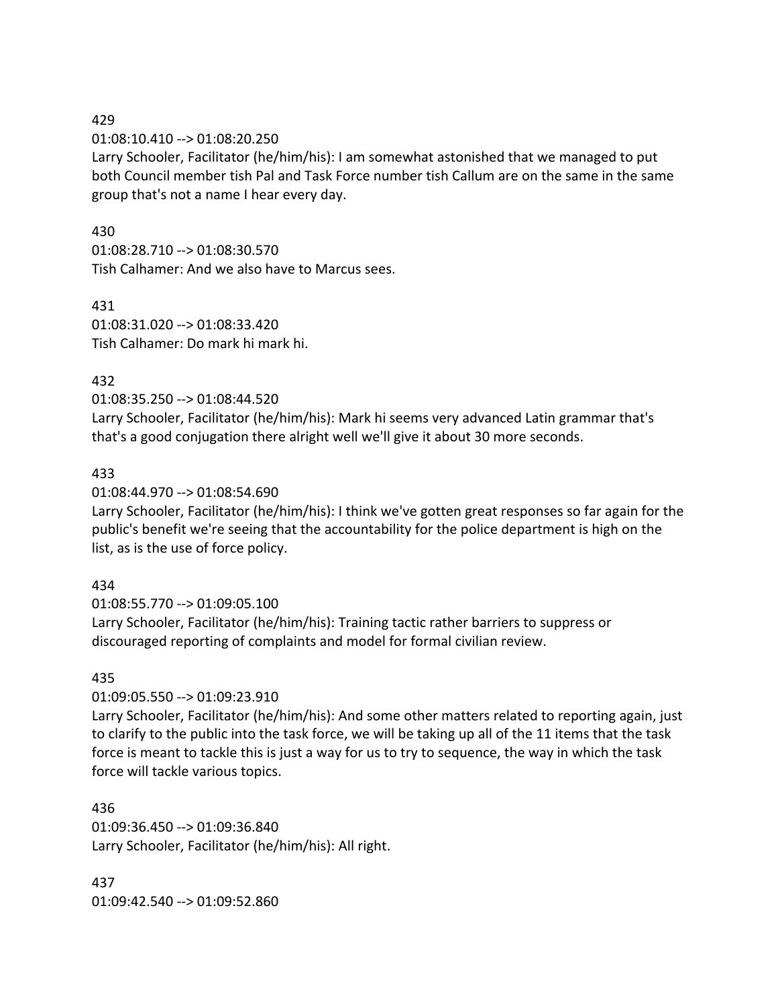01:08:10.410 --> 01:08:20.250

Larry Schooler, Facilitator (he/him/his): I am somewhat astonished that we managed to put both Council member tish Pal and Task Force number tish Callum are on the same in the same group that's not a name I hear every day.

### 430

01:08:28.710 --> 01:08:30.570 Tish Calhamer: And we also have to Marcus sees.

431 01:08:31.020 --> 01:08:33.420 Tish Calhamer: Do mark hi mark hi.

## 432

01:08:35.250 --> 01:08:44.520

Larry Schooler, Facilitator (he/him/his): Mark hi seems very advanced Latin grammar that's that's a good conjugation there alright well we'll give it about 30 more seconds.

## 433

01:08:44.970 --> 01:08:54.690

Larry Schooler, Facilitator (he/him/his): I think we've gotten great responses so far again for the public's benefit we're seeing that the accountability for the police department is high on the list, as is the use of force policy.

## 434

01:08:55.770 --> 01:09:05.100 Larry Schooler, Facilitator (he/him/his): Training tactic rather barriers to suppress or discouraged reporting of complaints and model for formal civilian review.

## 435

01:09:05.550 --> 01:09:23.910

Larry Schooler, Facilitator (he/him/his): And some other matters related to reporting again, just to clarify to the public into the task force, we will be taking up all of the 11 items that the task force is meant to tackle this is just a way for us to try to sequence, the way in which the task force will tackle various topics.

436 01:09:36.450 --> 01:09:36.840 Larry Schooler, Facilitator (he/him/his): All right.

437 01:09:42.540 --> 01:09:52.860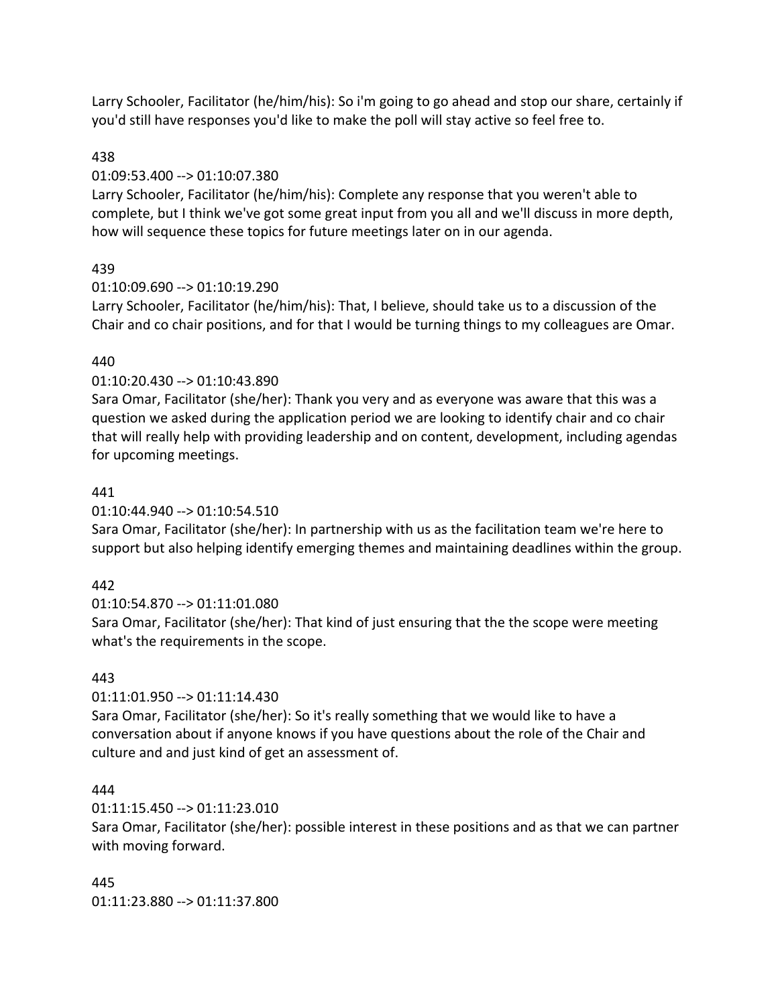Larry Schooler, Facilitator (he/him/his): So i'm going to go ahead and stop our share, certainly if you'd still have responses you'd like to make the poll will stay active so feel free to.

## 438

## 01:09:53.400 --> 01:10:07.380

Larry Schooler, Facilitator (he/him/his): Complete any response that you weren't able to complete, but I think we've got some great input from you all and we'll discuss in more depth, how will sequence these topics for future meetings later on in our agenda.

## 439

## 01:10:09.690 --> 01:10:19.290

Larry Schooler, Facilitator (he/him/his): That, I believe, should take us to a discussion of the Chair and co chair positions, and for that I would be turning things to my colleagues are Omar.

## 440

## 01:10:20.430 --> 01:10:43.890

Sara Omar, Facilitator (she/her): Thank you very and as everyone was aware that this was a question we asked during the application period we are looking to identify chair and co chair that will really help with providing leadership and on content, development, including agendas for upcoming meetings.

## 441

## 01:10:44.940 --> 01:10:54.510

Sara Omar, Facilitator (she/her): In partnership with us as the facilitation team we're here to support but also helping identify emerging themes and maintaining deadlines within the group.

# 442

01:10:54.870 --> 01:11:01.080 Sara Omar, Facilitator (she/her): That kind of just ensuring that the the scope were meeting what's the requirements in the scope.

## 443

## 01:11:01.950 --> 01:11:14.430

Sara Omar, Facilitator (she/her): So it's really something that we would like to have a conversation about if anyone knows if you have questions about the role of the Chair and culture and and just kind of get an assessment of.

## 444

# 01:11:15.450 --> 01:11:23.010

Sara Omar, Facilitator (she/her): possible interest in these positions and as that we can partner with moving forward.

445 01:11:23.880 --> 01:11:37.800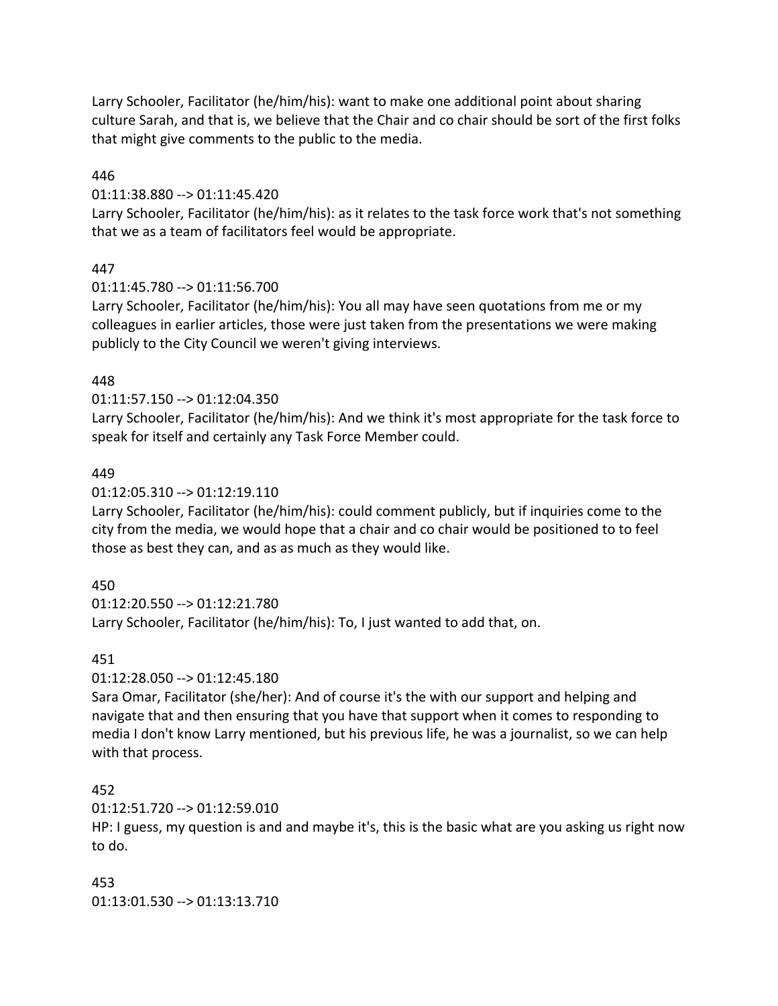Larry Schooler, Facilitator (he/him/his): want to make one additional point about sharing culture Sarah, and that is, we believe that the Chair and co chair should be sort of the first folks that might give comments to the public to the media.

446

#### 01:11:38.880 --> 01:11:45.420

Larry Schooler, Facilitator (he/him/his): as it relates to the task force work that's not something that we as a team of facilitators feel would be appropriate.

### 447

01:11:45.780 --> 01:11:56.700

Larry Schooler, Facilitator (he/him/his): You all may have seen quotations from me or my colleagues in earlier articles, those were just taken from the presentations we were making publicly to the City Council we weren't giving interviews.

#### 448

#### 01:11:57.150 --> 01:12:04.350

Larry Schooler, Facilitator (he/him/his): And we think it's most appropriate for the task force to speak for itself and certainly any Task Force Member could.

### 449

### 01:12:05.310 --> 01:12:19.110

Larry Schooler, Facilitator (he/him/his): could comment publicly, but if inquiries come to the city from the media, we would hope that a chair and co chair would be positioned to to feel those as best they can, and as as much as they would like.

## 450

01:12:20.550 --> 01:12:21.780

Larry Schooler, Facilitator (he/him/his): To, I just wanted to add that, on.

#### 451

01:12:28.050 --> 01:12:45.180

Sara Omar, Facilitator (she/her): And of course it's the with our support and helping and navigate that and then ensuring that you have that support when it comes to responding to media I don't know Larry mentioned, but his previous life, he was a journalist, so we can help with that process.

#### 452

#### 01:12:51.720 --> 01:12:59.010

HP: I guess, my question is and and maybe it's, this is the basic what are you asking us right now to do.

453 01:13:01.530 --> 01:13:13.710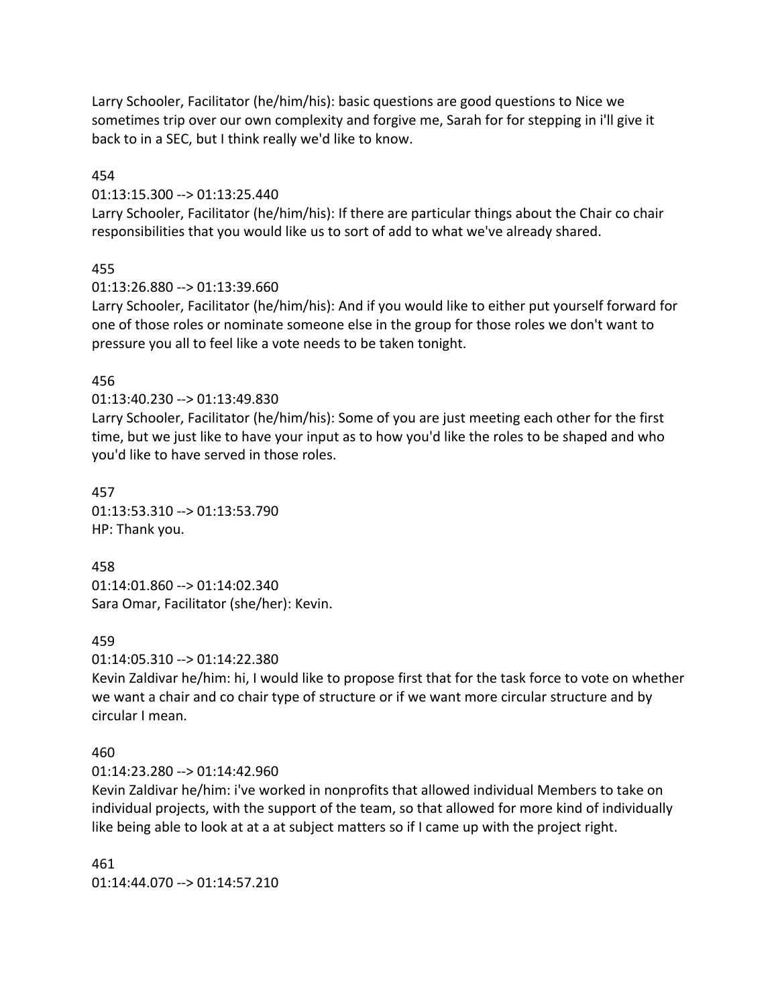Larry Schooler, Facilitator (he/him/his): basic questions are good questions to Nice we sometimes trip over our own complexity and forgive me, Sarah for for stepping in i'll give it back to in a SEC, but I think really we'd like to know.

454

#### 01:13:15.300 --> 01:13:25.440

Larry Schooler, Facilitator (he/him/his): If there are particular things about the Chair co chair responsibilities that you would like us to sort of add to what we've already shared.

### 455

01:13:26.880 --> 01:13:39.660

Larry Schooler, Facilitator (he/him/his): And if you would like to either put yourself forward for one of those roles or nominate someone else in the group for those roles we don't want to pressure you all to feel like a vote needs to be taken tonight.

#### 456

#### 01:13:40.230 --> 01:13:49.830

Larry Schooler, Facilitator (he/him/his): Some of you are just meeting each other for the first time, but we just like to have your input as to how you'd like the roles to be shaped and who you'd like to have served in those roles.

457 01:13:53.310 --> 01:13:53.790 HP: Thank you.

458 01:14:01.860 --> 01:14:02.340 Sara Omar, Facilitator (she/her): Kevin.

#### 459

01:14:05.310 --> 01:14:22.380

Kevin Zaldivar he/him: hi, I would like to propose first that for the task force to vote on whether we want a chair and co chair type of structure or if we want more circular structure and by circular I mean.

#### 460

01:14:23.280 --> 01:14:42.960

Kevin Zaldivar he/him: i've worked in nonprofits that allowed individual Members to take on individual projects, with the support of the team, so that allowed for more kind of individually like being able to look at at a at subject matters so if I came up with the project right.

461 01:14:44.070 --> 01:14:57.210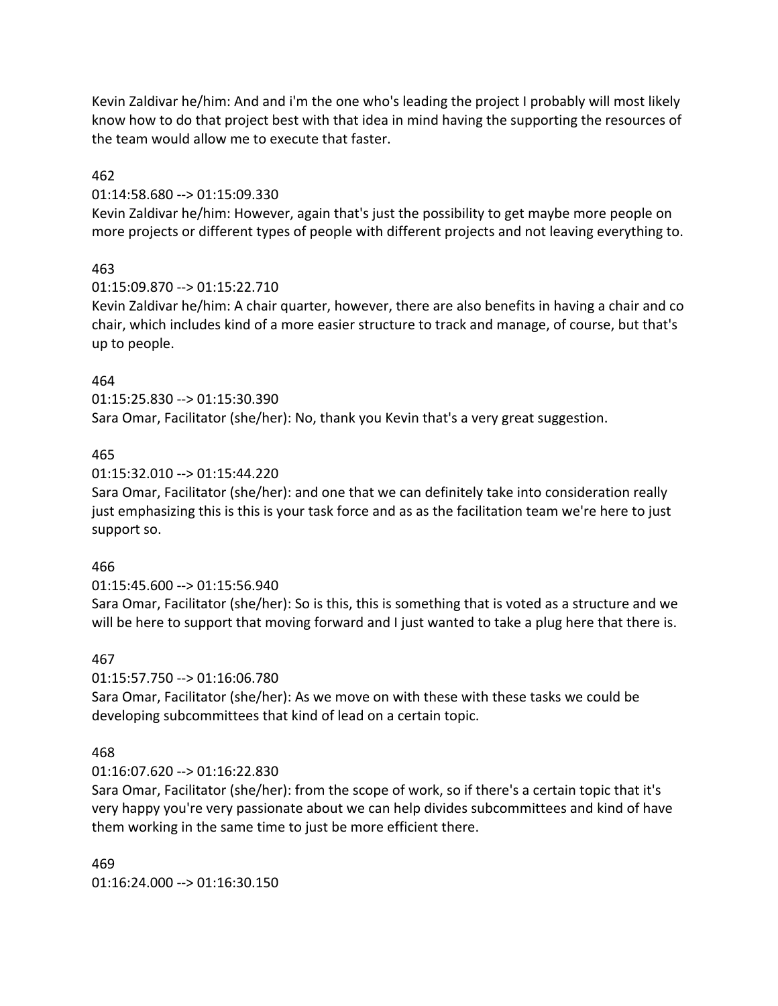Kevin Zaldivar he/him: And and i'm the one who's leading the project I probably will most likely know how to do that project best with that idea in mind having the supporting the resources of the team would allow me to execute that faster.

#### 462

#### 01:14:58.680 --> 01:15:09.330

Kevin Zaldivar he/him: However, again that's just the possibility to get maybe more people on more projects or different types of people with different projects and not leaving everything to.

#### 463

#### 01:15:09.870 --> 01:15:22.710

Kevin Zaldivar he/him: A chair quarter, however, there are also benefits in having a chair and co chair, which includes kind of a more easier structure to track and manage, of course, but that's up to people.

#### 464

01:15:25.830 --> 01:15:30.390 Sara Omar, Facilitator (she/her): No, thank you Kevin that's a very great suggestion.

#### 465

#### 01:15:32.010 --> 01:15:44.220

Sara Omar, Facilitator (she/her): and one that we can definitely take into consideration really just emphasizing this is this is your task force and as as the facilitation team we're here to just support so.

#### 466

#### 01:15:45.600 --> 01:15:56.940

Sara Omar, Facilitator (she/her): So is this, this is something that is voted as a structure and we will be here to support that moving forward and I just wanted to take a plug here that there is.

#### 467

#### 01:15:57.750 --> 01:16:06.780

Sara Omar, Facilitator (she/her): As we move on with these with these tasks we could be developing subcommittees that kind of lead on a certain topic.

#### 468

#### 01:16:07.620 --> 01:16:22.830

Sara Omar, Facilitator (she/her): from the scope of work, so if there's a certain topic that it's very happy you're very passionate about we can help divides subcommittees and kind of have them working in the same time to just be more efficient there.

#### 469  $01:16:24.000 \rightarrow 01:16:30.150$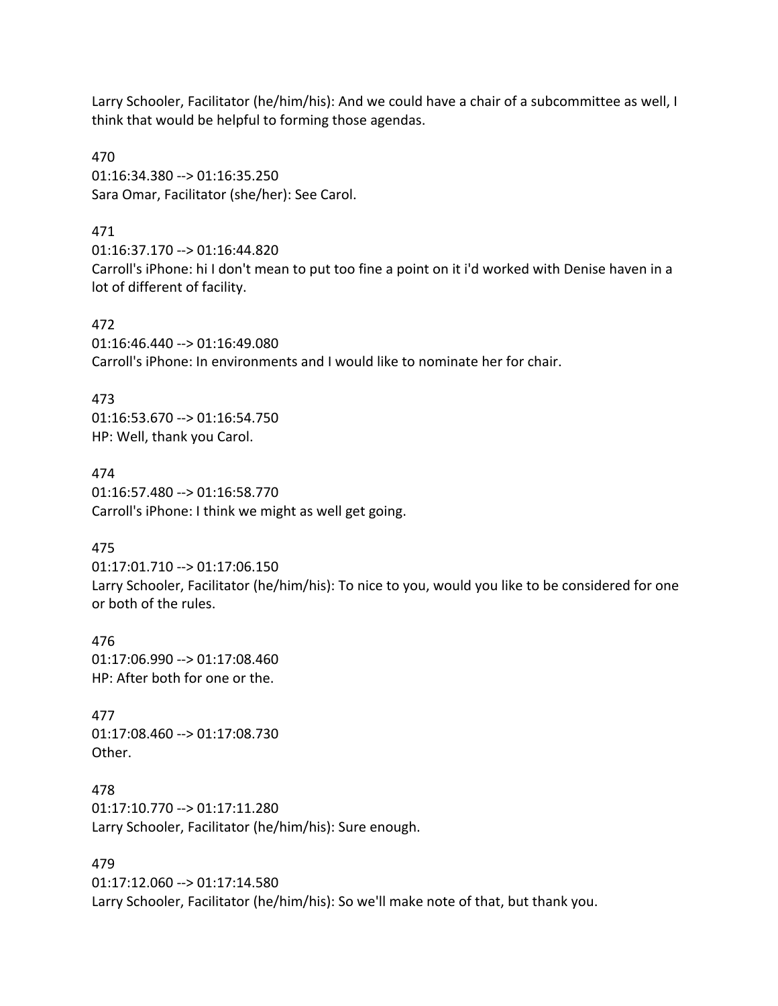Larry Schooler, Facilitator (he/him/his): And we could have a chair of a subcommittee as well, I think that would be helpful to forming those agendas.

470 01:16:34.380 --> 01:16:35.250 Sara Omar, Facilitator (she/her): See Carol.

#### 471

01:16:37.170 --> 01:16:44.820 Carroll's iPhone: hi I don't mean to put too fine a point on it i'd worked with Denise haven in a lot of different of facility.

472 01:16:46.440 --> 01:16:49.080 Carroll's iPhone: In environments and I would like to nominate her for chair.

#### 473

01:16:53.670 --> 01:16:54.750 HP: Well, thank you Carol.

474 01:16:57.480 --> 01:16:58.770 Carroll's iPhone: I think we might as well get going.

#### 475

01:17:01.710 --> 01:17:06.150 Larry Schooler, Facilitator (he/him/his): To nice to you, would you like to be considered for one or both of the rules.

476 01:17:06.990 --> 01:17:08.460 HP: After both for one or the.

477 01:17:08.460 --> 01:17:08.730 Other.

478 01:17:10.770 --> 01:17:11.280 Larry Schooler, Facilitator (he/him/his): Sure enough.

#### 479

01:17:12.060 --> 01:17:14.580 Larry Schooler, Facilitator (he/him/his): So we'll make note of that, but thank you.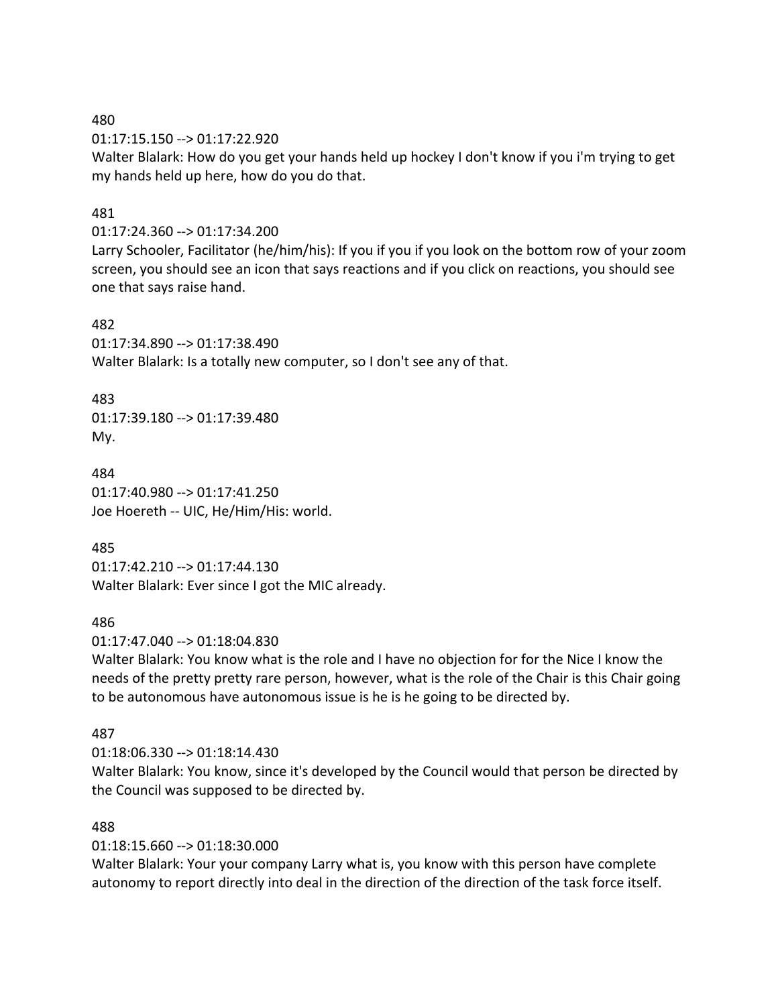01:17:15.150 --> 01:17:22.920

Walter Blalark: How do you get your hands held up hockey I don't know if you i'm trying to get my hands held up here, how do you do that.

### 481

01:17:24.360 --> 01:17:34.200

Larry Schooler, Facilitator (he/him/his): If you if you if you look on the bottom row of your zoom screen, you should see an icon that says reactions and if you click on reactions, you should see one that says raise hand.

#### 482

01:17:34.890 --> 01:17:38.490 Walter Blalark: Is a totally new computer, so I don't see any of that.

#### 483

01:17:39.180 --> 01:17:39.480 My.

484 01:17:40.980 --> 01:17:41.250 Joe Hoereth -- UIC, He/Him/His: world.

#### 485

01:17:42.210 --> 01:17:44.130 Walter Blalark: Ever since I got the MIC already.

#### 486

01:17:47.040 --> 01:18:04.830

Walter Blalark: You know what is the role and I have no objection for for the Nice I know the needs of the pretty pretty rare person, however, what is the role of the Chair is this Chair going to be autonomous have autonomous issue is he is he going to be directed by.

#### 487

01:18:06.330 --> 01:18:14.430

Walter Blalark: You know, since it's developed by the Council would that person be directed by the Council was supposed to be directed by.

#### 488

01:18:15.660 --> 01:18:30.000

Walter Blalark: Your your company Larry what is, you know with this person have complete autonomy to report directly into deal in the direction of the direction of the task force itself.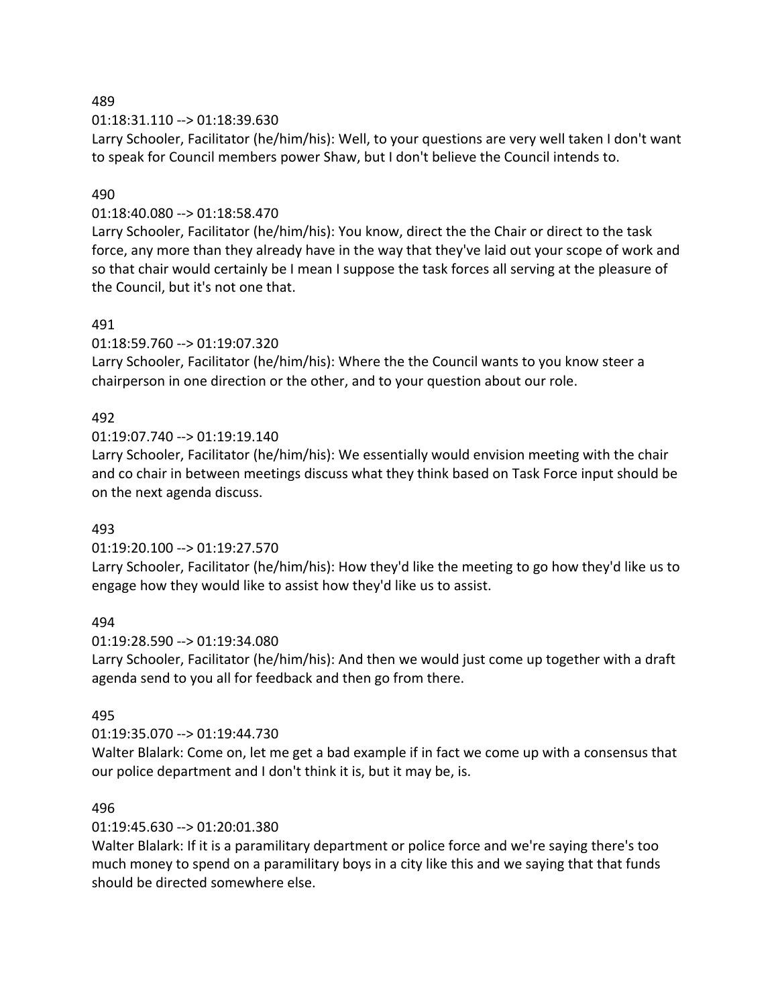### 01:18:31.110 --> 01:18:39.630

Larry Schooler, Facilitator (he/him/his): Well, to your questions are very well taken I don't want to speak for Council members power Shaw, but I don't believe the Council intends to.

### 490

### 01:18:40.080 --> 01:18:58.470

Larry Schooler, Facilitator (he/him/his): You know, direct the the Chair or direct to the task force, any more than they already have in the way that they've laid out your scope of work and so that chair would certainly be I mean I suppose the task forces all serving at the pleasure of the Council, but it's not one that.

### 491

### 01:18:59.760 --> 01:19:07.320

Larry Schooler, Facilitator (he/him/his): Where the the Council wants to you know steer a chairperson in one direction or the other, and to your question about our role.

## 492

### 01:19:07.740 --> 01:19:19.140

Larry Schooler, Facilitator (he/him/his): We essentially would envision meeting with the chair and co chair in between meetings discuss what they think based on Task Force input should be on the next agenda discuss.

#### 493

## 01:19:20.100 --> 01:19:27.570

Larry Schooler, Facilitator (he/him/his): How they'd like the meeting to go how they'd like us to engage how they would like to assist how they'd like us to assist.

#### 494

#### 01:19:28.590 --> 01:19:34.080

Larry Schooler, Facilitator (he/him/his): And then we would just come up together with a draft agenda send to you all for feedback and then go from there.

#### 495

## 01:19:35.070 --> 01:19:44.730

Walter Blalark: Come on, let me get a bad example if in fact we come up with a consensus that our police department and I don't think it is, but it may be, is.

#### 496

## 01:19:45.630 --> 01:20:01.380

Walter Blalark: If it is a paramilitary department or police force and we're saying there's too much money to spend on a paramilitary boys in a city like this and we saying that that funds should be directed somewhere else.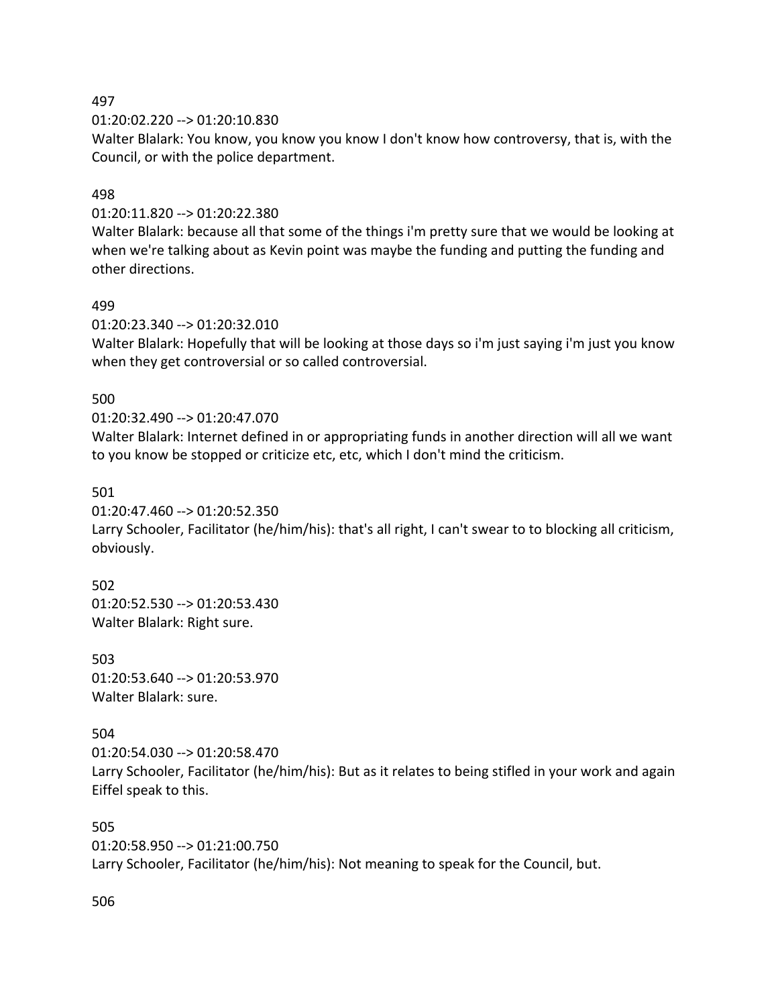01:20:02.220 --> 01:20:10.830

Walter Blalark: You know, you know you know I don't know how controversy, that is, with the Council, or with the police department.

## 498

01:20:11.820 --> 01:20:22.380

Walter Blalark: because all that some of the things i'm pretty sure that we would be looking at when we're talking about as Kevin point was maybe the funding and putting the funding and other directions.

### 499

01:20:23.340 --> 01:20:32.010

Walter Blalark: Hopefully that will be looking at those days so i'm just saying i'm just you know when they get controversial or so called controversial.

### 500

### 01:20:32.490 --> 01:20:47.070

Walter Blalark: Internet defined in or appropriating funds in another direction will all we want to you know be stopped or criticize etc, etc, which I don't mind the criticism.

#### 501

01:20:47.460 --> 01:20:52.350

Larry Schooler, Facilitator (he/him/his): that's all right, I can't swear to to blocking all criticism, obviously.

502

01:20:52.530 --> 01:20:53.430 Walter Blalark: Right sure.

503 01:20:53.640 --> 01:20:53.970 Walter Blalark: sure.

## 504

01:20:54.030 --> 01:20:58.470 Larry Schooler, Facilitator (he/him/his): But as it relates to being stifled in your work and again Eiffel speak to this.

505 01:20:58.950 --> 01:21:00.750 Larry Schooler, Facilitator (he/him/his): Not meaning to speak for the Council, but.

506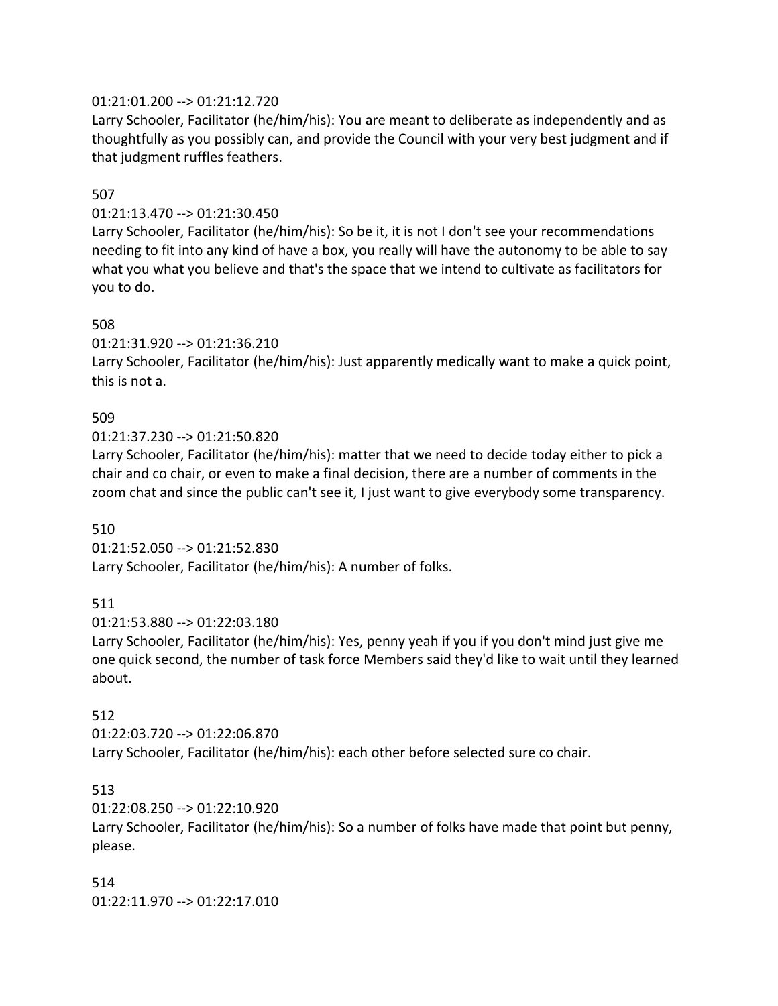## 01:21:01.200 --> 01:21:12.720

Larry Schooler, Facilitator (he/him/his): You are meant to deliberate as independently and as thoughtfully as you possibly can, and provide the Council with your very best judgment and if that judgment ruffles feathers.

#### 507

### 01:21:13.470 --> 01:21:30.450

Larry Schooler, Facilitator (he/him/his): So be it, it is not I don't see your recommendations needing to fit into any kind of have a box, you really will have the autonomy to be able to say what you what you believe and that's the space that we intend to cultivate as facilitators for you to do.

### 508

01:21:31.920 --> 01:21:36.210

Larry Schooler, Facilitator (he/him/his): Just apparently medically want to make a quick point, this is not a.

## 509

01:21:37.230 --> 01:21:50.820

Larry Schooler, Facilitator (he/him/his): matter that we need to decide today either to pick a chair and co chair, or even to make a final decision, there are a number of comments in the zoom chat and since the public can't see it, I just want to give everybody some transparency.

#### 510

01:21:52.050 --> 01:21:52.830 Larry Schooler, Facilitator (he/him/his): A number of folks.

## 511

01:21:53.880 --> 01:22:03.180

Larry Schooler, Facilitator (he/him/his): Yes, penny yeah if you if you don't mind just give me one quick second, the number of task force Members said they'd like to wait until they learned about.

## 512

01:22:03.720 --> 01:22:06.870 Larry Schooler, Facilitator (he/him/his): each other before selected sure co chair.

## 513

01:22:08.250 --> 01:22:10.920

Larry Schooler, Facilitator (he/him/his): So a number of folks have made that point but penny, please.

514 01:22:11.970 --> 01:22:17.010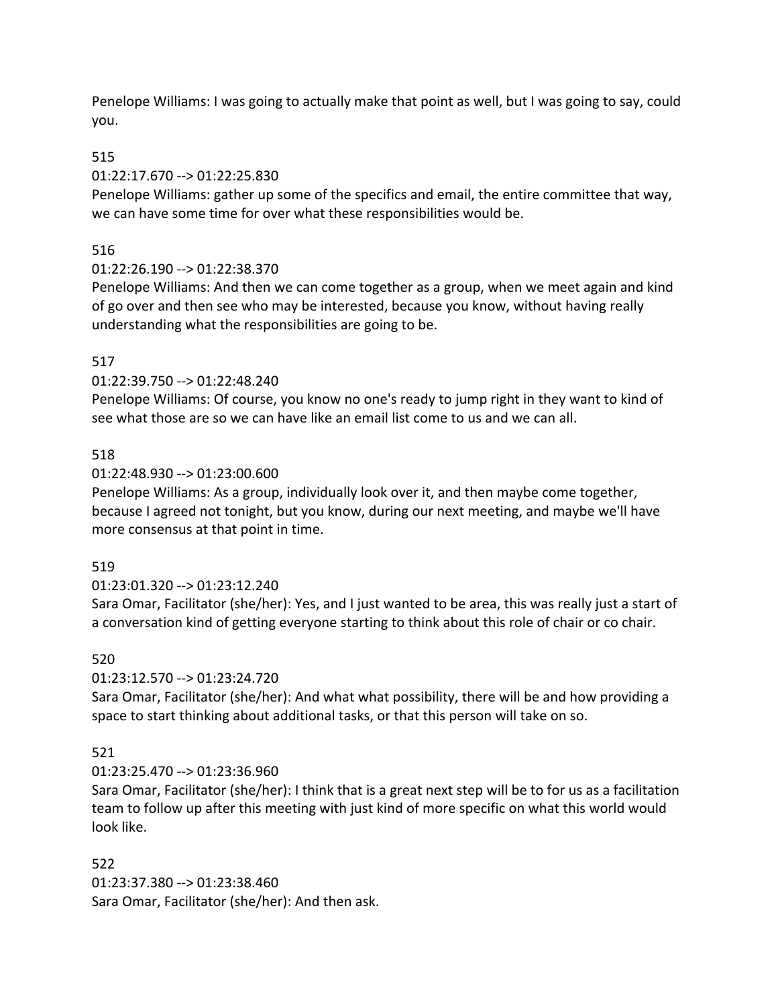Penelope Williams: I was going to actually make that point as well, but I was going to say, could you.

## 515

## 01:22:17.670 --> 01:22:25.830

Penelope Williams: gather up some of the specifics and email, the entire committee that way, we can have some time for over what these responsibilities would be.

## 516

## 01:22:26.190 --> 01:22:38.370

Penelope Williams: And then we can come together as a group, when we meet again and kind of go over and then see who may be interested, because you know, without having really understanding what the responsibilities are going to be.

## 517

## 01:22:39.750 --> 01:22:48.240

Penelope Williams: Of course, you know no one's ready to jump right in they want to kind of see what those are so we can have like an email list come to us and we can all.

## 518

## 01:22:48.930 --> 01:23:00.600

Penelope Williams: As a group, individually look over it, and then maybe come together, because I agreed not tonight, but you know, during our next meeting, and maybe we'll have more consensus at that point in time.

## 519

# 01:23:01.320 --> 01:23:12.240

Sara Omar, Facilitator (she/her): Yes, and I just wanted to be area, this was really just a start of a conversation kind of getting everyone starting to think about this role of chair or co chair.

## 520

# 01:23:12.570 --> 01:23:24.720

Sara Omar, Facilitator (she/her): And what what possibility, there will be and how providing a space to start thinking about additional tasks, or that this person will take on so.

# 521

# 01:23:25.470 --> 01:23:36.960

Sara Omar, Facilitator (she/her): I think that is a great next step will be to for us as a facilitation team to follow up after this meeting with just kind of more specific on what this world would look like.

## 522

01:23:37.380 --> 01:23:38.460 Sara Omar, Facilitator (she/her): And then ask.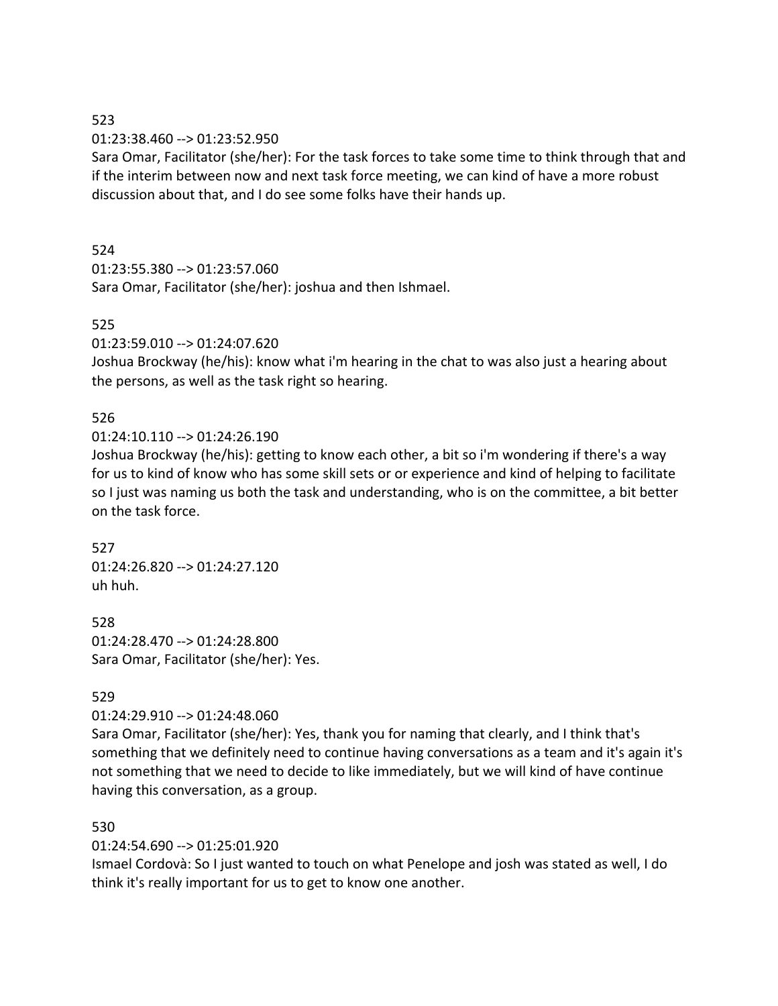01:23:38.460 --> 01:23:52.950

Sara Omar, Facilitator (she/her): For the task forces to take some time to think through that and if the interim between now and next task force meeting, we can kind of have a more robust discussion about that, and I do see some folks have their hands up.

## 524

01:23:55.380 --> 01:23:57.060 Sara Omar, Facilitator (she/her): joshua and then Ishmael.

# 525

01:23:59.010 --> 01:24:07.620

Joshua Brockway (he/his): know what i'm hearing in the chat to was also just a hearing about the persons, as well as the task right so hearing.

# 526

 $01:24:10.110 \rightarrow 01:24:26.190$ 

Joshua Brockway (he/his): getting to know each other, a bit so i'm wondering if there's a way for us to kind of know who has some skill sets or or experience and kind of helping to facilitate so I just was naming us both the task and understanding, who is on the committee, a bit better on the task force.

527 01:24:26.820 --> 01:24:27.120 uh huh.

528 01:24:28.470 --> 01:24:28.800 Sara Omar, Facilitator (she/her): Yes.

# 529

01:24:29.910 --> 01:24:48.060

Sara Omar, Facilitator (she/her): Yes, thank you for naming that clearly, and I think that's something that we definitely need to continue having conversations as a team and it's again it's not something that we need to decide to like immediately, but we will kind of have continue having this conversation, as a group.

## 530

01:24:54.690 --> 01:25:01.920

Ismael Cordovà: So I just wanted to touch on what Penelope and josh was stated as well, I do think it's really important for us to get to know one another.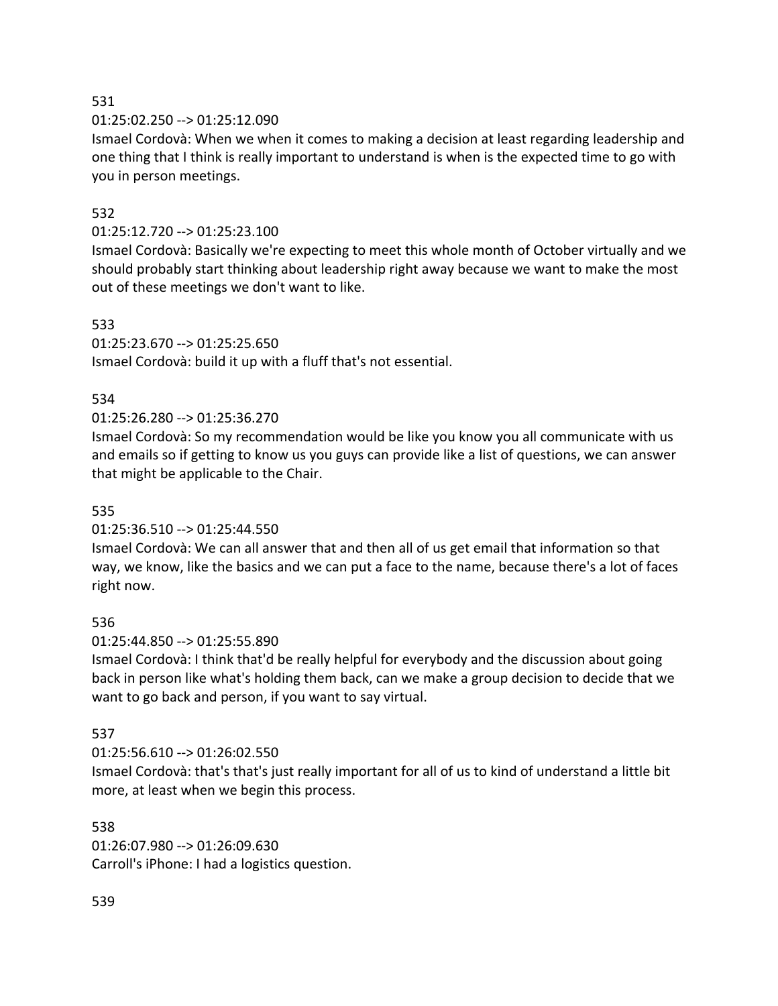01:25:02.250 --> 01:25:12.090

Ismael Cordovà: When we when it comes to making a decision at least regarding leadership and one thing that I think is really important to understand is when is the expected time to go with you in person meetings.

## 532

## 01:25:12.720 --> 01:25:23.100

Ismael Cordovà: Basically we're expecting to meet this whole month of October virtually and we should probably start thinking about leadership right away because we want to make the most out of these meetings we don't want to like.

### 533

01:25:23.670 --> 01:25:25.650

Ismael Cordovà: build it up with a fluff that's not essential.

## 534

## 01:25:26.280 --> 01:25:36.270

Ismael Cordovà: So my recommendation would be like you know you all communicate with us and emails so if getting to know us you guys can provide like a list of questions, we can answer that might be applicable to the Chair.

### 535

## 01:25:36.510 --> 01:25:44.550

Ismael Cordovà: We can all answer that and then all of us get email that information so that way, we know, like the basics and we can put a face to the name, because there's a lot of faces right now.

#### 536

01:25:44.850 --> 01:25:55.890

Ismael Cordovà: I think that'd be really helpful for everybody and the discussion about going back in person like what's holding them back, can we make a group decision to decide that we want to go back and person, if you want to say virtual.

## 537

#### 01:25:56.610 --> 01:26:02.550

Ismael Cordovà: that's that's just really important for all of us to kind of understand a little bit more, at least when we begin this process.

#### 538

01:26:07.980 --> 01:26:09.630 Carroll's iPhone: I had a logistics question.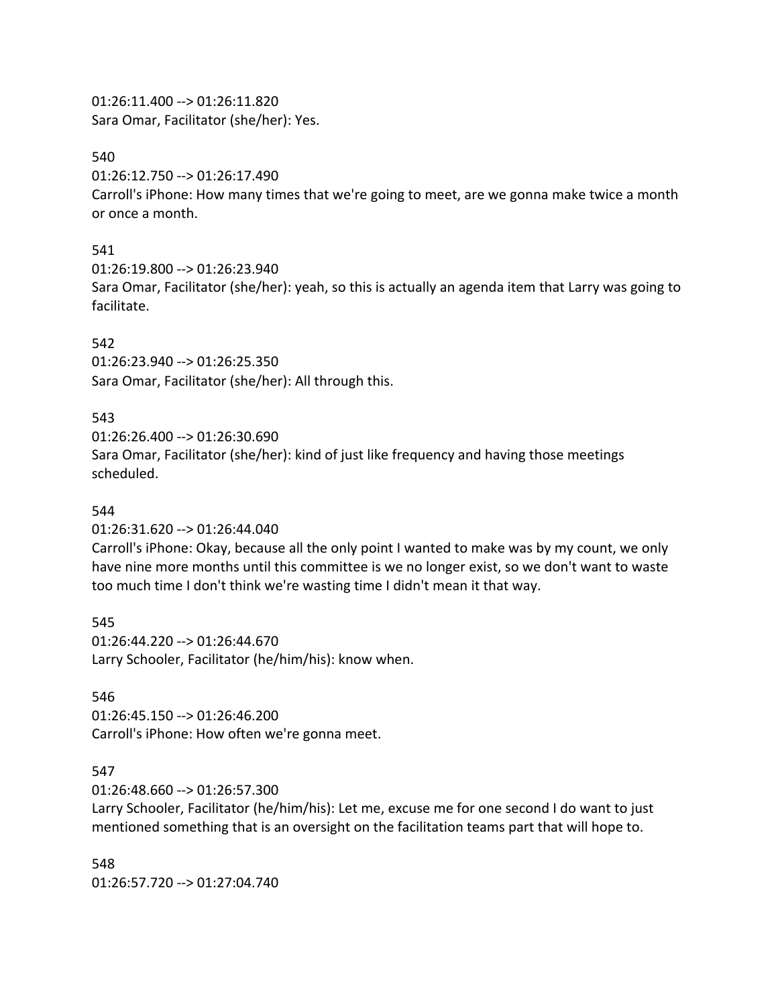01:26:11.400 --> 01:26:11.820 Sara Omar, Facilitator (she/her): Yes.

#### 540

01:26:12.750 --> 01:26:17.490

Carroll's iPhone: How many times that we're going to meet, are we gonna make twice a month or once a month.

### 541

01:26:19.800 --> 01:26:23.940

Sara Omar, Facilitator (she/her): yeah, so this is actually an agenda item that Larry was going to facilitate.

## 542

01:26:23.940 --> 01:26:25.350 Sara Omar, Facilitator (she/her): All through this.

### 543

01:26:26.400 --> 01:26:30.690 Sara Omar, Facilitator (she/her): kind of just like frequency and having those meetings scheduled.

#### 544

01:26:31.620 --> 01:26:44.040

Carroll's iPhone: Okay, because all the only point I wanted to make was by my count, we only have nine more months until this committee is we no longer exist, so we don't want to waste too much time I don't think we're wasting time I didn't mean it that way.

545

01:26:44.220 --> 01:26:44.670 Larry Schooler, Facilitator (he/him/his): know when.

#### 546

01:26:45.150 --> 01:26:46.200 Carroll's iPhone: How often we're gonna meet.

## 547

01:26:48.660 --> 01:26:57.300

Larry Schooler, Facilitator (he/him/his): Let me, excuse me for one second I do want to just mentioned something that is an oversight on the facilitation teams part that will hope to.

548 01:26:57.720 --> 01:27:04.740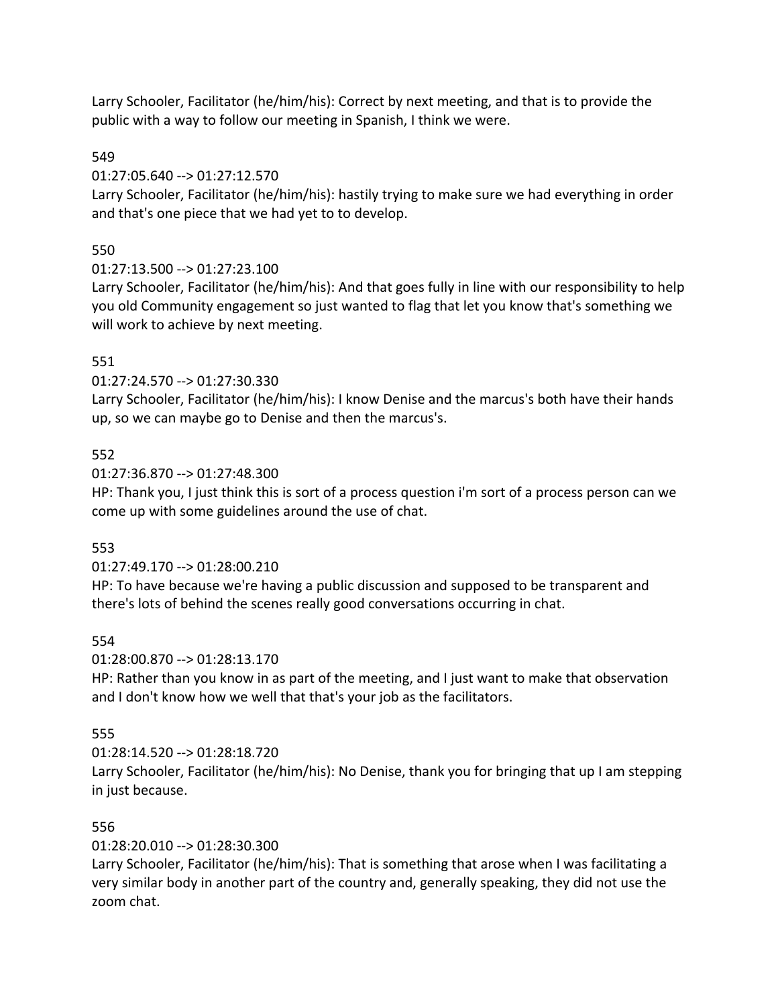Larry Schooler, Facilitator (he/him/his): Correct by next meeting, and that is to provide the public with a way to follow our meeting in Spanish, I think we were.

## 549

01:27:05.640 --> 01:27:12.570

Larry Schooler, Facilitator (he/him/his): hastily trying to make sure we had everything in order and that's one piece that we had yet to to develop.

# 550

01:27:13.500 --> 01:27:23.100

Larry Schooler, Facilitator (he/him/his): And that goes fully in line with our responsibility to help you old Community engagement so just wanted to flag that let you know that's something we will work to achieve by next meeting.

# 551

01:27:24.570 --> 01:27:30.330

Larry Schooler, Facilitator (he/him/his): I know Denise and the marcus's both have their hands up, so we can maybe go to Denise and then the marcus's.

## 552

01:27:36.870 --> 01:27:48.300

HP: Thank you, I just think this is sort of a process question i'm sort of a process person can we come up with some guidelines around the use of chat.

# 553

01:27:49.170 --> 01:28:00.210

HP: To have because we're having a public discussion and supposed to be transparent and there's lots of behind the scenes really good conversations occurring in chat.

# 554

01:28:00.870 --> 01:28:13.170

HP: Rather than you know in as part of the meeting, and I just want to make that observation and I don't know how we well that that's your job as the facilitators.

# 555

01:28:14.520 --> 01:28:18.720

Larry Schooler, Facilitator (he/him/his): No Denise, thank you for bringing that up I am stepping in just because.

# 556

01:28:20.010 --> 01:28:30.300

Larry Schooler, Facilitator (he/him/his): That is something that arose when I was facilitating a very similar body in another part of the country and, generally speaking, they did not use the zoom chat.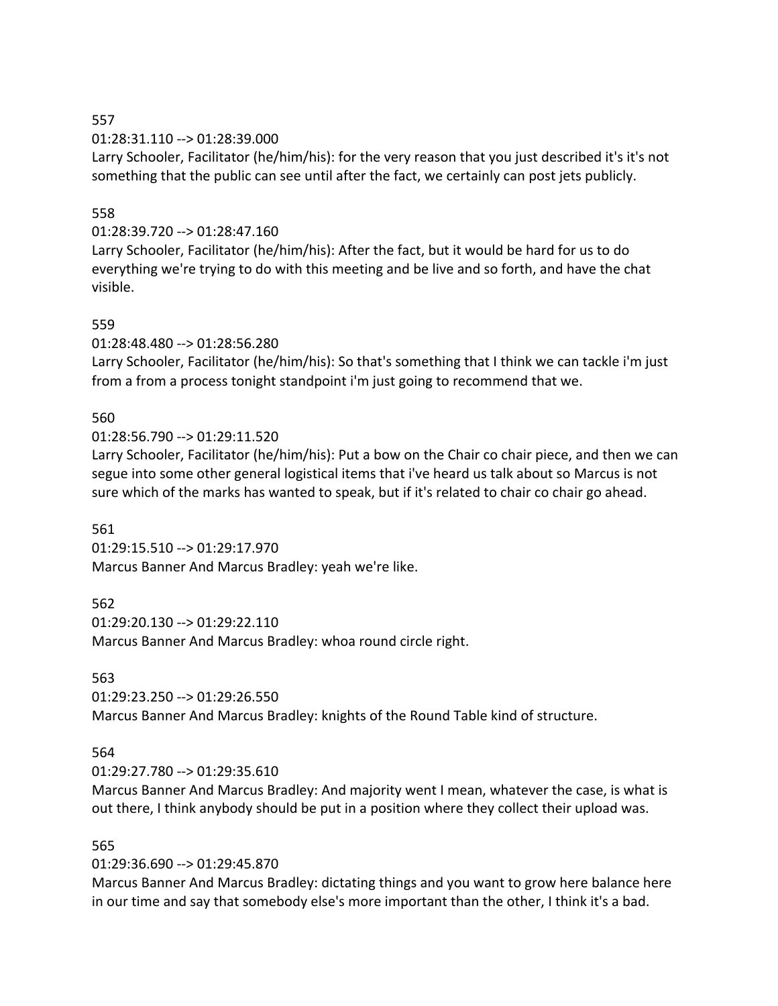01:28:31.110 --> 01:28:39.000

Larry Schooler, Facilitator (he/him/his): for the very reason that you just described it's it's not something that the public can see until after the fact, we certainly can post jets publicly.

## 558

## 01:28:39.720 --> 01:28:47.160

Larry Schooler, Facilitator (he/him/his): After the fact, but it would be hard for us to do everything we're trying to do with this meeting and be live and so forth, and have the chat visible.

## 559

01:28:48.480 --> 01:28:56.280

Larry Schooler, Facilitator (he/him/his): So that's something that I think we can tackle i'm just from a from a process tonight standpoint i'm just going to recommend that we.

## 560

01:28:56.790 --> 01:29:11.520

Larry Schooler, Facilitator (he/him/his): Put a bow on the Chair co chair piece, and then we can segue into some other general logistical items that i've heard us talk about so Marcus is not sure which of the marks has wanted to speak, but if it's related to chair co chair go ahead.

## 561

01:29:15.510 --> 01:29:17.970 Marcus Banner And Marcus Bradley: yeah we're like.

## 562

01:29:20.130 --> 01:29:22.110 Marcus Banner And Marcus Bradley: whoa round circle right.

## 563

01:29:23.250 --> 01:29:26.550 Marcus Banner And Marcus Bradley: knights of the Round Table kind of structure.

## 564

01:29:27.780 --> 01:29:35.610

Marcus Banner And Marcus Bradley: And majority went I mean, whatever the case, is what is out there, I think anybody should be put in a position where they collect their upload was.

## 565

## 01:29:36.690 --> 01:29:45.870

Marcus Banner And Marcus Bradley: dictating things and you want to grow here balance here in our time and say that somebody else's more important than the other, I think it's a bad.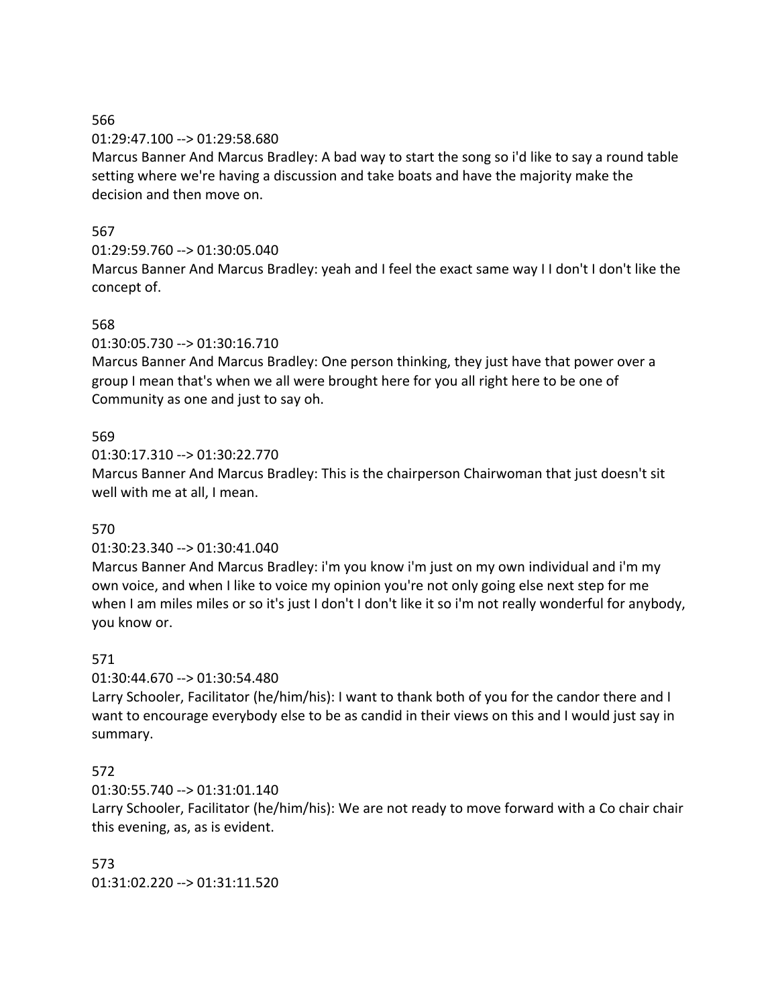#### 01:29:47.100 --> 01:29:58.680

Marcus Banner And Marcus Bradley: A bad way to start the song so i'd like to say a round table setting where we're having a discussion and take boats and have the majority make the decision and then move on.

## 567

### 01:29:59.760 --> 01:30:05.040

Marcus Banner And Marcus Bradley: yeah and I feel the exact same way I I don't I don't like the concept of.

### 568

01:30:05.730 --> 01:30:16.710

Marcus Banner And Marcus Bradley: One person thinking, they just have that power over a group I mean that's when we all were brought here for you all right here to be one of Community as one and just to say oh.

### 569

01:30:17.310 --> 01:30:22.770

Marcus Banner And Marcus Bradley: This is the chairperson Chairwoman that just doesn't sit well with me at all, I mean.

## 570

#### 01:30:23.340 --> 01:30:41.040

Marcus Banner And Marcus Bradley: i'm you know i'm just on my own individual and i'm my own voice, and when I like to voice my opinion you're not only going else next step for me when I am miles miles or so it's just I don't I don't like it so i'm not really wonderful for anybody, you know or.

#### 571

01:30:44.670 --> 01:30:54.480

Larry Schooler, Facilitator (he/him/his): I want to thank both of you for the candor there and I want to encourage everybody else to be as candid in their views on this and I would just say in summary.

## 572

01:30:55.740 --> 01:31:01.140

Larry Schooler, Facilitator (he/him/his): We are not ready to move forward with a Co chair chair this evening, as, as is evident.

573 01:31:02.220 --> 01:31:11.520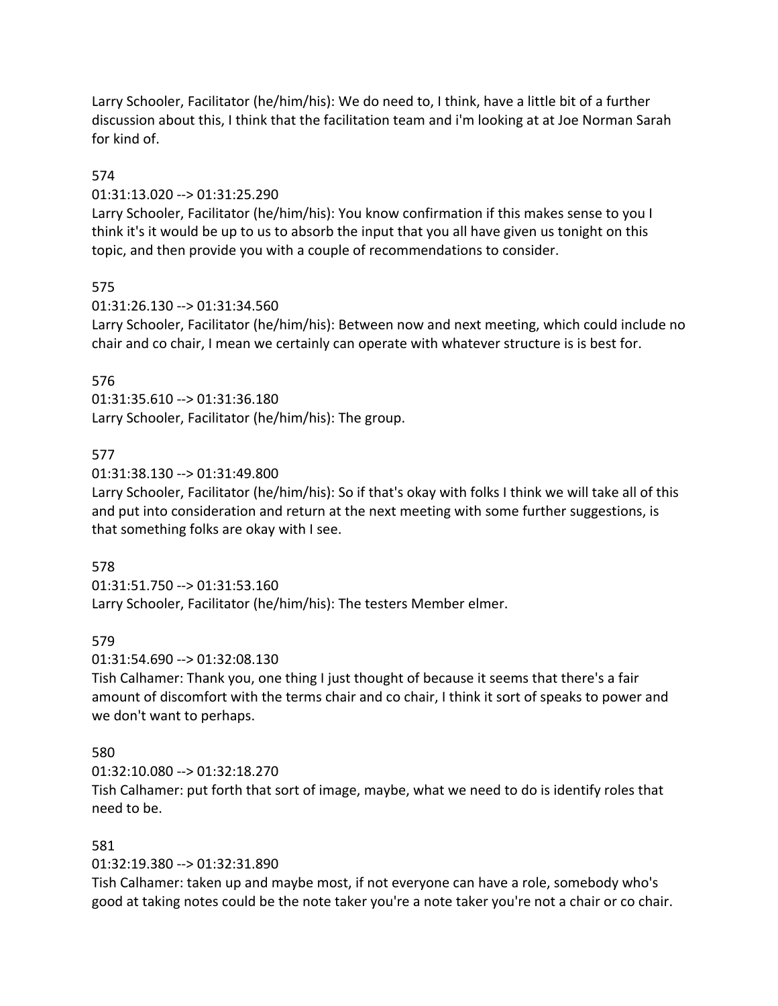Larry Schooler, Facilitator (he/him/his): We do need to, I think, have a little bit of a further discussion about this, I think that the facilitation team and i'm looking at at Joe Norman Sarah for kind of.

## 574

### 01:31:13.020 --> 01:31:25.290

Larry Schooler, Facilitator (he/him/his): You know confirmation if this makes sense to you I think it's it would be up to us to absorb the input that you all have given us tonight on this topic, and then provide you with a couple of recommendations to consider.

## 575

01:31:26.130 --> 01:31:34.560

Larry Schooler, Facilitator (he/him/his): Between now and next meeting, which could include no chair and co chair, I mean we certainly can operate with whatever structure is is best for.

## 576

01:31:35.610 --> 01:31:36.180 Larry Schooler, Facilitator (he/him/his): The group.

## 577

## 01:31:38.130 --> 01:31:49.800

Larry Schooler, Facilitator (he/him/his): So if that's okay with folks I think we will take all of this and put into consideration and return at the next meeting with some further suggestions, is that something folks are okay with I see.

## 578

01:31:51.750 --> 01:31:53.160

Larry Schooler, Facilitator (he/him/his): The testers Member elmer.

## 579

## 01:31:54.690 --> 01:32:08.130

Tish Calhamer: Thank you, one thing I just thought of because it seems that there's a fair amount of discomfort with the terms chair and co chair, I think it sort of speaks to power and we don't want to perhaps.

## 580

01:32:10.080 --> 01:32:18.270

Tish Calhamer: put forth that sort of image, maybe, what we need to do is identify roles that need to be.

## 581

## 01:32:19.380 --> 01:32:31.890

Tish Calhamer: taken up and maybe most, if not everyone can have a role, somebody who's good at taking notes could be the note taker you're a note taker you're not a chair or co chair.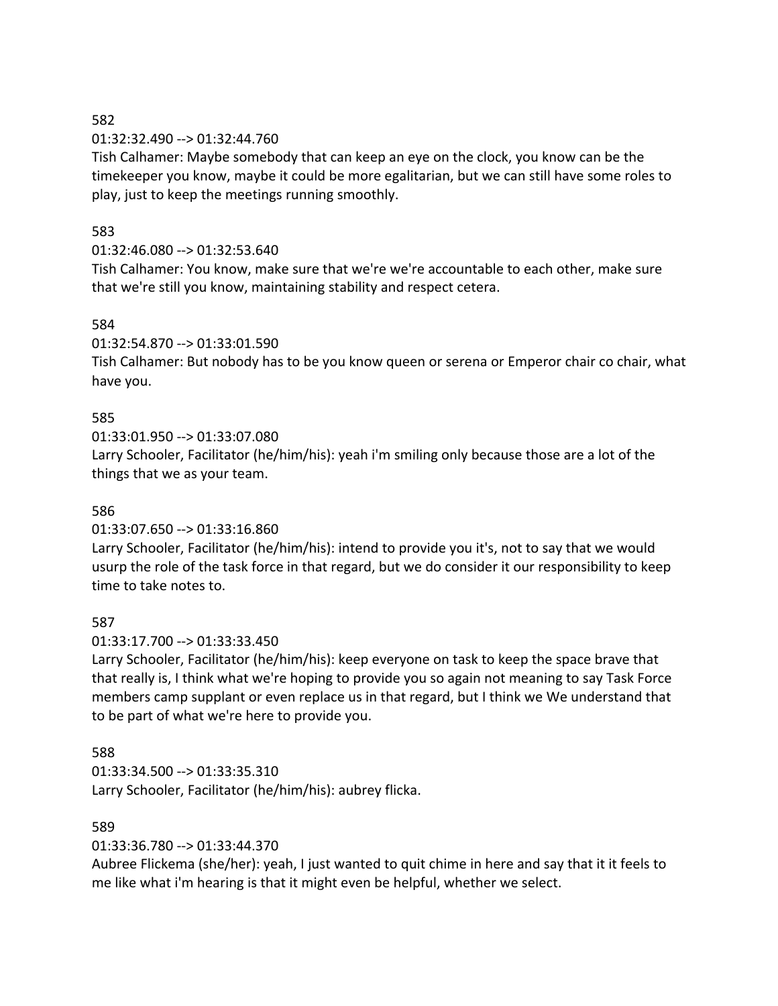### 01:32:32.490 --> 01:32:44.760

Tish Calhamer: Maybe somebody that can keep an eye on the clock, you know can be the timekeeper you know, maybe it could be more egalitarian, but we can still have some roles to play, just to keep the meetings running smoothly.

## 583

## 01:32:46.080 --> 01:32:53.640

Tish Calhamer: You know, make sure that we're we're accountable to each other, make sure that we're still you know, maintaining stability and respect cetera.

## 584

01:32:54.870 --> 01:33:01.590

Tish Calhamer: But nobody has to be you know queen or serena or Emperor chair co chair, what have you.

## 585

01:33:01.950 --> 01:33:07.080

Larry Schooler, Facilitator (he/him/his): yeah i'm smiling only because those are a lot of the things that we as your team.

## 586

#### 01:33:07.650 --> 01:33:16.860

Larry Schooler, Facilitator (he/him/his): intend to provide you it's, not to say that we would usurp the role of the task force in that regard, but we do consider it our responsibility to keep time to take notes to.

#### 587

#### 01:33:17.700 --> 01:33:33.450

Larry Schooler, Facilitator (he/him/his): keep everyone on task to keep the space brave that that really is, I think what we're hoping to provide you so again not meaning to say Task Force members camp supplant or even replace us in that regard, but I think we We understand that to be part of what we're here to provide you.

## 588

01:33:34.500 --> 01:33:35.310 Larry Schooler, Facilitator (he/him/his): aubrey flicka.

## 589

## 01:33:36.780 --> 01:33:44.370

Aubree Flickema (she/her): yeah, I just wanted to quit chime in here and say that it it feels to me like what i'm hearing is that it might even be helpful, whether we select.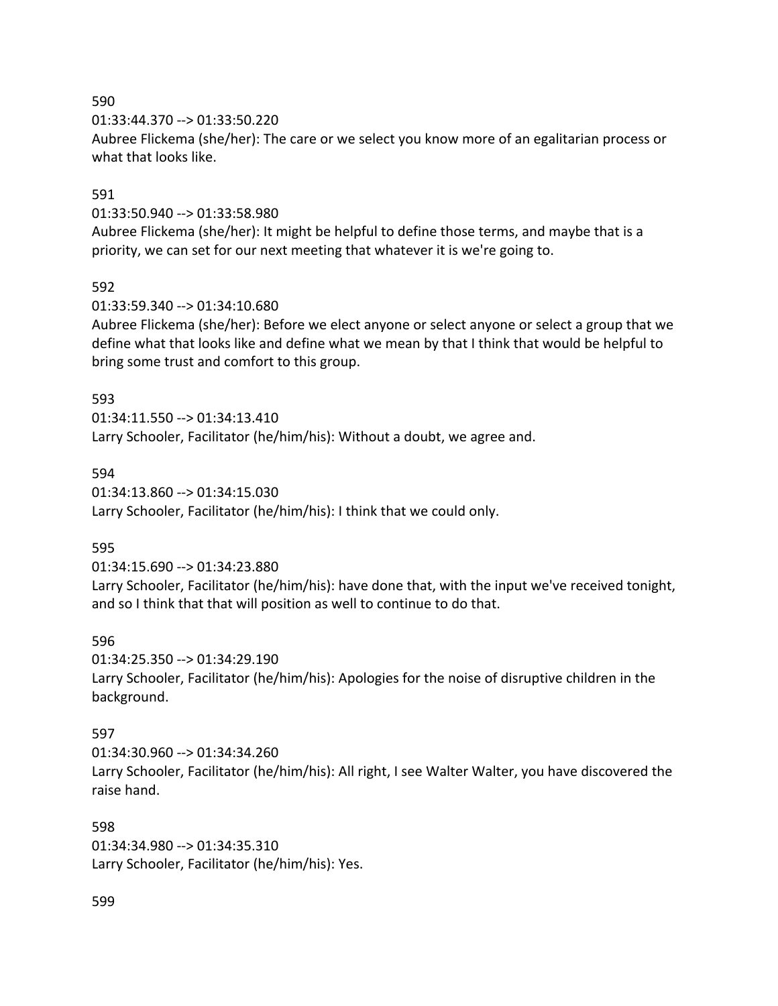01:33:44.370 --> 01:33:50.220

Aubree Flickema (she/her): The care or we select you know more of an egalitarian process or what that looks like.

## 591

01:33:50.940 --> 01:33:58.980

Aubree Flickema (she/her): It might be helpful to define those terms, and maybe that is a priority, we can set for our next meeting that whatever it is we're going to.

## 592

01:33:59.340 --> 01:34:10.680

Aubree Flickema (she/her): Before we elect anyone or select anyone or select a group that we define what that looks like and define what we mean by that I think that would be helpful to bring some trust and comfort to this group.

### 593

01:34:11.550 --> 01:34:13.410 Larry Schooler, Facilitator (he/him/his): Without a doubt, we agree and.

## 594

01:34:13.860 --> 01:34:15.030 Larry Schooler, Facilitator (he/him/his): I think that we could only.

## 595

01:34:15.690 --> 01:34:23.880

Larry Schooler, Facilitator (he/him/his): have done that, with the input we've received tonight, and so I think that that will position as well to continue to do that.

## 596

01:34:25.350 --> 01:34:29.190 Larry Schooler, Facilitator (he/him/his): Apologies for the noise of disruptive children in the background.

## 597

01:34:30.960 --> 01:34:34.260 Larry Schooler, Facilitator (he/him/his): All right, I see Walter Walter, you have discovered the raise hand.

#### 598

01:34:34.980 --> 01:34:35.310 Larry Schooler, Facilitator (he/him/his): Yes.

#### 599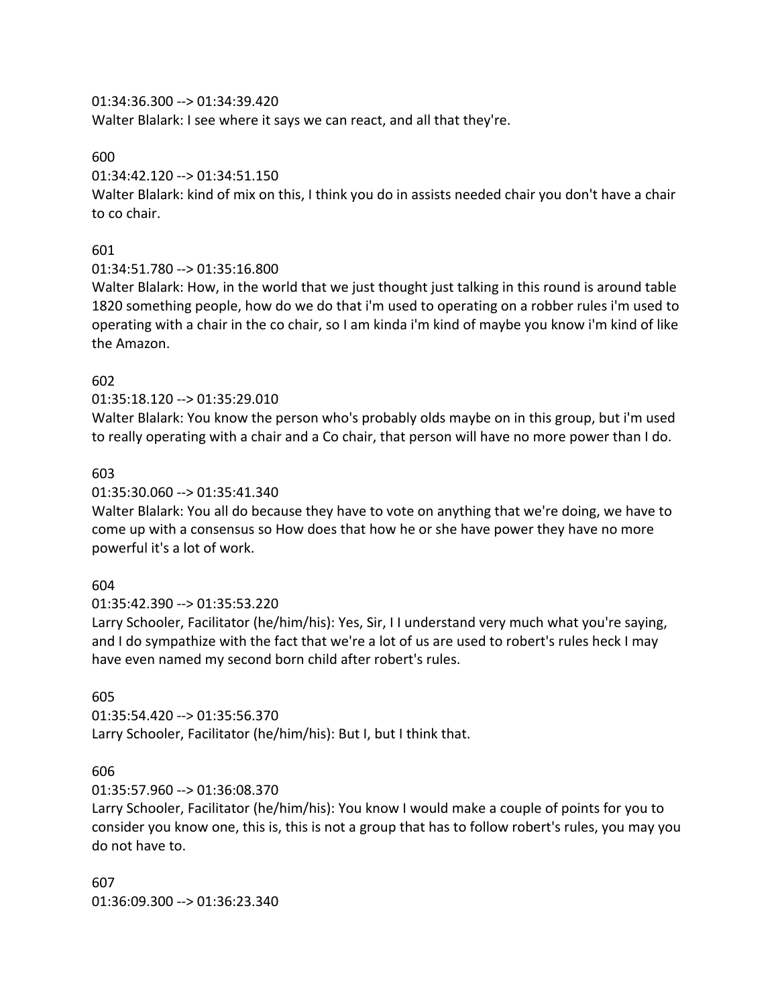01:34:36.300 --> 01:34:39.420

Walter Blalark: I see where it says we can react, and all that they're.

600

01:34:42.120 --> 01:34:51.150

Walter Blalark: kind of mix on this, I think you do in assists needed chair you don't have a chair to co chair.

## 601

01:34:51.780 --> 01:35:16.800

Walter Blalark: How, in the world that we just thought just talking in this round is around table 1820 something people, how do we do that i'm used to operating on a robber rules i'm used to operating with a chair in the co chair, so I am kinda i'm kind of maybe you know i'm kind of like the Amazon.

## 602

01:35:18.120 --> 01:35:29.010

Walter Blalark: You know the person who's probably olds maybe on in this group, but i'm used to really operating with a chair and a Co chair, that person will have no more power than I do.

## 603

### 01:35:30.060 --> 01:35:41.340

Walter Blalark: You all do because they have to vote on anything that we're doing, we have to come up with a consensus so How does that how he or she have power they have no more powerful it's a lot of work.

## 604

01:35:42.390 --> 01:35:53.220

Larry Schooler, Facilitator (he/him/his): Yes, Sir, I I understand very much what you're saying, and I do sympathize with the fact that we're a lot of us are used to robert's rules heck I may have even named my second born child after robert's rules.

## 605

01:35:54.420 --> 01:35:56.370 Larry Schooler, Facilitator (he/him/his): But I, but I think that.

## 606

01:35:57.960 --> 01:36:08.370

Larry Schooler, Facilitator (he/him/his): You know I would make a couple of points for you to consider you know one, this is, this is not a group that has to follow robert's rules, you may you do not have to.

607 01:36:09.300 --> 01:36:23.340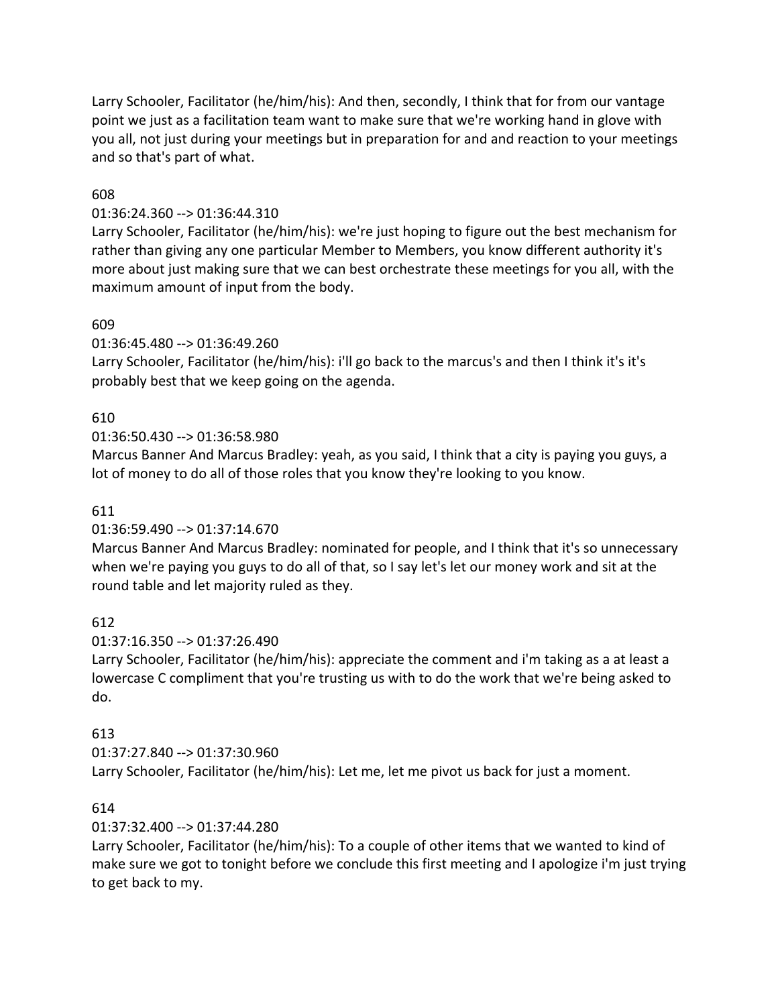Larry Schooler, Facilitator (he/him/his): And then, secondly, I think that for from our vantage point we just as a facilitation team want to make sure that we're working hand in glove with you all, not just during your meetings but in preparation for and and reaction to your meetings and so that's part of what.

## 608

## 01:36:24.360 --> 01:36:44.310

Larry Schooler, Facilitator (he/him/his): we're just hoping to figure out the best mechanism for rather than giving any one particular Member to Members, you know different authority it's more about just making sure that we can best orchestrate these meetings for you all, with the maximum amount of input from the body.

## 609

01:36:45.480 --> 01:36:49.260

Larry Schooler, Facilitator (he/him/his): i'll go back to the marcus's and then I think it's it's probably best that we keep going on the agenda.

# 610

01:36:50.430 --> 01:36:58.980

Marcus Banner And Marcus Bradley: yeah, as you said, I think that a city is paying you guys, a lot of money to do all of those roles that you know they're looking to you know.

## 611

## 01:36:59.490 --> 01:37:14.670

Marcus Banner And Marcus Bradley: nominated for people, and I think that it's so unnecessary when we're paying you guys to do all of that, so I say let's let our money work and sit at the round table and let majority ruled as they.

612

## 01:37:16.350 --> 01:37:26.490

Larry Schooler, Facilitator (he/him/his): appreciate the comment and i'm taking as a at least a lowercase C compliment that you're trusting us with to do the work that we're being asked to do.

# 613

# 01:37:27.840 --> 01:37:30.960

Larry Schooler, Facilitator (he/him/his): Let me, let me pivot us back for just a moment.

# 614

# 01:37:32.400 --> 01:37:44.280

Larry Schooler, Facilitator (he/him/his): To a couple of other items that we wanted to kind of make sure we got to tonight before we conclude this first meeting and I apologize i'm just trying to get back to my.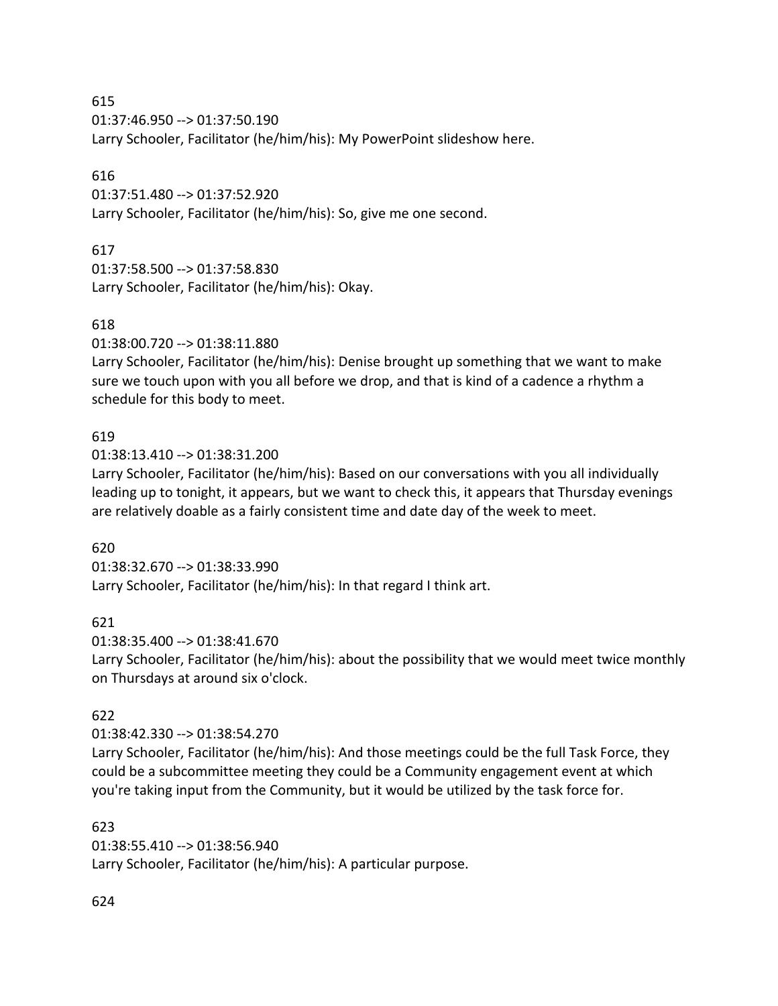01:37:46.950 --> 01:37:50.190 Larry Schooler, Facilitator (he/him/his): My PowerPoint slideshow here.

## 616

01:37:51.480 --> 01:37:52.920 Larry Schooler, Facilitator (he/him/his): So, give me one second.

# 617

01:37:58.500 --> 01:37:58.830 Larry Schooler, Facilitator (he/him/his): Okay.

# 618

01:38:00.720 --> 01:38:11.880

Larry Schooler, Facilitator (he/him/his): Denise brought up something that we want to make sure we touch upon with you all before we drop, and that is kind of a cadence a rhythm a schedule for this body to meet.

# 619

01:38:13.410 --> 01:38:31.200

Larry Schooler, Facilitator (he/him/his): Based on our conversations with you all individually leading up to tonight, it appears, but we want to check this, it appears that Thursday evenings are relatively doable as a fairly consistent time and date day of the week to meet.

# 620

01:38:32.670 --> 01:38:33.990 Larry Schooler, Facilitator (he/him/his): In that regard I think art.

# 621

01:38:35.400 --> 01:38:41.670

Larry Schooler, Facilitator (he/him/his): about the possibility that we would meet twice monthly on Thursdays at around six o'clock.

# 622

01:38:42.330 --> 01:38:54.270

Larry Schooler, Facilitator (he/him/his): And those meetings could be the full Task Force, they could be a subcommittee meeting they could be a Community engagement event at which you're taking input from the Community, but it would be utilized by the task force for.

## 623

01:38:55.410 --> 01:38:56.940 Larry Schooler, Facilitator (he/him/his): A particular purpose.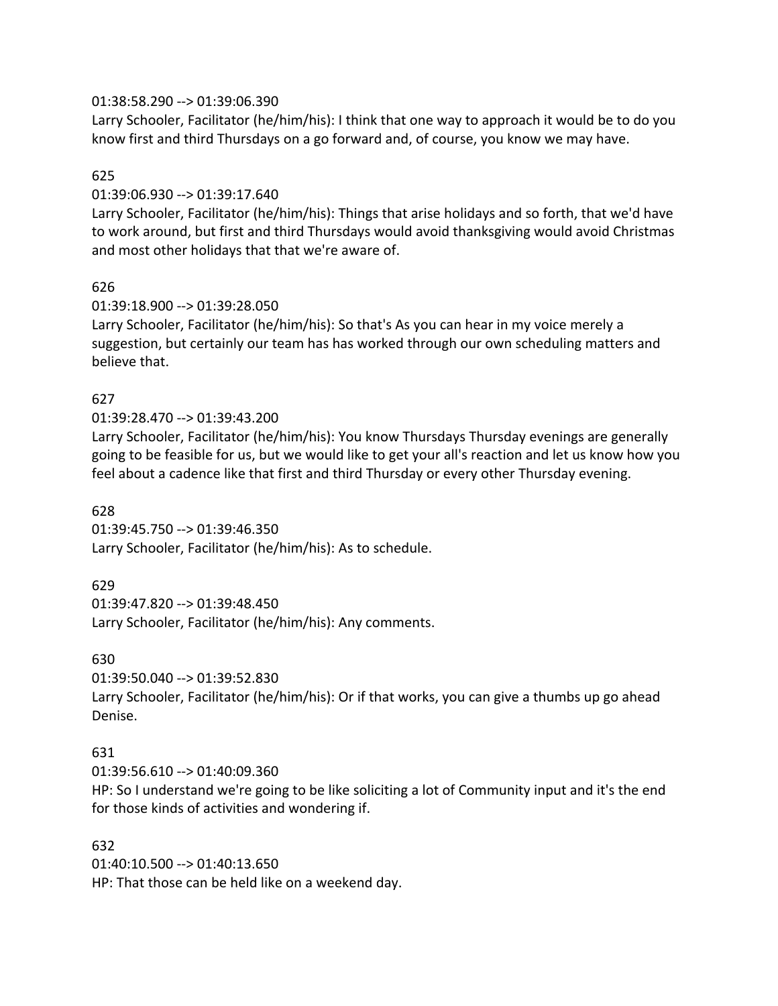### 01:38:58.290 --> 01:39:06.390

Larry Schooler, Facilitator (he/him/his): I think that one way to approach it would be to do you know first and third Thursdays on a go forward and, of course, you know we may have.

## 625

### 01:39:06.930 --> 01:39:17.640

Larry Schooler, Facilitator (he/him/his): Things that arise holidays and so forth, that we'd have to work around, but first and third Thursdays would avoid thanksgiving would avoid Christmas and most other holidays that that we're aware of.

### 626

### 01:39:18.900 --> 01:39:28.050

Larry Schooler, Facilitator (he/him/his): So that's As you can hear in my voice merely a suggestion, but certainly our team has has worked through our own scheduling matters and believe that.

## 627

## 01:39:28.470 --> 01:39:43.200

Larry Schooler, Facilitator (he/him/his): You know Thursdays Thursday evenings are generally going to be feasible for us, but we would like to get your all's reaction and let us know how you feel about a cadence like that first and third Thursday or every other Thursday evening.

### 628

01:39:45.750 --> 01:39:46.350 Larry Schooler, Facilitator (he/him/his): As to schedule.

## 629

01:39:47.820 --> 01:39:48.450 Larry Schooler, Facilitator (he/him/his): Any comments.

#### 630

01:39:50.040 --> 01:39:52.830

Larry Schooler, Facilitator (he/him/his): Or if that works, you can give a thumbs up go ahead Denise.

## 631

01:39:56.610 --> 01:40:09.360

HP: So I understand we're going to be like soliciting a lot of Community input and it's the end for those kinds of activities and wondering if.

#### 632

01:40:10.500 --> 01:40:13.650 HP: That those can be held like on a weekend day.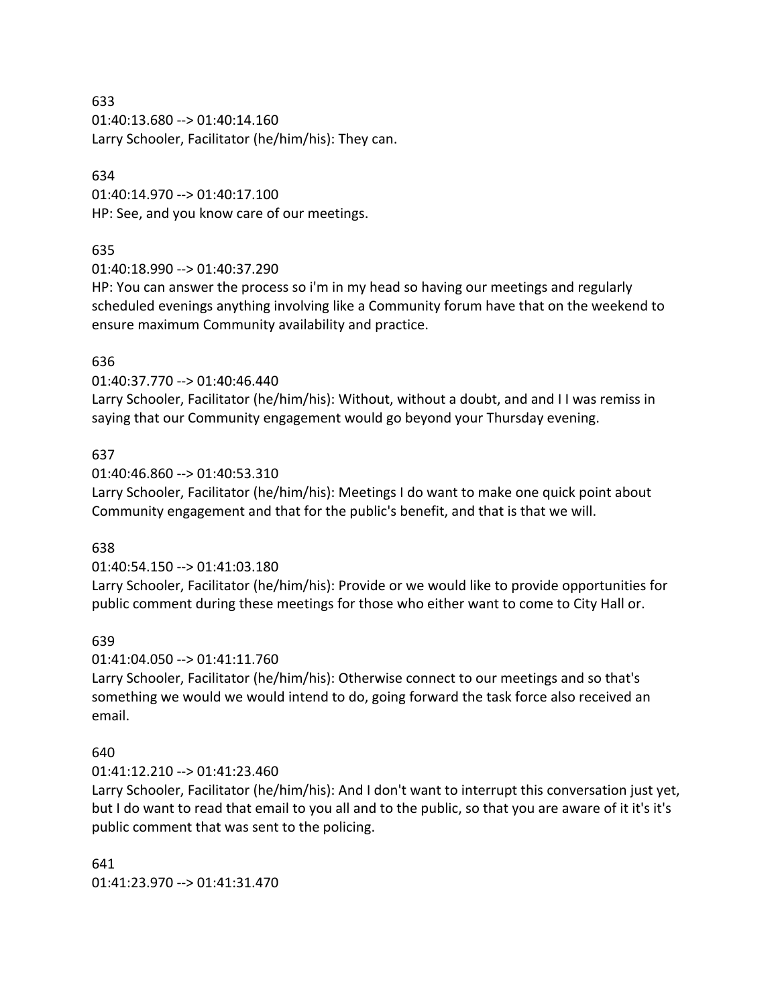01:40:13.680 --> 01:40:14.160 Larry Schooler, Facilitator (he/him/his): They can.

### 634

01:40:14.970 --> 01:40:17.100 HP: See, and you know care of our meetings.

## 635

01:40:18.990 --> 01:40:37.290

HP: You can answer the process so i'm in my head so having our meetings and regularly scheduled evenings anything involving like a Community forum have that on the weekend to ensure maximum Community availability and practice.

## 636

01:40:37.770 --> 01:40:46.440

Larry Schooler, Facilitator (he/him/his): Without, without a doubt, and and I I was remiss in saying that our Community engagement would go beyond your Thursday evening.

### 637

01:40:46.860 --> 01:40:53.310

Larry Schooler, Facilitator (he/him/his): Meetings I do want to make one quick point about Community engagement and that for the public's benefit, and that is that we will.

## 638

01:40:54.150 --> 01:41:03.180

Larry Schooler, Facilitator (he/him/his): Provide or we would like to provide opportunities for public comment during these meetings for those who either want to come to City Hall or.

## 639

## 01:41:04.050 --> 01:41:11.760

Larry Schooler, Facilitator (he/him/his): Otherwise connect to our meetings and so that's something we would we would intend to do, going forward the task force also received an email.

## 640

#### 01:41:12.210 --> 01:41:23.460

Larry Schooler, Facilitator (he/him/his): And I don't want to interrupt this conversation just yet, but I do want to read that email to you all and to the public, so that you are aware of it it's it's public comment that was sent to the policing.

#### 641

01:41:23.970 --> 01:41:31.470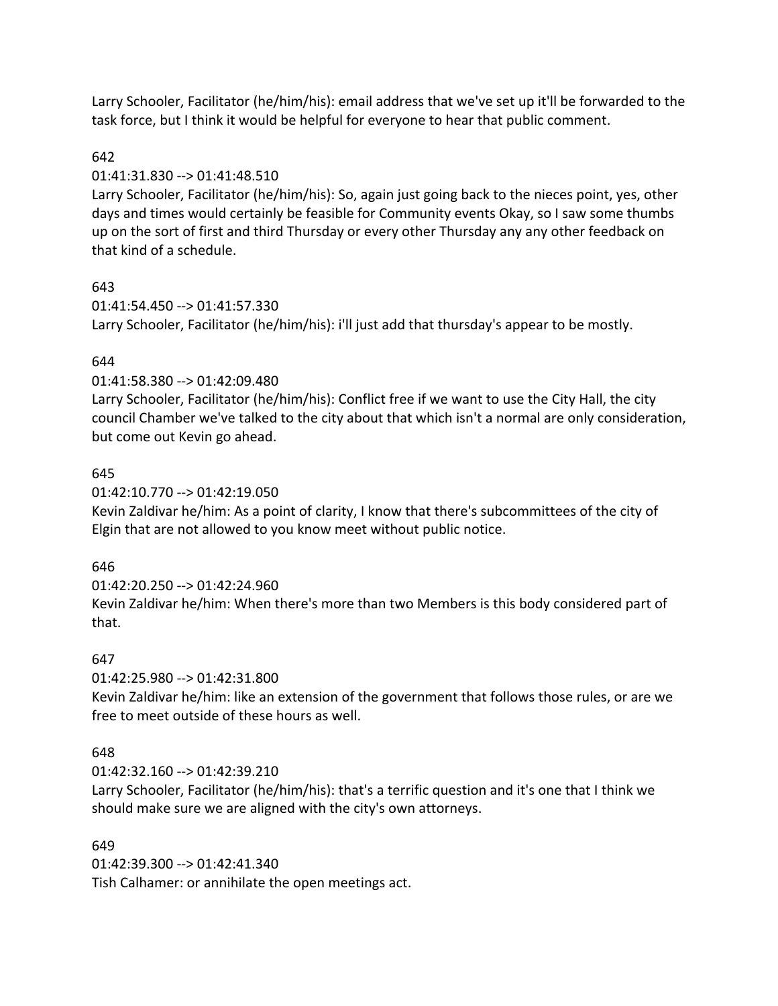Larry Schooler, Facilitator (he/him/his): email address that we've set up it'll be forwarded to the task force, but I think it would be helpful for everyone to hear that public comment.

## 642

## 01:41:31.830 --> 01:41:48.510

Larry Schooler, Facilitator (he/him/his): So, again just going back to the nieces point, yes, other days and times would certainly be feasible for Community events Okay, so I saw some thumbs up on the sort of first and third Thursday or every other Thursday any any other feedback on that kind of a schedule.

## 643

01:41:54.450 --> 01:41:57.330 Larry Schooler, Facilitator (he/him/his): i'll just add that thursday's appear to be mostly.

## 644

01:41:58.380 --> 01:42:09.480

Larry Schooler, Facilitator (he/him/his): Conflict free if we want to use the City Hall, the city council Chamber we've talked to the city about that which isn't a normal are only consideration, but come out Kevin go ahead.

## 645

01:42:10.770 --> 01:42:19.050

Kevin Zaldivar he/him: As a point of clarity, I know that there's subcommittees of the city of Elgin that are not allowed to you know meet without public notice.

## 646

01:42:20.250 --> 01:42:24.960 Kevin Zaldivar he/him: When there's more than two Members is this body considered part of that.

## 647

01:42:25.980 --> 01:42:31.800

Kevin Zaldivar he/him: like an extension of the government that follows those rules, or are we free to meet outside of these hours as well.

## 648

01:42:32.160 --> 01:42:39.210

Larry Schooler, Facilitator (he/him/his): that's a terrific question and it's one that I think we should make sure we are aligned with the city's own attorneys.

## 649

01:42:39.300 --> 01:42:41.340 Tish Calhamer: or annihilate the open meetings act.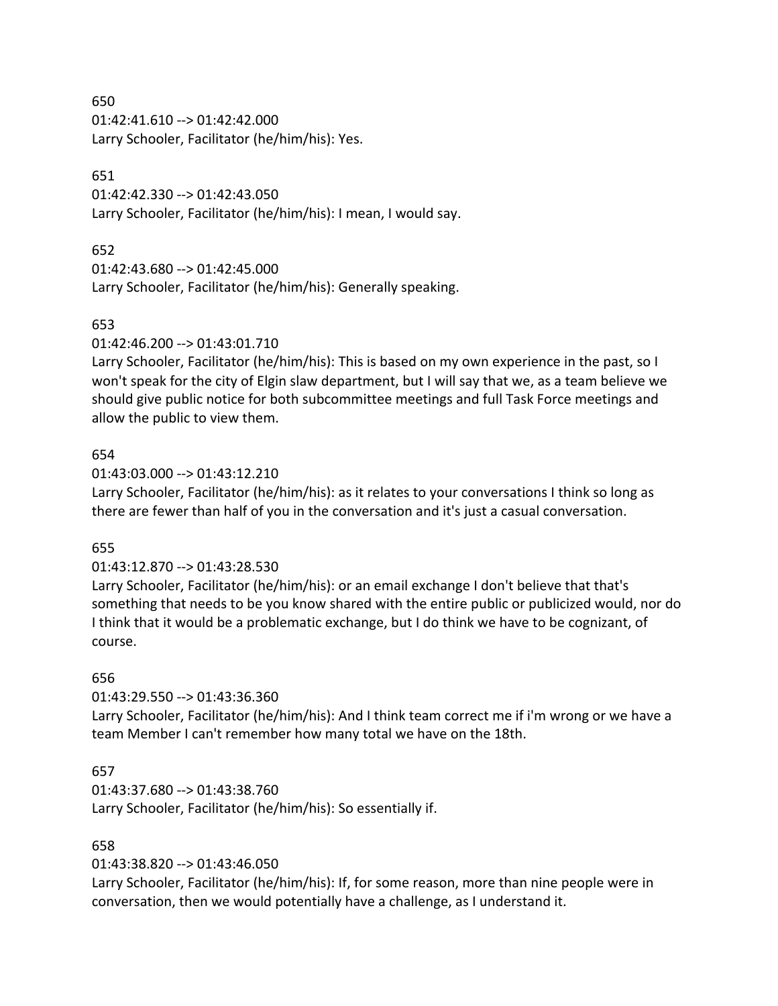01:42:41.610 --> 01:42:42.000 Larry Schooler, Facilitator (he/him/his): Yes.

## 651

01:42:42.330 --> 01:42:43.050 Larry Schooler, Facilitator (he/him/his): I mean, I would say.

## 652

01:42:43.680 --> 01:42:45.000 Larry Schooler, Facilitator (he/him/his): Generally speaking.

## 653

01:42:46.200 --> 01:43:01.710

Larry Schooler, Facilitator (he/him/his): This is based on my own experience in the past, so I won't speak for the city of Elgin slaw department, but I will say that we, as a team believe we should give public notice for both subcommittee meetings and full Task Force meetings and allow the public to view them.

## 654

01:43:03.000 --> 01:43:12.210

Larry Schooler, Facilitator (he/him/his): as it relates to your conversations I think so long as there are fewer than half of you in the conversation and it's just a casual conversation.

## 655

## 01:43:12.870 --> 01:43:28.530

Larry Schooler, Facilitator (he/him/his): or an email exchange I don't believe that that's something that needs to be you know shared with the entire public or publicized would, nor do I think that it would be a problematic exchange, but I do think we have to be cognizant, of course.

## 656

01:43:29.550 --> 01:43:36.360

Larry Schooler, Facilitator (he/him/his): And I think team correct me if i'm wrong or we have a team Member I can't remember how many total we have on the 18th.

## 657

01:43:37.680 --> 01:43:38.760 Larry Schooler, Facilitator (he/him/his): So essentially if.

## 658

01:43:38.820 --> 01:43:46.050

Larry Schooler, Facilitator (he/him/his): If, for some reason, more than nine people were in conversation, then we would potentially have a challenge, as I understand it.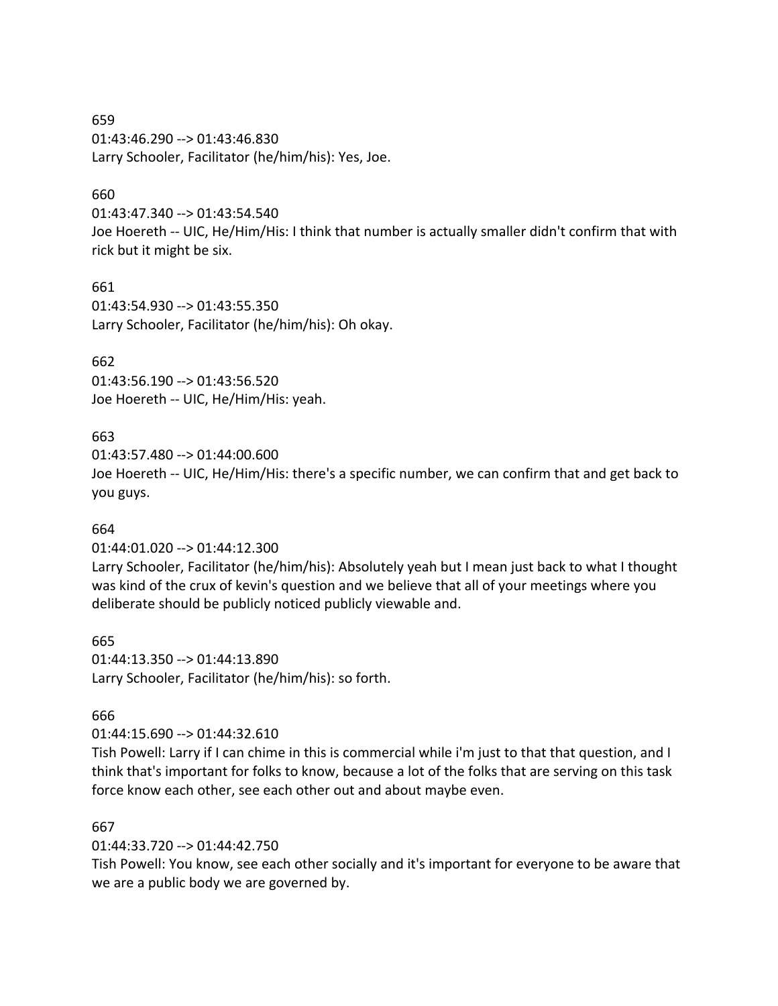659 01:43:46.290 --> 01:43:46.830 Larry Schooler, Facilitator (he/him/his): Yes, Joe.

### 660

01:43:47.340 --> 01:43:54.540

Joe Hoereth -- UIC, He/Him/His: I think that number is actually smaller didn't confirm that with rick but it might be six.

#### 661

01:43:54.930 --> 01:43:55.350 Larry Schooler, Facilitator (he/him/his): Oh okay.

### 662

01:43:56.190 --> 01:43:56.520 Joe Hoereth -- UIC, He/Him/His: yeah.

### 663

01:43:57.480 --> 01:44:00.600 Joe Hoereth -- UIC, He/Him/His: there's a specific number, we can confirm that and get back to you guys.

#### 664

01:44:01.020 --> 01:44:12.300

Larry Schooler, Facilitator (he/him/his): Absolutely yeah but I mean just back to what I thought was kind of the crux of kevin's question and we believe that all of your meetings where you deliberate should be publicly noticed publicly viewable and.

#### 665

01:44:13.350 --> 01:44:13.890 Larry Schooler, Facilitator (he/him/his): so forth.

#### 666

01:44:15.690 --> 01:44:32.610

Tish Powell: Larry if I can chime in this is commercial while i'm just to that that question, and I think that's important for folks to know, because a lot of the folks that are serving on this task force know each other, see each other out and about maybe even.

#### 667

01:44:33.720 --> 01:44:42.750

Tish Powell: You know, see each other socially and it's important for everyone to be aware that we are a public body we are governed by.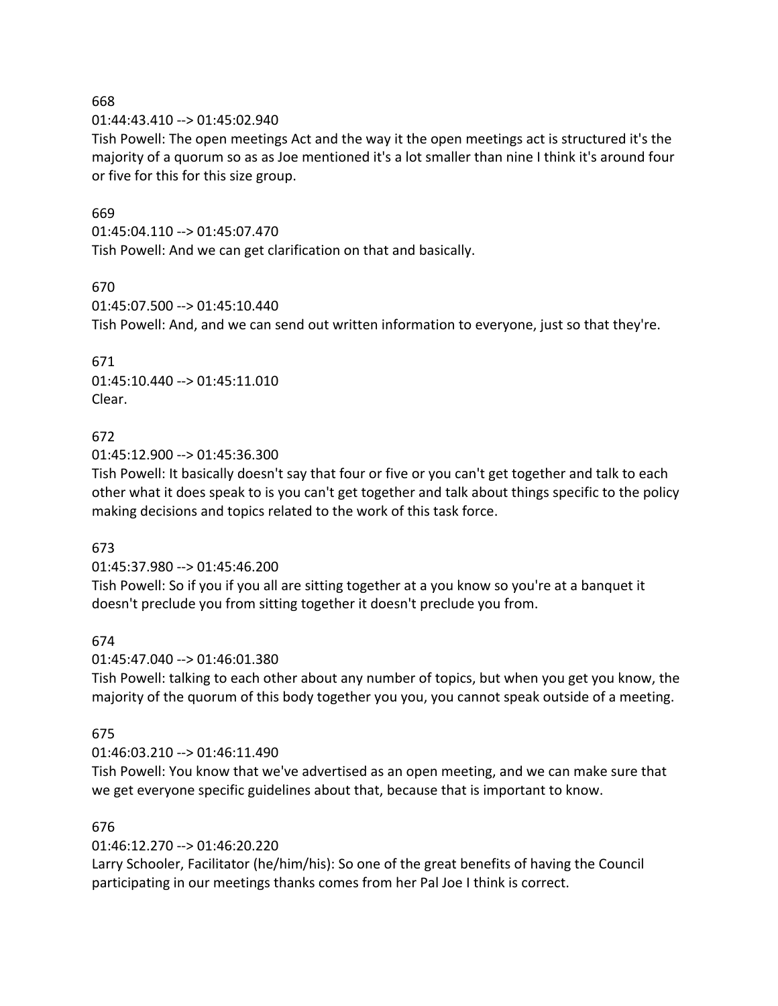01:44:43.410 --> 01:45:02.940

Tish Powell: The open meetings Act and the way it the open meetings act is structured it's the majority of a quorum so as as Joe mentioned it's a lot smaller than nine I think it's around four or five for this for this size group.

## 669

01:45:04.110 --> 01:45:07.470

Tish Powell: And we can get clarification on that and basically.

## 670

01:45:07.500 --> 01:45:10.440 Tish Powell: And, and we can send out written information to everyone, just so that they're.

671 01:45:10.440 --> 01:45:11.010 Clear.

## 672

01:45:12.900 --> 01:45:36.300

Tish Powell: It basically doesn't say that four or five or you can't get together and talk to each other what it does speak to is you can't get together and talk about things specific to the policy making decisions and topics related to the work of this task force.

## 673

01:45:37.980 --> 01:45:46.200

Tish Powell: So if you if you all are sitting together at a you know so you're at a banquet it doesn't preclude you from sitting together it doesn't preclude you from.

## 674

01:45:47.040 --> 01:46:01.380

Tish Powell: talking to each other about any number of topics, but when you get you know, the majority of the quorum of this body together you you, you cannot speak outside of a meeting.

## 675

## 01:46:03.210 --> 01:46:11.490

Tish Powell: You know that we've advertised as an open meeting, and we can make sure that we get everyone specific guidelines about that, because that is important to know.

## 676

01:46:12.270 --> 01:46:20.220

Larry Schooler, Facilitator (he/him/his): So one of the great benefits of having the Council participating in our meetings thanks comes from her Pal Joe I think is correct.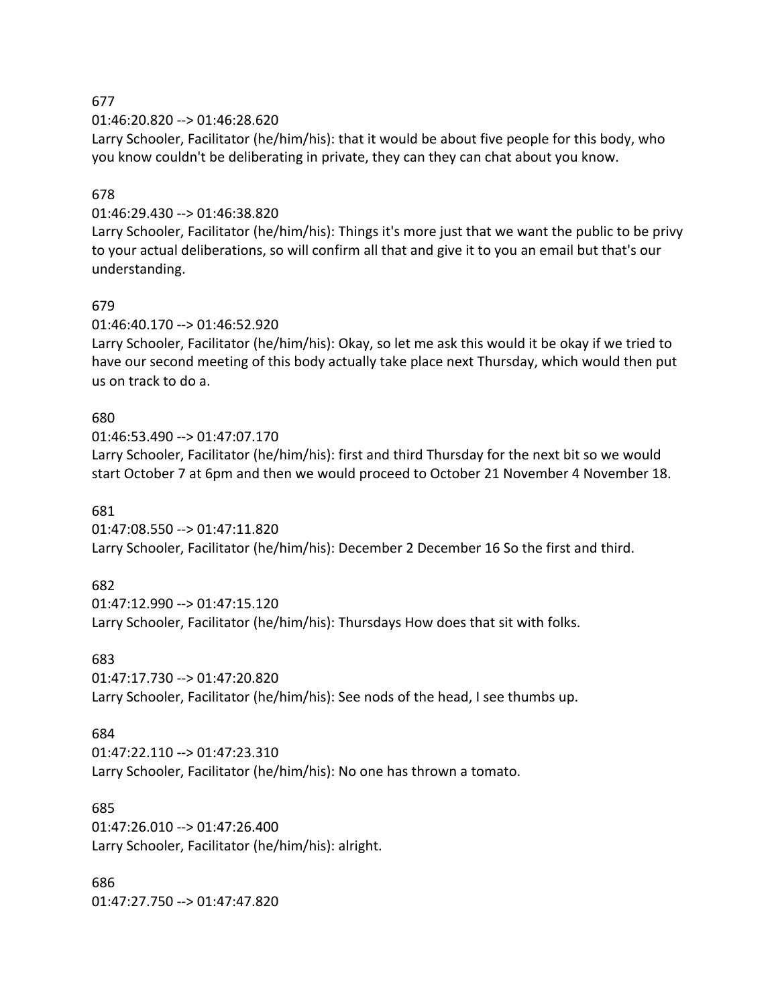01:46:20.820 --> 01:46:28.620

Larry Schooler, Facilitator (he/him/his): that it would be about five people for this body, who you know couldn't be deliberating in private, they can they can chat about you know.

## 678

## 01:46:29.430 --> 01:46:38.820

Larry Schooler, Facilitator (he/him/his): Things it's more just that we want the public to be privy to your actual deliberations, so will confirm all that and give it to you an email but that's our understanding.

## 679

01:46:40.170 --> 01:46:52.920

Larry Schooler, Facilitator (he/him/his): Okay, so let me ask this would it be okay if we tried to have our second meeting of this body actually take place next Thursday, which would then put us on track to do a.

## 680

01:46:53.490 --> 01:47:07.170 Larry Schooler, Facilitator (he/him/his): first and third Thursday for the next bit so we would start October 7 at 6pm and then we would proceed to October 21 November 4 November 18.

## 681

01:47:08.550 --> 01:47:11.820 Larry Schooler, Facilitator (he/him/his): December 2 December 16 So the first and third.

## 682

01:47:12.990 --> 01:47:15.120 Larry Schooler, Facilitator (he/him/his): Thursdays How does that sit with folks.

## 683

01:47:17.730 --> 01:47:20.820

Larry Schooler, Facilitator (he/him/his): See nods of the head, I see thumbs up.

## 684

01:47:22.110 --> 01:47:23.310 Larry Schooler, Facilitator (he/him/his): No one has thrown a tomato.

## 685

01:47:26.010 --> 01:47:26.400 Larry Schooler, Facilitator (he/him/his): alright.

686 01:47:27.750 --> 01:47:47.820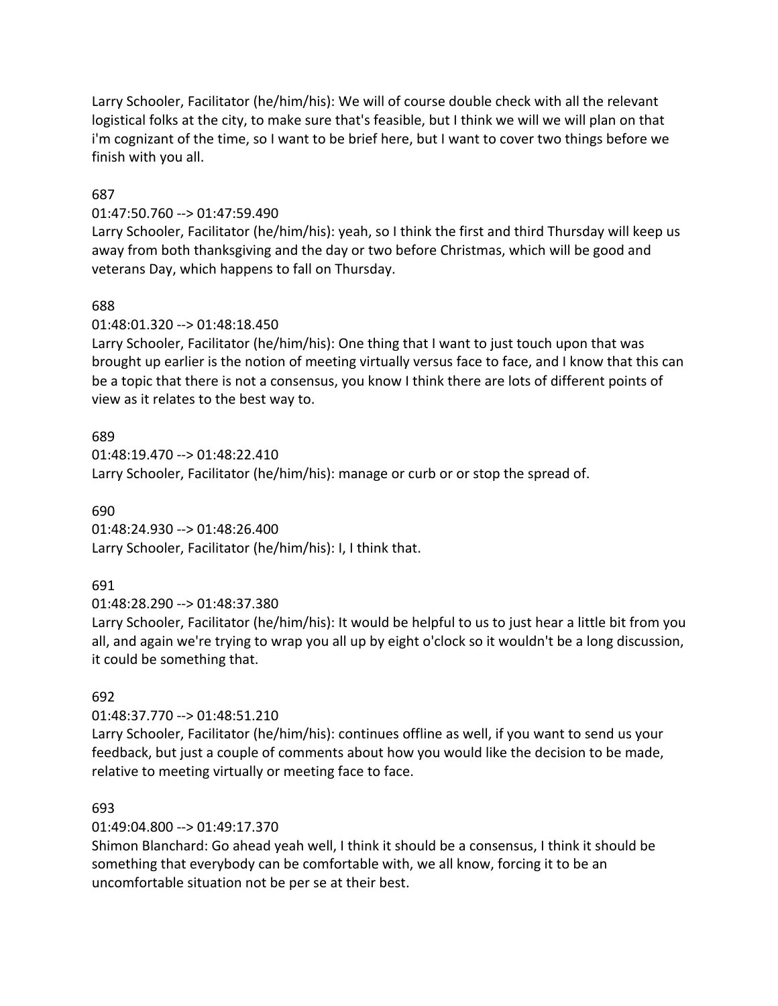Larry Schooler, Facilitator (he/him/his): We will of course double check with all the relevant logistical folks at the city, to make sure that's feasible, but I think we will we will plan on that i'm cognizant of the time, so I want to be brief here, but I want to cover two things before we finish with you all.

## 687

## 01:47:50.760 --> 01:47:59.490

Larry Schooler, Facilitator (he/him/his): yeah, so I think the first and third Thursday will keep us away from both thanksgiving and the day or two before Christmas, which will be good and veterans Day, which happens to fall on Thursday.

## 688

## 01:48:01.320 --> 01:48:18.450

Larry Schooler, Facilitator (he/him/his): One thing that I want to just touch upon that was brought up earlier is the notion of meeting virtually versus face to face, and I know that this can be a topic that there is not a consensus, you know I think there are lots of different points of view as it relates to the best way to.

## 689

01:48:19.470 --> 01:48:22.410 Larry Schooler, Facilitator (he/him/his): manage or curb or or stop the spread of.

## 690

01:48:24.930 --> 01:48:26.400 Larry Schooler, Facilitator (he/him/his): I, I think that.

## 691

01:48:28.290 --> 01:48:37.380

Larry Schooler, Facilitator (he/him/his): It would be helpful to us to just hear a little bit from you all, and again we're trying to wrap you all up by eight o'clock so it wouldn't be a long discussion, it could be something that.

## 692

## 01:48:37.770 --> 01:48:51.210

Larry Schooler, Facilitator (he/him/his): continues offline as well, if you want to send us your feedback, but just a couple of comments about how you would like the decision to be made, relative to meeting virtually or meeting face to face.

## 693

## 01:49:04.800 --> 01:49:17.370

Shimon Blanchard: Go ahead yeah well, I think it should be a consensus, I think it should be something that everybody can be comfortable with, we all know, forcing it to be an uncomfortable situation not be per se at their best.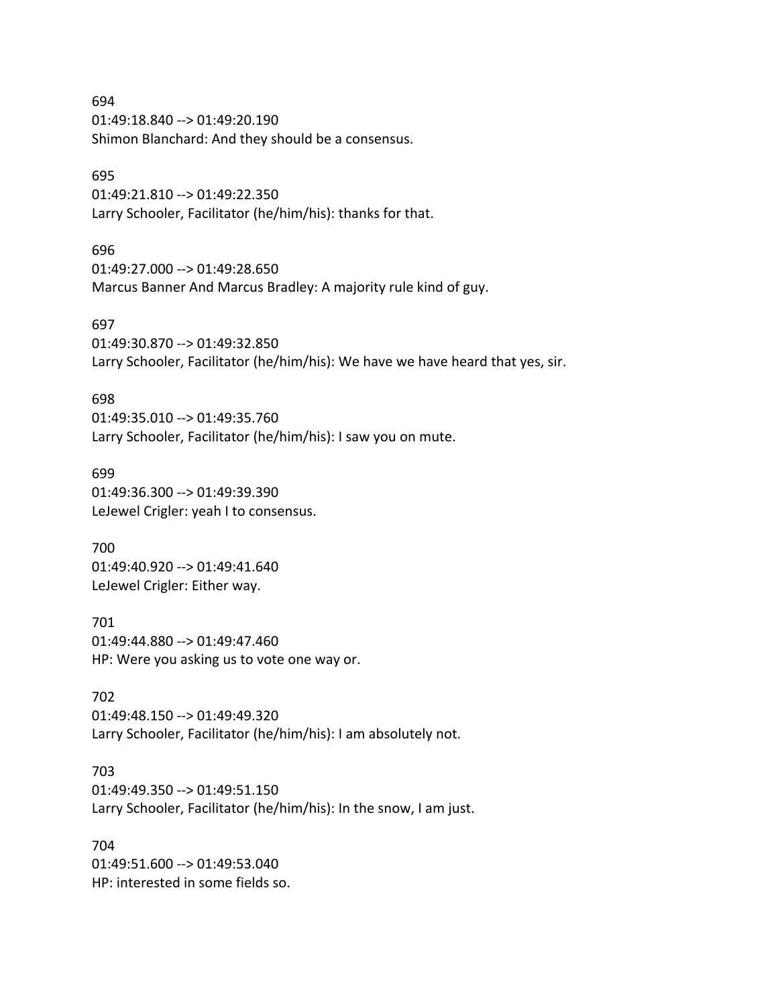694 01:49:18.840 --> 01:49:20.190 Shimon Blanchard: And they should be a consensus.

### 695

01:49:21.810 --> 01:49:22.350 Larry Schooler, Facilitator (he/him/his): thanks for that.

#### 696

01:49:27.000 --> 01:49:28.650 Marcus Banner And Marcus Bradley: A majority rule kind of guy.

#### 697

01:49:30.870 --> 01:49:32.850

Larry Schooler, Facilitator (he/him/his): We have we have heard that yes, sir.

#### 698

01:49:35.010 --> 01:49:35.760 Larry Schooler, Facilitator (he/him/his): I saw you on mute.

#### 699

01:49:36.300 --> 01:49:39.390 LeJewel Crigler: yeah I to consensus.

#### 700

01:49:40.920 --> 01:49:41.640 LeJewel Crigler: Either way.

### 701

01:49:44.880 --> 01:49:47.460 HP: Were you asking us to vote one way or.

## 702

01:49:48.150 --> 01:49:49.320 Larry Schooler, Facilitator (he/him/his): I am absolutely not.

# 703

01:49:49.350 --> 01:49:51.150 Larry Schooler, Facilitator (he/him/his): In the snow, I am just.

#### 704

01:49:51.600 --> 01:49:53.040 HP: interested in some fields so.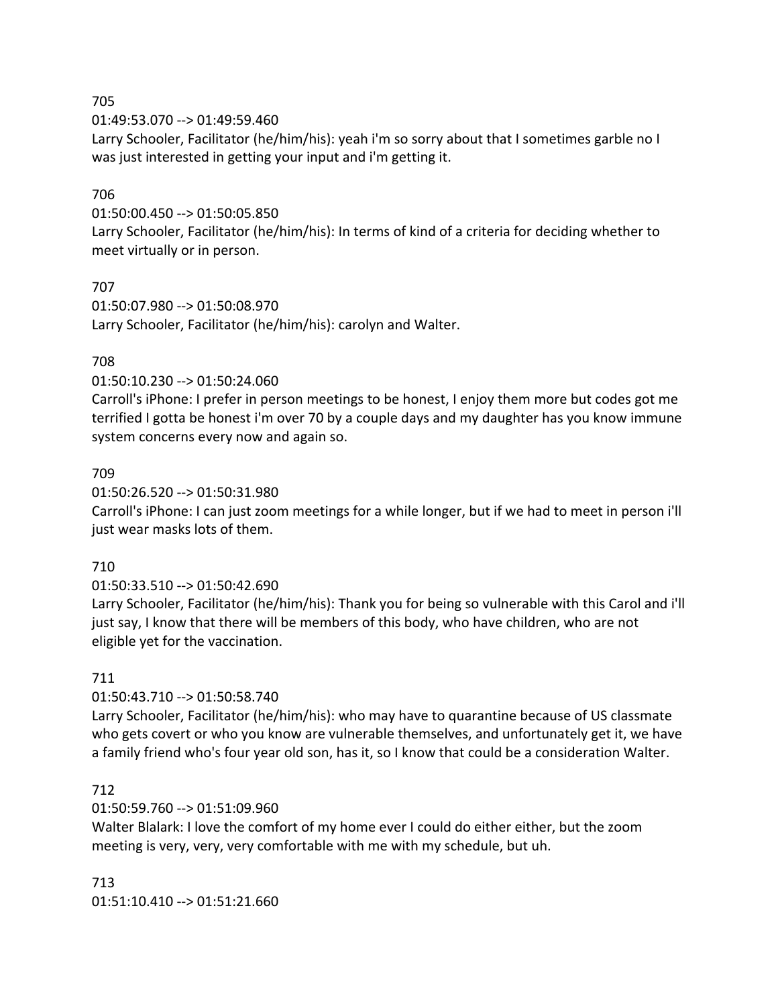01:49:53.070 --> 01:49:59.460

Larry Schooler, Facilitator (he/him/his): yeah i'm so sorry about that I sometimes garble no I was just interested in getting your input and i'm getting it.

### 706

01:50:00.450 --> 01:50:05.850

Larry Schooler, Facilitator (he/him/his): In terms of kind of a criteria for deciding whether to meet virtually or in person.

### 707

01:50:07.980 --> 01:50:08.970 Larry Schooler, Facilitator (he/him/his): carolyn and Walter.

### 708

#### 01:50:10.230 --> 01:50:24.060

Carroll's iPhone: I prefer in person meetings to be honest, I enjoy them more but codes got me terrified I gotta be honest i'm over 70 by a couple days and my daughter has you know immune system concerns every now and again so.

### 709

### 01:50:26.520 --> 01:50:31.980

Carroll's iPhone: I can just zoom meetings for a while longer, but if we had to meet in person i'll just wear masks lots of them.

#### 710

01:50:33.510 --> 01:50:42.690

Larry Schooler, Facilitator (he/him/his): Thank you for being so vulnerable with this Carol and i'll just say, I know that there will be members of this body, who have children, who are not eligible yet for the vaccination.

#### 711

## 01:50:43.710 --> 01:50:58.740

Larry Schooler, Facilitator (he/him/his): who may have to quarantine because of US classmate who gets covert or who you know are vulnerable themselves, and unfortunately get it, we have a family friend who's four year old son, has it, so I know that could be a consideration Walter.

## 712

## 01:50:59.760 --> 01:51:09.960

Walter Blalark: I love the comfort of my home ever I could do either either, but the zoom meeting is very, very, very comfortable with me with my schedule, but uh.

713 01:51:10.410 --> 01:51:21.660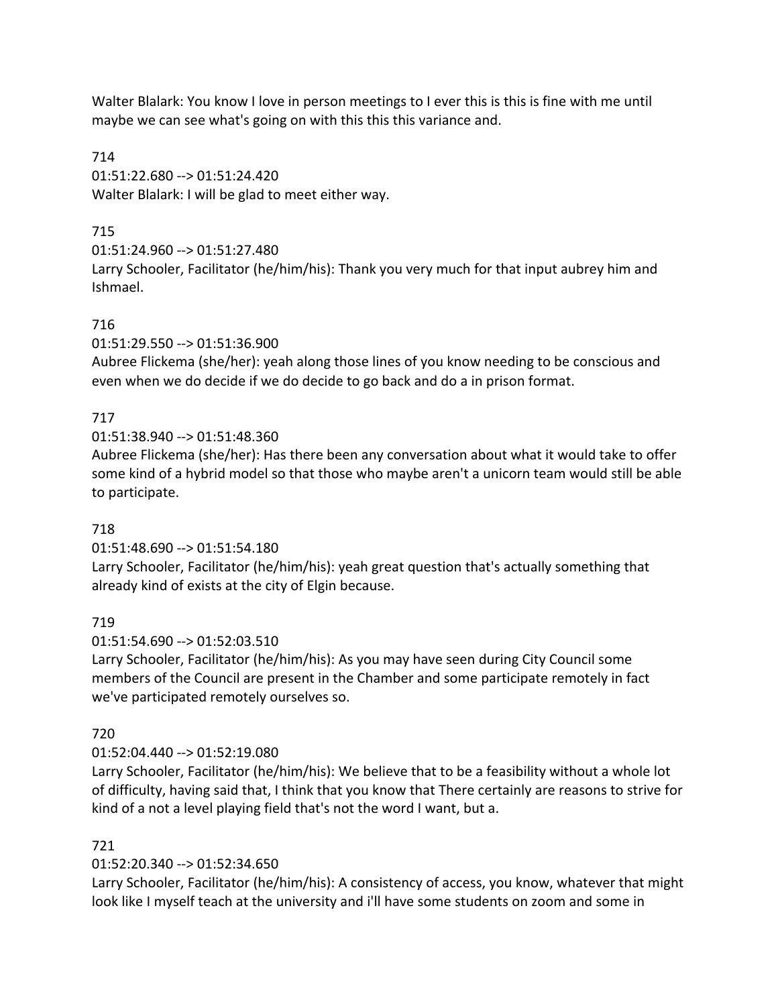Walter Blalark: You know I love in person meetings to I ever this is this is fine with me until maybe we can see what's going on with this this this variance and.

714 01:51:22.680 --> 01:51:24.420 Walter Blalark: I will be glad to meet either way.

# 715

01:51:24.960 --> 01:51:27.480

Larry Schooler, Facilitator (he/him/his): Thank you very much for that input aubrey him and Ishmael.

# 716

01:51:29.550 --> 01:51:36.900

Aubree Flickema (she/her): yeah along those lines of you know needing to be conscious and even when we do decide if we do decide to go back and do a in prison format.

# 717

01:51:38.940 --> 01:51:48.360

Aubree Flickema (she/her): Has there been any conversation about what it would take to offer some kind of a hybrid model so that those who maybe aren't a unicorn team would still be able to participate.

## 718

01:51:48.690 --> 01:51:54.180

Larry Schooler, Facilitator (he/him/his): yeah great question that's actually something that already kind of exists at the city of Elgin because.

## 719

01:51:54.690 --> 01:52:03.510

Larry Schooler, Facilitator (he/him/his): As you may have seen during City Council some members of the Council are present in the Chamber and some participate remotely in fact we've participated remotely ourselves so.

## 720

## 01:52:04.440 --> 01:52:19.080

Larry Schooler, Facilitator (he/him/his): We believe that to be a feasibility without a whole lot of difficulty, having said that, I think that you know that There certainly are reasons to strive for kind of a not a level playing field that's not the word I want, but a.

## 721

## 01:52:20.340 --> 01:52:34.650

Larry Schooler, Facilitator (he/him/his): A consistency of access, you know, whatever that might look like I myself teach at the university and i'll have some students on zoom and some in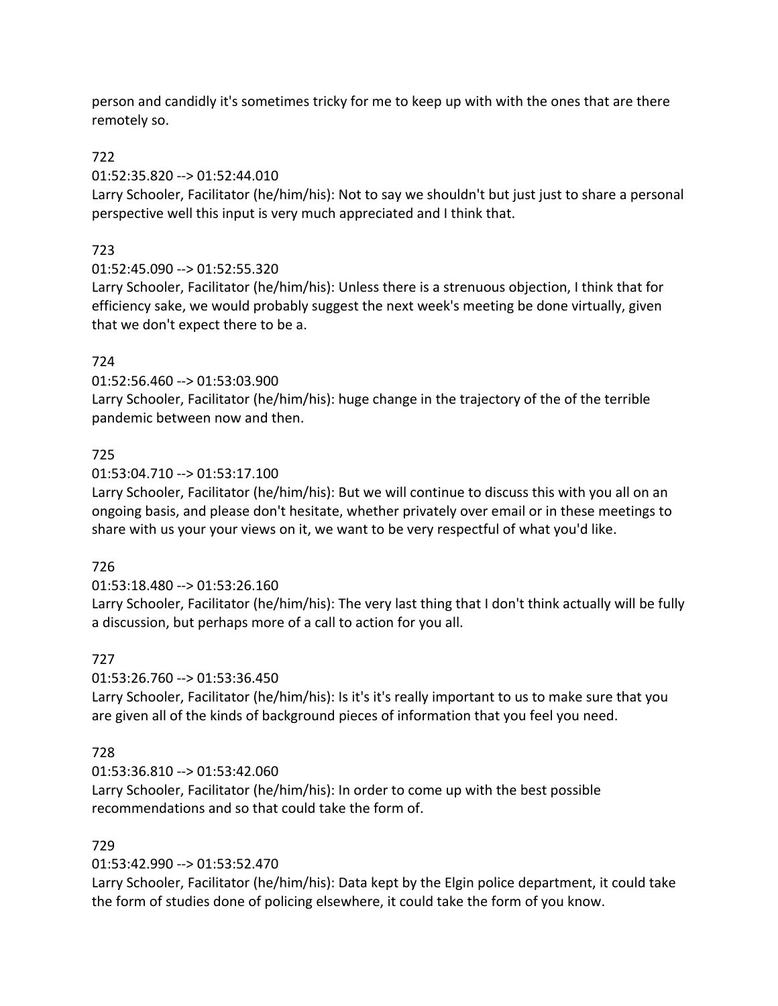person and candidly it's sometimes tricky for me to keep up with with the ones that are there remotely so.

## 722

## 01:52:35.820 --> 01:52:44.010

Larry Schooler, Facilitator (he/him/his): Not to say we shouldn't but just just to share a personal perspective well this input is very much appreciated and I think that.

## 723

## 01:52:45.090 --> 01:52:55.320

Larry Schooler, Facilitator (he/him/his): Unless there is a strenuous objection, I think that for efficiency sake, we would probably suggest the next week's meeting be done virtually, given that we don't expect there to be a.

# 724

01:52:56.460 --> 01:53:03.900

Larry Schooler, Facilitator (he/him/his): huge change in the trajectory of the of the terrible pandemic between now and then.

## 725

## 01:53:04.710 --> 01:53:17.100

Larry Schooler, Facilitator (he/him/his): But we will continue to discuss this with you all on an ongoing basis, and please don't hesitate, whether privately over email or in these meetings to share with us your your views on it, we want to be very respectful of what you'd like.

## 726

## 01:53:18.480 --> 01:53:26.160

Larry Schooler, Facilitator (he/him/his): The very last thing that I don't think actually will be fully a discussion, but perhaps more of a call to action for you all.

## 727

## 01:53:26.760 --> 01:53:36.450

Larry Schooler, Facilitator (he/him/his): Is it's it's really important to us to make sure that you are given all of the kinds of background pieces of information that you feel you need.

## 728

## 01:53:36.810 --> 01:53:42.060 Larry Schooler, Facilitator (he/him/his): In order to come up with the best possible recommendations and so that could take the form of.

## 729

## 01:53:42.990 --> 01:53:52.470

Larry Schooler, Facilitator (he/him/his): Data kept by the Elgin police department, it could take the form of studies done of policing elsewhere, it could take the form of you know.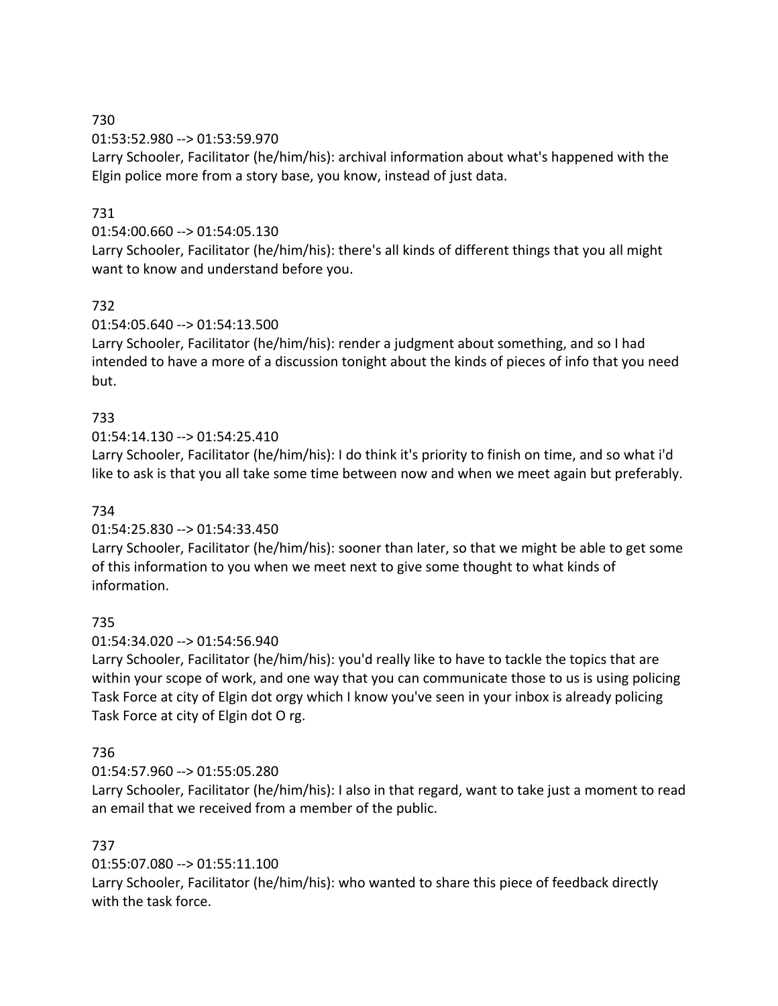01:53:52.980 --> 01:53:59.970

Larry Schooler, Facilitator (he/him/his): archival information about what's happened with the Elgin police more from a story base, you know, instead of just data.

## 731

## 01:54:00.660 --> 01:54:05.130

Larry Schooler, Facilitator (he/him/his): there's all kinds of different things that you all might want to know and understand before you.

## 732

## 01:54:05.640 --> 01:54:13.500

Larry Schooler, Facilitator (he/him/his): render a judgment about something, and so I had intended to have a more of a discussion tonight about the kinds of pieces of info that you need but.

## 733

## 01:54:14.130 --> 01:54:25.410

Larry Schooler, Facilitator (he/him/his): I do think it's priority to finish on time, and so what i'd like to ask is that you all take some time between now and when we meet again but preferably.

## 734

## 01:54:25.830 --> 01:54:33.450

Larry Schooler, Facilitator (he/him/his): sooner than later, so that we might be able to get some of this information to you when we meet next to give some thought to what kinds of information.

## 735

## 01:54:34.020 --> 01:54:56.940

Larry Schooler, Facilitator (he/him/his): you'd really like to have to tackle the topics that are within your scope of work, and one way that you can communicate those to us is using policing Task Force at city of Elgin dot orgy which I know you've seen in your inbox is already policing Task Force at city of Elgin dot O rg.

## 736

## 01:54:57.960 --> 01:55:05.280

Larry Schooler, Facilitator (he/him/his): I also in that regard, want to take just a moment to read an email that we received from a member of the public.

## 737

## 01:55:07.080 --> 01:55:11.100

Larry Schooler, Facilitator (he/him/his): who wanted to share this piece of feedback directly with the task force.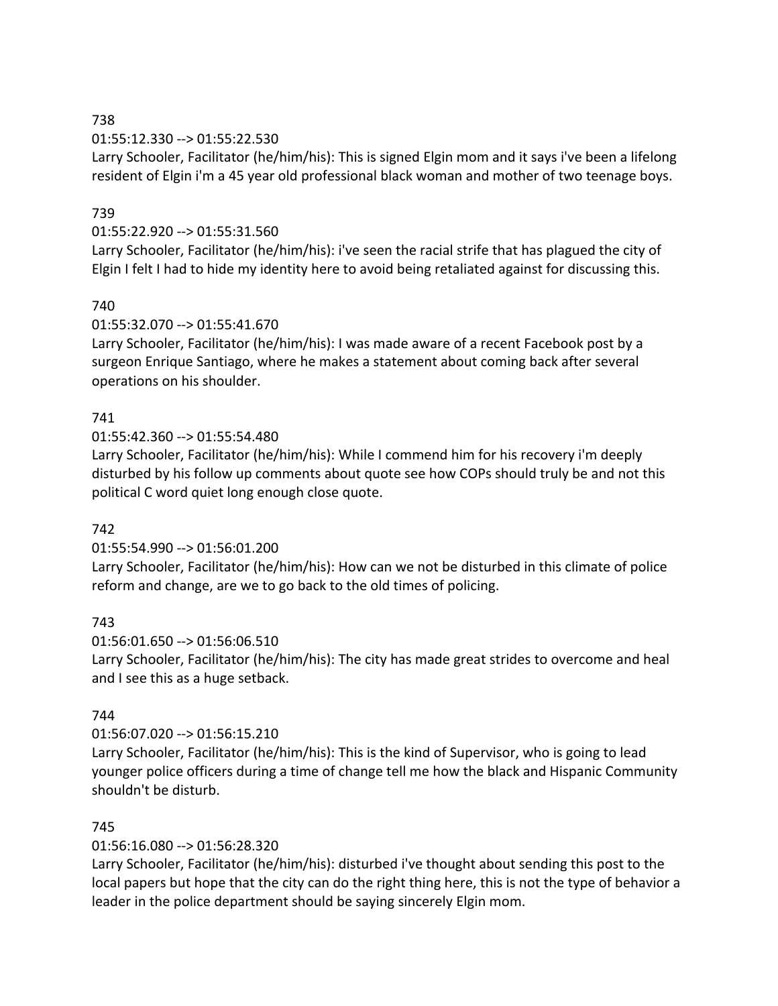01:55:12.330 --> 01:55:22.530

Larry Schooler, Facilitator (he/him/his): This is signed Elgin mom and it says i've been a lifelong resident of Elgin i'm a 45 year old professional black woman and mother of two teenage boys.

## 739

## 01:55:22.920 --> 01:55:31.560

Larry Schooler, Facilitator (he/him/his): i've seen the racial strife that has plagued the city of Elgin I felt I had to hide my identity here to avoid being retaliated against for discussing this.

## 740

## 01:55:32.070 --> 01:55:41.670

Larry Schooler, Facilitator (he/him/his): I was made aware of a recent Facebook post by a surgeon Enrique Santiago, where he makes a statement about coming back after several operations on his shoulder.

## 741

01:55:42.360 --> 01:55:54.480

Larry Schooler, Facilitator (he/him/his): While I commend him for his recovery i'm deeply disturbed by his follow up comments about quote see how COPs should truly be and not this political C word quiet long enough close quote.

## 742

## 01:55:54.990 --> 01:56:01.200

Larry Schooler, Facilitator (he/him/his): How can we not be disturbed in this climate of police reform and change, are we to go back to the old times of policing.

## 743

01:56:01.650 --> 01:56:06.510 Larry Schooler, Facilitator (he/him/his): The city has made great strides to overcome and heal and I see this as a huge setback.

## 744

## 01:56:07.020 --> 01:56:15.210

Larry Schooler, Facilitator (he/him/his): This is the kind of Supervisor, who is going to lead younger police officers during a time of change tell me how the black and Hispanic Community shouldn't be disturb.

## 745

## 01:56:16.080 --> 01:56:28.320

Larry Schooler, Facilitator (he/him/his): disturbed i've thought about sending this post to the local papers but hope that the city can do the right thing here, this is not the type of behavior a leader in the police department should be saying sincerely Elgin mom.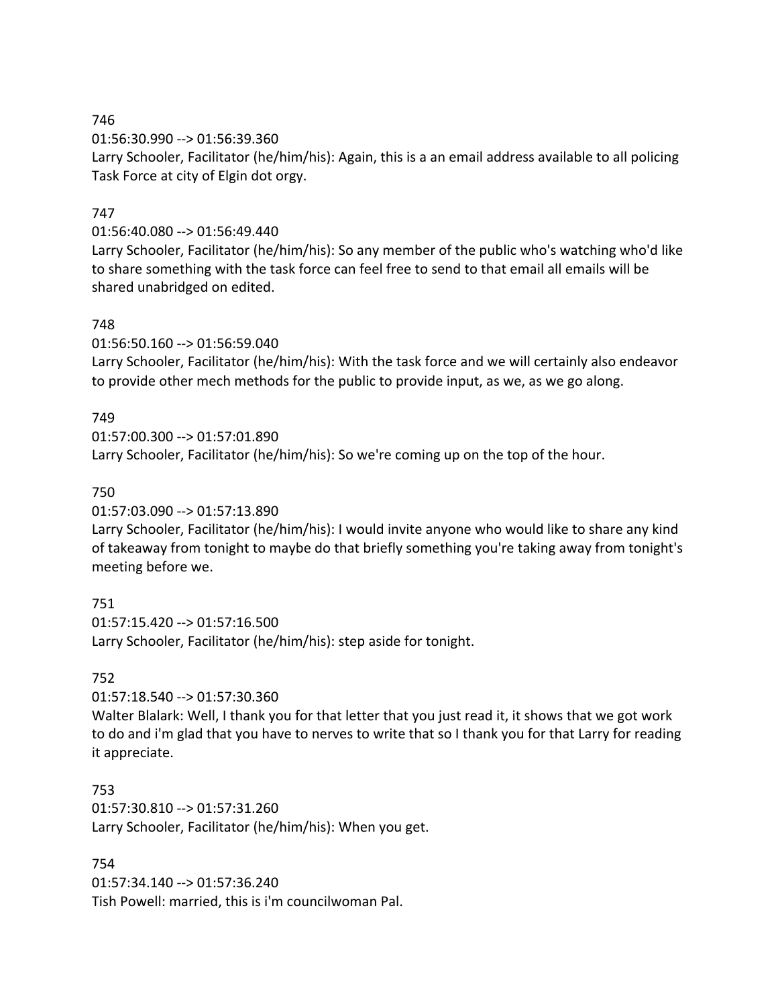01:56:30.990 --> 01:56:39.360

Larry Schooler, Facilitator (he/him/his): Again, this is a an email address available to all policing Task Force at city of Elgin dot orgy.

## 747

01:56:40.080 --> 01:56:49.440

Larry Schooler, Facilitator (he/him/his): So any member of the public who's watching who'd like to share something with the task force can feel free to send to that email all emails will be shared unabridged on edited.

## 748

01:56:50.160 --> 01:56:59.040

Larry Schooler, Facilitator (he/him/his): With the task force and we will certainly also endeavor to provide other mech methods for the public to provide input, as we, as we go along.

## 749

01:57:00.300 --> 01:57:01.890 Larry Schooler, Facilitator (he/him/his): So we're coming up on the top of the hour.

## 750

01:57:03.090 --> 01:57:13.890

Larry Schooler, Facilitator (he/him/his): I would invite anyone who would like to share any kind of takeaway from tonight to maybe do that briefly something you're taking away from tonight's meeting before we.

## 751

01:57:15.420 --> 01:57:16.500 Larry Schooler, Facilitator (he/him/his): step aside for tonight.

## 752

01:57:18.540 --> 01:57:30.360

Walter Blalark: Well, I thank you for that letter that you just read it, it shows that we got work to do and i'm glad that you have to nerves to write that so I thank you for that Larry for reading it appreciate.

## 753

01:57:30.810 --> 01:57:31.260 Larry Schooler, Facilitator (he/him/his): When you get.

## 754

01:57:34.140 --> 01:57:36.240 Tish Powell: married, this is i'm councilwoman Pal.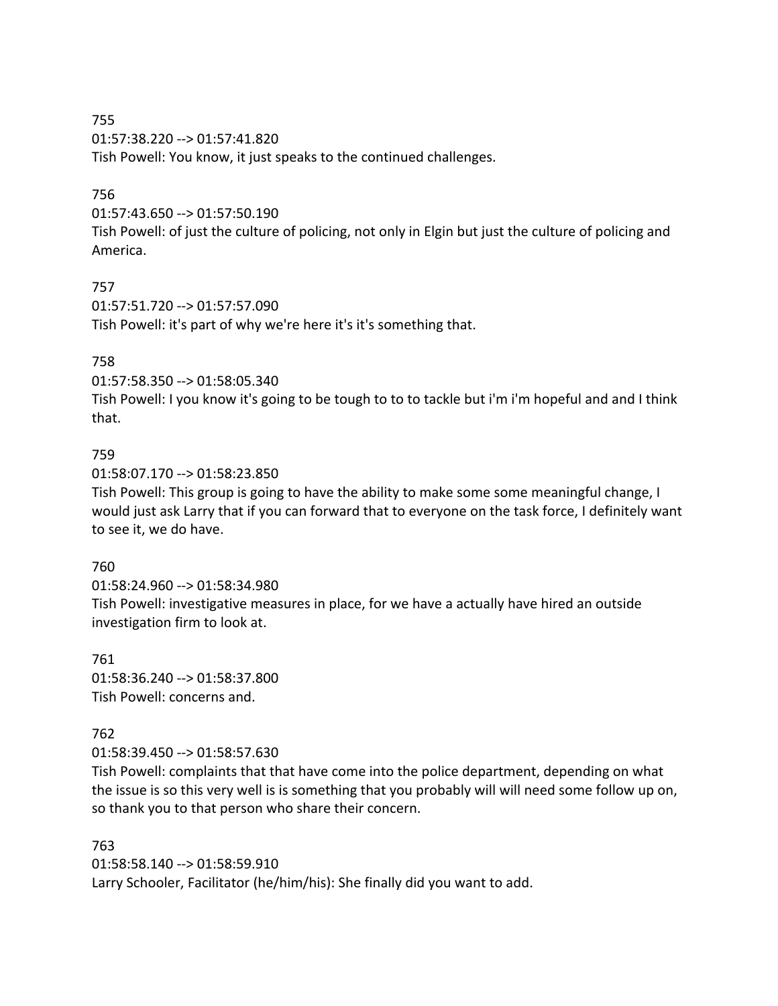755 01:57:38.220 --> 01:57:41.820 Tish Powell: You know, it just speaks to the continued challenges.

### 756

01:57:43.650 --> 01:57:50.190

Tish Powell: of just the culture of policing, not only in Elgin but just the culture of policing and America.

### 757

01:57:51.720 --> 01:57:57.090 Tish Powell: it's part of why we're here it's it's something that.

### 758

01:57:58.350 --> 01:58:05.340

Tish Powell: I you know it's going to be tough to to to tackle but i'm i'm hopeful and and I think that.

#### 759

01:58:07.170 --> 01:58:23.850

Tish Powell: This group is going to have the ability to make some some meaningful change, I would just ask Larry that if you can forward that to everyone on the task force, I definitely want to see it, we do have.

#### 760

01:58:24.960 --> 01:58:34.980 Tish Powell: investigative measures in place, for we have a actually have hired an outside investigation firm to look at.

761 01:58:36.240 --> 01:58:37.800 Tish Powell: concerns and.

#### 762

01:58:39.450 --> 01:58:57.630

Tish Powell: complaints that that have come into the police department, depending on what the issue is so this very well is is something that you probably will will need some follow up on, so thank you to that person who share their concern.

763 01:58:58.140 --> 01:58:59.910 Larry Schooler, Facilitator (he/him/his): She finally did you want to add.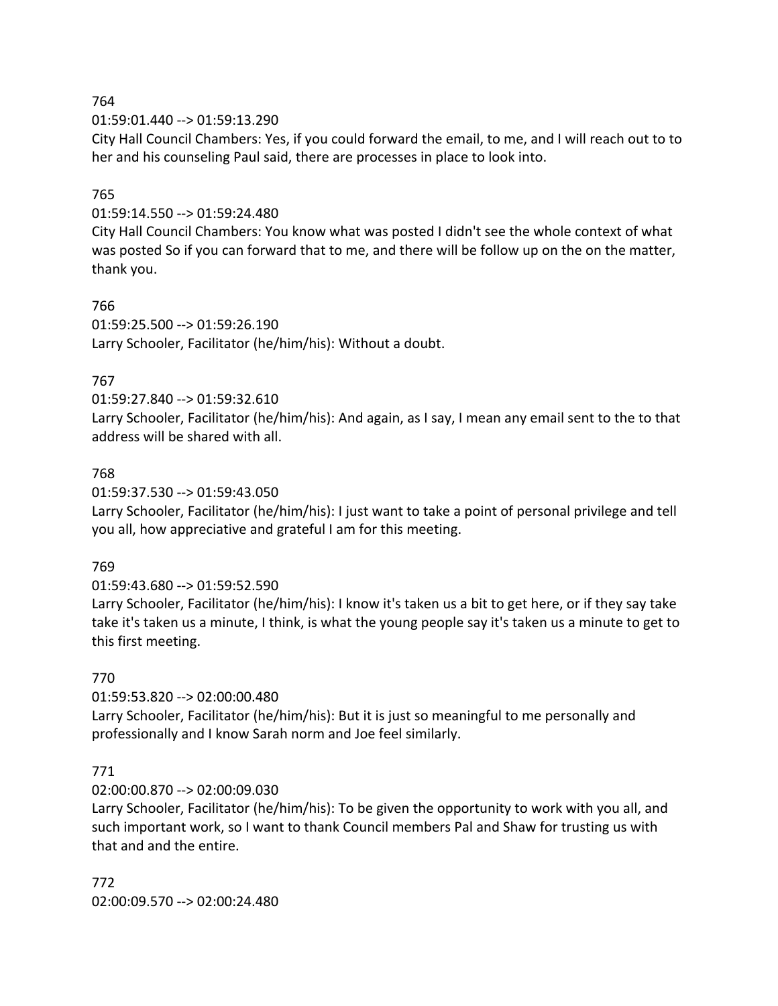01:59:01.440 --> 01:59:13.290

City Hall Council Chambers: Yes, if you could forward the email, to me, and I will reach out to to her and his counseling Paul said, there are processes in place to look into.

## 765

## 01:59:14.550 --> 01:59:24.480

City Hall Council Chambers: You know what was posted I didn't see the whole context of what was posted So if you can forward that to me, and there will be follow up on the on the matter, thank you.

## 766

01:59:25.500 --> 01:59:26.190 Larry Schooler, Facilitator (he/him/his): Without a doubt.

## 767

## 01:59:27.840 --> 01:59:32.610

Larry Schooler, Facilitator (he/him/his): And again, as I say, I mean any email sent to the to that address will be shared with all.

## 768

## 01:59:37.530 --> 01:59:43.050

Larry Schooler, Facilitator (he/him/his): I just want to take a point of personal privilege and tell you all, how appreciative and grateful I am for this meeting.

## 769

## 01:59:43.680 --> 01:59:52.590

Larry Schooler, Facilitator (he/him/his): I know it's taken us a bit to get here, or if they say take take it's taken us a minute, I think, is what the young people say it's taken us a minute to get to this first meeting.

## 770

## 01:59:53.820 --> 02:00:00.480

Larry Schooler, Facilitator (he/him/his): But it is just so meaningful to me personally and professionally and I know Sarah norm and Joe feel similarly.

## 771

## 02:00:00.870 --> 02:00:09.030

Larry Schooler, Facilitator (he/him/his): To be given the opportunity to work with you all, and such important work, so I want to thank Council members Pal and Shaw for trusting us with that and and the entire.

772 02:00:09.570 --> 02:00:24.480